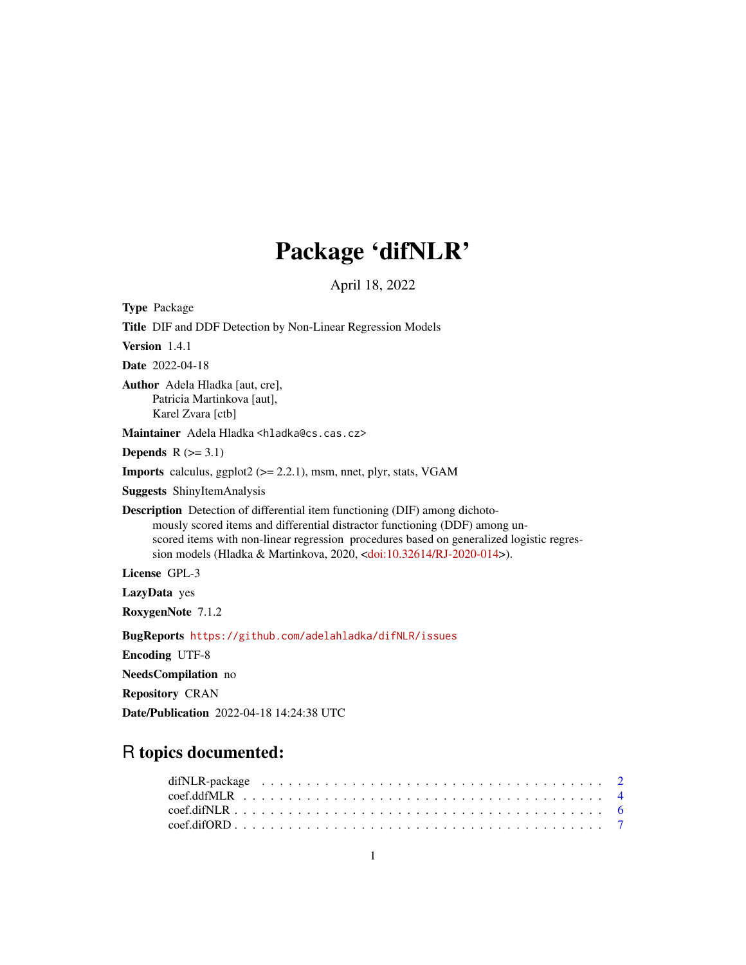# Package 'difNLR'

April 18, 2022

<span id="page-0-0"></span>

| <b>Type Package</b>                                                                                                                                                                                                                                                                                                                                     |
|---------------------------------------------------------------------------------------------------------------------------------------------------------------------------------------------------------------------------------------------------------------------------------------------------------------------------------------------------------|
| <b>Title</b> DIF and DDF Detection by Non-Linear Regression Models                                                                                                                                                                                                                                                                                      |
| <b>Version</b> 1.4.1                                                                                                                                                                                                                                                                                                                                    |
| <b>Date</b> 2022-04-18                                                                                                                                                                                                                                                                                                                                  |
| Author Adela Hladka [aut, cre],<br>Patricia Martinkova [aut],<br>Karel Zvara [ctb]                                                                                                                                                                                                                                                                      |
| Maintainer Adela Hladka <hladka@cs.cas.cz></hladka@cs.cas.cz>                                                                                                                                                                                                                                                                                           |
| <b>Depends</b> $R (=3.1)$                                                                                                                                                                                                                                                                                                                               |
| <b>Imports</b> calculus, ggplot2 ( $> = 2.2.1$ ), msm, nnet, plyr, stats, VGAM                                                                                                                                                                                                                                                                          |
| <b>Suggests</b> ShinyItemAnalysis                                                                                                                                                                                                                                                                                                                       |
| <b>Description</b> Detection of differential item functioning (DIF) among dichoto-<br>mously scored items and differential distractor functioning (DDF) among un-<br>scored items with non-linear regression procedures based on generalized logistic regres-<br>sion models (Hladka & Martinkova, 2020, <doi:10.32614 rj-2020-014="">).</doi:10.32614> |
| License GPL-3                                                                                                                                                                                                                                                                                                                                           |
| LazyData yes                                                                                                                                                                                                                                                                                                                                            |
| RoxygenNote 7.1.2                                                                                                                                                                                                                                                                                                                                       |
| BugReports https://github.com/adelahladka/difNLR/issues                                                                                                                                                                                                                                                                                                 |
| <b>Encoding UTF-8</b>                                                                                                                                                                                                                                                                                                                                   |
| NeedsCompilation no                                                                                                                                                                                                                                                                                                                                     |
| <b>Repository CRAN</b>                                                                                                                                                                                                                                                                                                                                  |

# R topics documented:

Date/Publication 2022-04-18 14:24:38 UTC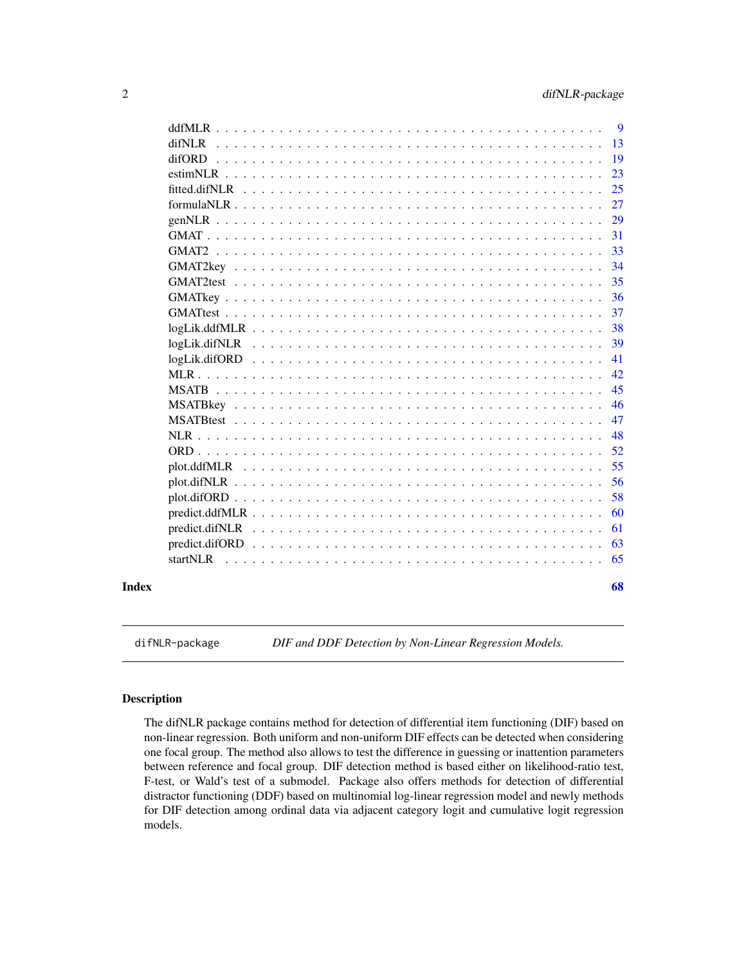<span id="page-1-0"></span>

| Index | startNLR      | 65       |
|-------|---------------|----------|
|       |               | 61<br>63 |
|       |               | 60       |
|       |               | 58       |
|       |               | 56       |
|       |               | 55       |
|       |               | 52       |
|       |               | 48       |
|       |               | 47       |
|       |               | 46       |
|       |               | 45       |
|       |               | 42       |
|       | logLik.difNLR | 39<br>41 |
|       |               | 38       |
|       |               | 37       |
|       |               | 36       |
|       |               | 35       |
|       |               | 34       |
|       |               | 33       |
|       |               | 31       |
|       |               | 29       |
|       |               | 27       |
|       | fitted.difNLR | 25       |
|       |               | 23       |
|       | difORD.       | 19       |
|       |               | 13       |
|       |               | <b>9</b> |

difNLR-package *DIF and DDF Detection by Non-Linear Regression Models.*

#### Description

The difNLR package contains method for detection of differential item functioning (DIF) based on non-linear regression. Both uniform and non-uniform DIF effects can be detected when considering one focal group. The method also allows to test the difference in guessing or inattention parameters between reference and focal group. DIF detection method is based either on likelihood-ratio test, F-test, or Wald's test of a submodel. Package also offers methods for detection of differential distractor functioning (DDF) based on multinomial log-linear regression model and newly methods for DIF detection among ordinal data via adjacent category logit and cumulative logit regression models.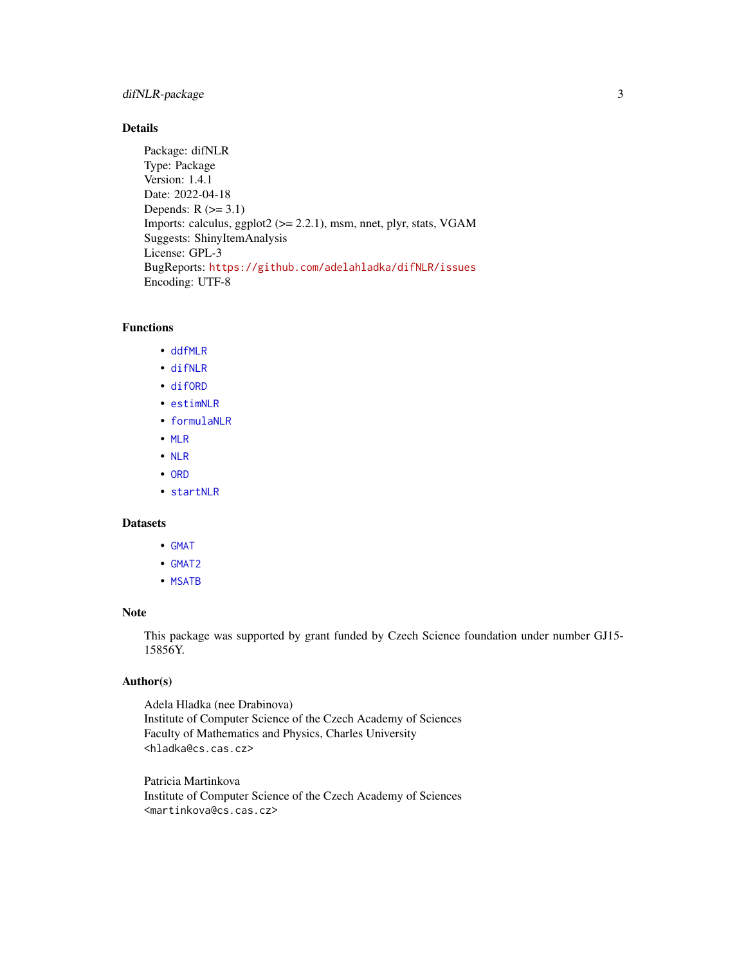# <span id="page-2-0"></span>difNLR-package 3

# Details

Package: difNLR Type: Package Version: 1.4.1 Date: 2022-04-18 Depends:  $R$  ( $>=$  3.1) Imports: calculus, ggplot2 (>= 2.2.1), msm, nnet, plyr, stats, VGAM Suggests: ShinyItemAnalysis License: GPL-3 BugReports: <https://github.com/adelahladka/difNLR/issues> Encoding: UTF-8

# Functions

- [ddfMLR](#page-8-1)
- [difNLR](#page-12-1)
- [difORD](#page-18-1)
- [estimNLR](#page-22-1)
- [formulaNLR](#page-26-1)
- [MLR](#page-41-1)
- [NLR](#page-47-1)
- [ORD](#page-51-1)
- [startNLR](#page-64-1)

# **Datasets**

- [GMAT](#page-30-1)
- [GMAT2](#page-32-1)
- [MSATB](#page-44-1)

#### Note

This package was supported by grant funded by Czech Science foundation under number GJ15- 15856Y.

# Author(s)

Adela Hladka (nee Drabinova) Institute of Computer Science of the Czech Academy of Sciences Faculty of Mathematics and Physics, Charles University <hladka@cs.cas.cz>

Patricia Martinkova Institute of Computer Science of the Czech Academy of Sciences <martinkova@cs.cas.cz>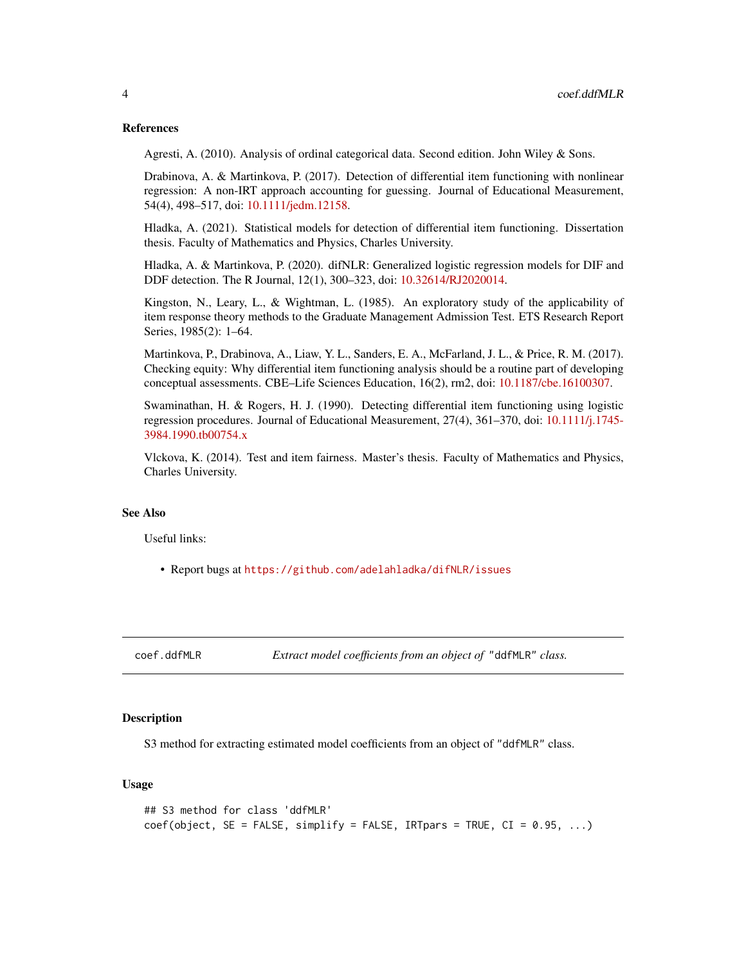#### <span id="page-3-0"></span>References

Agresti, A. (2010). Analysis of ordinal categorical data. Second edition. John Wiley & Sons.

Drabinova, A. & Martinkova, P. (2017). Detection of differential item functioning with nonlinear regression: A non-IRT approach accounting for guessing. Journal of Educational Measurement, 54(4), 498–517, doi: [10.1111/jedm.12158.](https://doi.org/10.1111/jedm.12158)

Hladka, A. (2021). Statistical models for detection of differential item functioning. Dissertation thesis. Faculty of Mathematics and Physics, Charles University.

Hladka, A. & Martinkova, P. (2020). difNLR: Generalized logistic regression models for DIF and DDF detection. The R Journal, 12(1), 300–323, doi: [10.32614/RJ2020014.](https://doi.org/10.32614/RJ-2020-014)

Kingston, N., Leary, L., & Wightman, L. (1985). An exploratory study of the applicability of item response theory methods to the Graduate Management Admission Test. ETS Research Report Series, 1985(2): 1–64.

Martinkova, P., Drabinova, A., Liaw, Y. L., Sanders, E. A., McFarland, J. L., & Price, R. M. (2017). Checking equity: Why differential item functioning analysis should be a routine part of developing conceptual assessments. CBE–Life Sciences Education, 16(2), rm2, doi: [10.1187/cbe.16100307.](https://doi.org/10.1187/cbe.16-10-0307)

Swaminathan, H. & Rogers, H. J. (1990). Detecting differential item functioning using logistic regression procedures. Journal of Educational Measurement, 27(4), 361–370, doi: [10.1111/j.1745-](https://doi.org/10.1111/j.1745-3984.1990.tb00754.x) [3984.1990.tb00754.x](https://doi.org/10.1111/j.1745-3984.1990.tb00754.x)

Vlckova, K. (2014). Test and item fairness. Master's thesis. Faculty of Mathematics and Physics, Charles University.

# See Also

Useful links:

• Report bugs at <https://github.com/adelahladka/difNLR/issues>

<span id="page-3-1"></span>coef.ddfMLR *Extract model coefficients from an object of* "ddfMLR" *class.*

#### Description

S3 method for extracting estimated model coefficients from an object of "ddfMLR" class.

#### Usage

```
## S3 method for class 'ddfMLR'
coef(object, SE = FALSE, simplify = FALSE, IRTpars = TRUE, CI = 0.95, ...)
```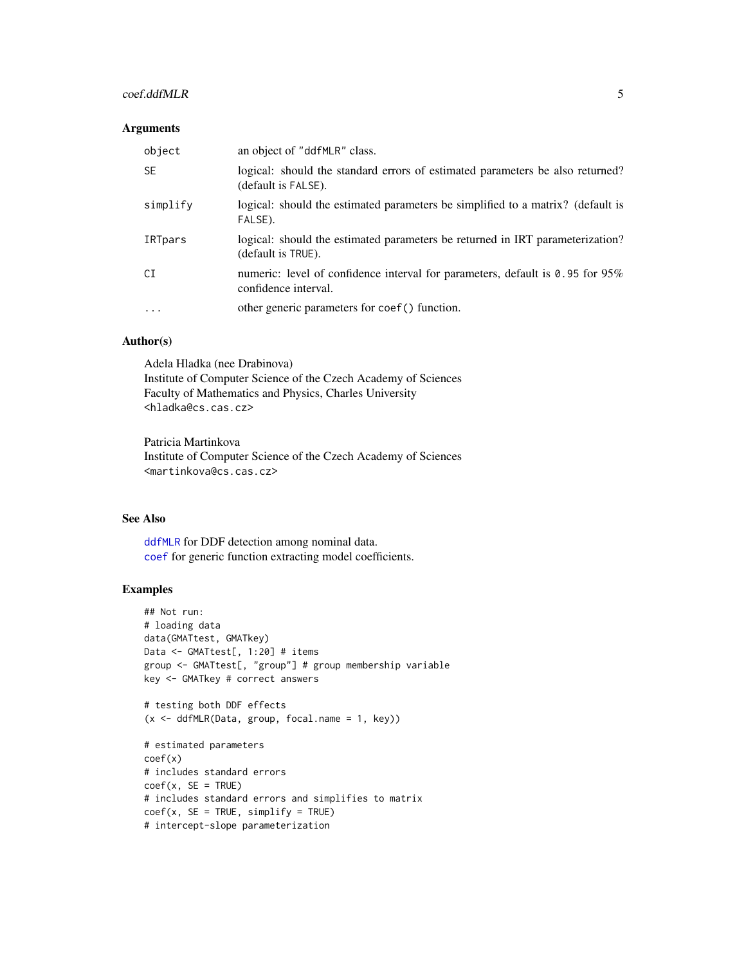# <span id="page-4-0"></span>coef.ddfMLR 5

# Arguments

| object    | an object of "ddfMLR" class.                                                                               |
|-----------|------------------------------------------------------------------------------------------------------------|
| <b>SE</b> | logical: should the standard errors of estimated parameters be also returned?<br>(default is FALSE).       |
| simplify  | logical: should the estimated parameters be simplified to a matrix? (default is<br>FALSE).                 |
| IRTpars   | logical: should the estimated parameters be returned in IRT parameterization?<br>(default is TRUE).        |
| CT.       | numeric: level of confidence interval for parameters, default is $0.95$ for $95\%$<br>confidence interval. |
| $\ddotsc$ | other generic parameters for coef () function.                                                             |

# Author(s)

Adela Hladka (nee Drabinova) Institute of Computer Science of the Czech Academy of Sciences Faculty of Mathematics and Physics, Charles University <hladka@cs.cas.cz>

Patricia Martinkova Institute of Computer Science of the Czech Academy of Sciences <martinkova@cs.cas.cz>

# See Also

[ddfMLR](#page-8-1) for DDF detection among nominal data. [coef](#page-0-0) for generic function extracting model coefficients.

# Examples

```
## Not run:
# loading data
data(GMATtest, GMATkey)
Data <- GMATtest[, 1:20] # items
group <- GMATtest[, "group"] # group membership variable
key <- GMATkey # correct answers
# testing both DDF effects
(x \leq d) ddfMLR(Data, group, focal.name = 1, key))
# estimated parameters
coef(x)
# includes standard errors
coef(x, SE = TRUE)# includes standard errors and simplifies to matrix
coef(x, SE = TRUE, simplify = TRUE)# intercept-slope parameterization
```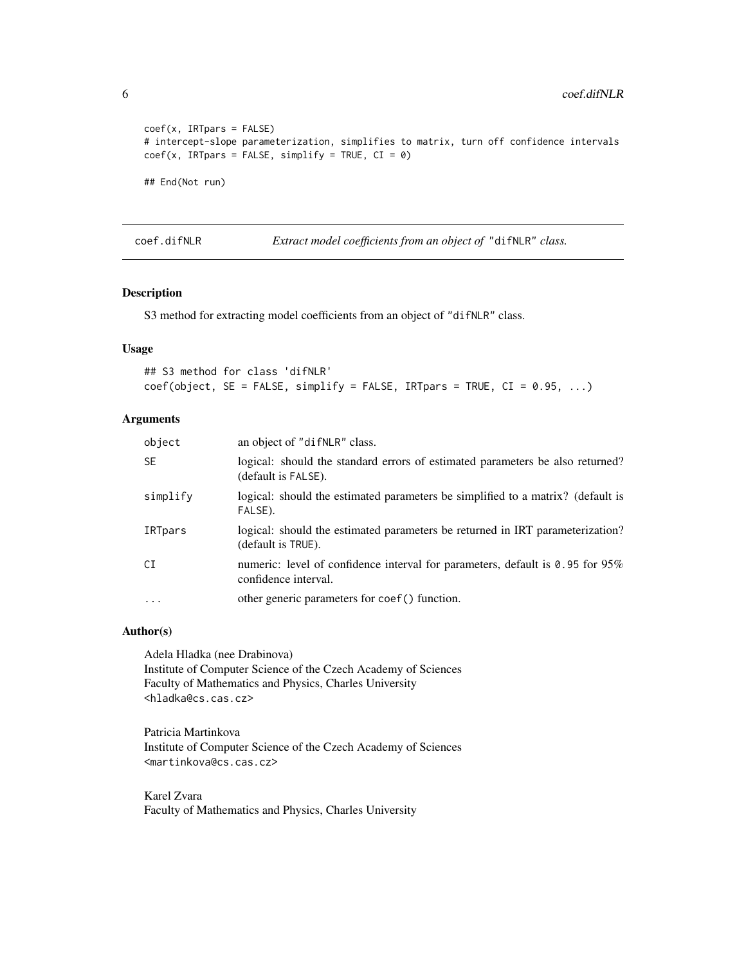```
coef(x, IRTparse = FALSE)# intercept-slope parameterization, simplifies to matrix, turn off confidence intervals
coef(x, IRTpars = FALSE, simplify = TRUE, CI = 0)## End(Not run)
```
<span id="page-5-1"></span>coef.difNLR *Extract model coefficients from an object of* "difNLR" *class.*

#### Description

S3 method for extracting model coefficients from an object of "difNLR" class.

# Usage

## S3 method for class 'difNLR'  $coef(object, SE = FALSE, simplify = FALSE, IRTpars = TRUE, CI = 0.95, ...)$ 

#### Arguments

| object    | an object of "difNLR" class.                                                                               |
|-----------|------------------------------------------------------------------------------------------------------------|
| <b>SE</b> | logical: should the standard errors of estimated parameters be also returned?<br>(default is FALSE).       |
| simplify  | logical: should the estimated parameters be simplified to a matrix? (default is<br>FALSE).                 |
| IRTpars   | logical: should the estimated parameters be returned in IRT parameterization?<br>(default is TRUE).        |
| CI        | numeric: level of confidence interval for parameters, default is $0.95$ for $95\%$<br>confidence interval. |
| .         | other generic parameters for coef () function.                                                             |

# Author(s)

Adela Hladka (nee Drabinova) Institute of Computer Science of the Czech Academy of Sciences Faculty of Mathematics and Physics, Charles University <hladka@cs.cas.cz>

Patricia Martinkova Institute of Computer Science of the Czech Academy of Sciences <martinkova@cs.cas.cz>

Karel Zvara Faculty of Mathematics and Physics, Charles University

<span id="page-5-0"></span>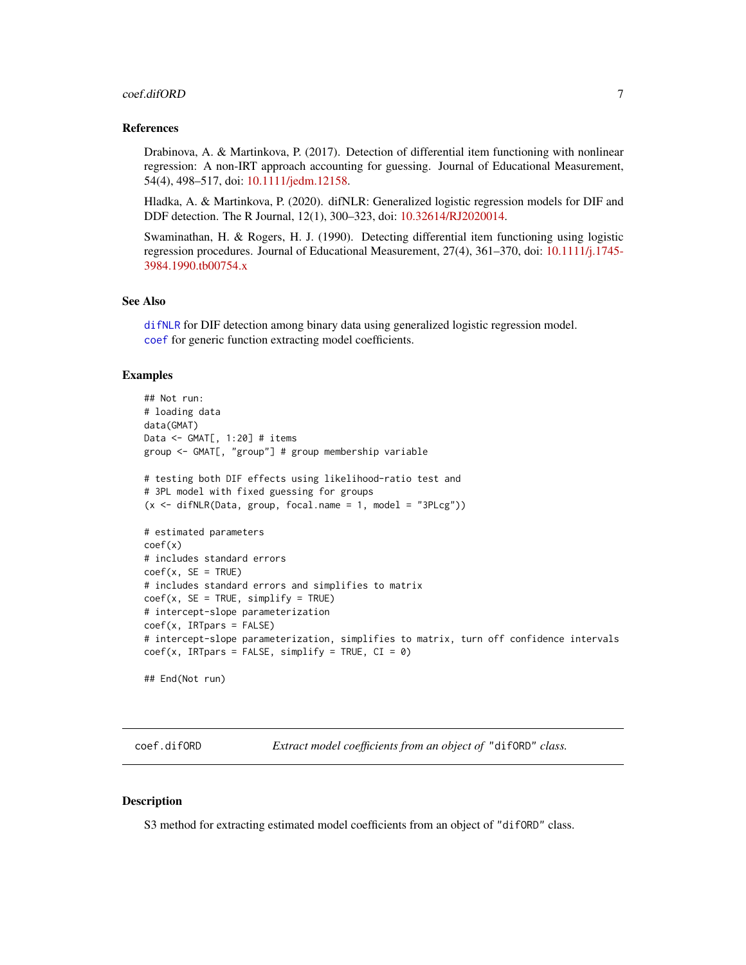#### <span id="page-6-0"></span>coef.difORD 7

#### References

Drabinova, A. & Martinkova, P. (2017). Detection of differential item functioning with nonlinear regression: A non-IRT approach accounting for guessing. Journal of Educational Measurement, 54(4), 498–517, doi: [10.1111/jedm.12158.](https://doi.org/10.1111/jedm.12158)

Hladka, A. & Martinkova, P. (2020). difNLR: Generalized logistic regression models for DIF and DDF detection. The R Journal, 12(1), 300–323, doi: [10.32614/RJ2020014.](https://doi.org/10.32614/RJ-2020-014)

Swaminathan, H. & Rogers, H. J. (1990). Detecting differential item functioning using logistic regression procedures. Journal of Educational Measurement, 27(4), 361–370, doi: [10.1111/j.1745-](https://doi.org/10.1111/j.1745-3984.1990.tb00754.x) [3984.1990.tb00754.x](https://doi.org/10.1111/j.1745-3984.1990.tb00754.x)

# See Also

[difNLR](#page-12-1) for DIF detection among binary data using generalized logistic regression model. [coef](#page-0-0) for generic function extracting model coefficients.

#### Examples

```
## Not run:
# loading data
data(GMAT)
Data \leq GMAT[, 1:20] # items
group <- GMAT[, "group"] # group membership variable
# testing both DIF effects using likelihood-ratio test and
# 3PL model with fixed guessing for groups
(x \leq -\text{diffNLR}(Data, group, focal.name = 1, model = "3PLcg"))# estimated parameters
coef(x)
# includes standard errors
coef(x, SE = TRUE)# includes standard errors and simplifies to matrix
coef(x, SE = TRUE, simplify = TRUE)# intercept-slope parameterization
coef(x, IRTparse = FALSE)# intercept-slope parameterization, simplifies to matrix, turn off confidence intervals
coef(x, IRTparse = FALSE, simplify = TRUE, CI = 0)## End(Not run)
```
<span id="page-6-1"></span>coef.difORD *Extract model coefficients from an object of* "difORD" *class.*

#### **Description**

S3 method for extracting estimated model coefficients from an object of "difORD" class.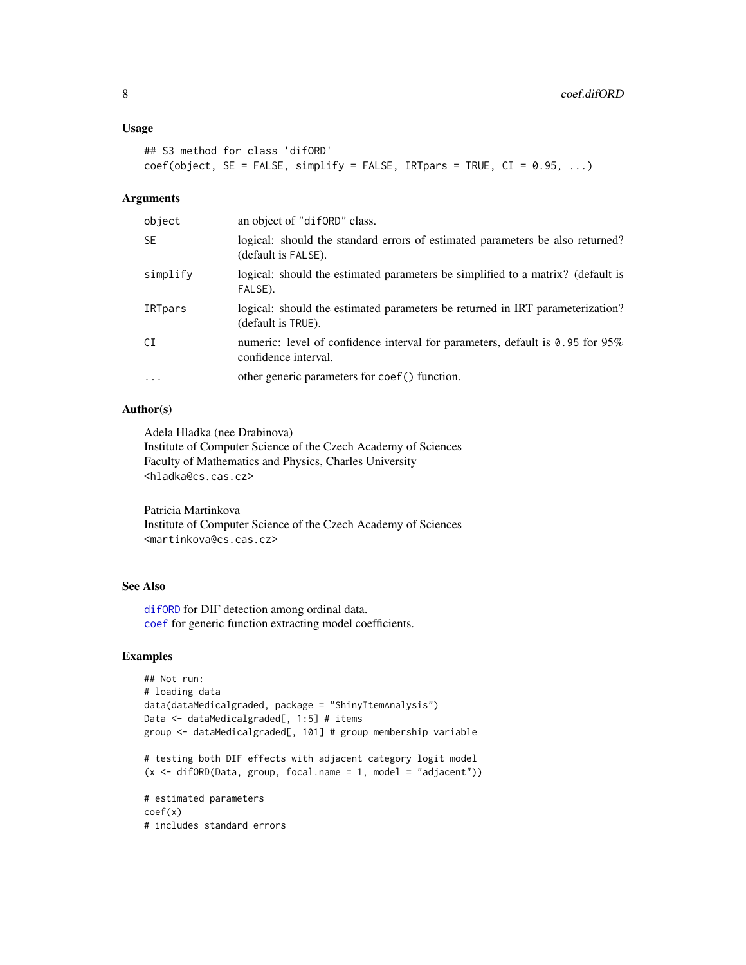#### <span id="page-7-0"></span>Usage

```
## S3 method for class 'difORD'
coef(object, SE = FALSE, simplify = FALSE, IRTpars = TRUE, CI = 0.95, ...)
```
#### Arguments

| object    | an object of "diformore" class.                                                                            |
|-----------|------------------------------------------------------------------------------------------------------------|
| <b>SE</b> | logical: should the standard errors of estimated parameters be also returned?<br>(default is FALSE).       |
| simplify  | logical: should the estimated parameters be simplified to a matrix? (default is<br>FALSE).                 |
| IRTpars   | logical: should the estimated parameters be returned in IRT parameterization?<br>(default is TRUE).        |
| CI        | numeric: level of confidence interval for parameters, default is $0.95$ for $95\%$<br>confidence interval. |
| $\cdot$   | other generic parameters for coef () function.                                                             |
|           |                                                                                                            |

# Author(s)

Adela Hladka (nee Drabinova) Institute of Computer Science of the Czech Academy of Sciences Faculty of Mathematics and Physics, Charles University <hladka@cs.cas.cz>

Patricia Martinkova Institute of Computer Science of the Czech Academy of Sciences <martinkova@cs.cas.cz>

# See Also

[difORD](#page-18-1) for DIF detection among ordinal data. [coef](#page-0-0) for generic function extracting model coefficients.

# Examples

```
## Not run:
# loading data
data(dataMedicalgraded, package = "ShinyItemAnalysis")
Data <- dataMedicalgraded[, 1:5] # items
group <- dataMedicalgraded[, 101] # group membership variable
# testing both DIF effects with adjacent category logit model
(x \leq -\text{difoRD}(Data, group, focal.name = 1, model = "adjacent"))# estimated parameters
coef(x)
# includes standard errors
```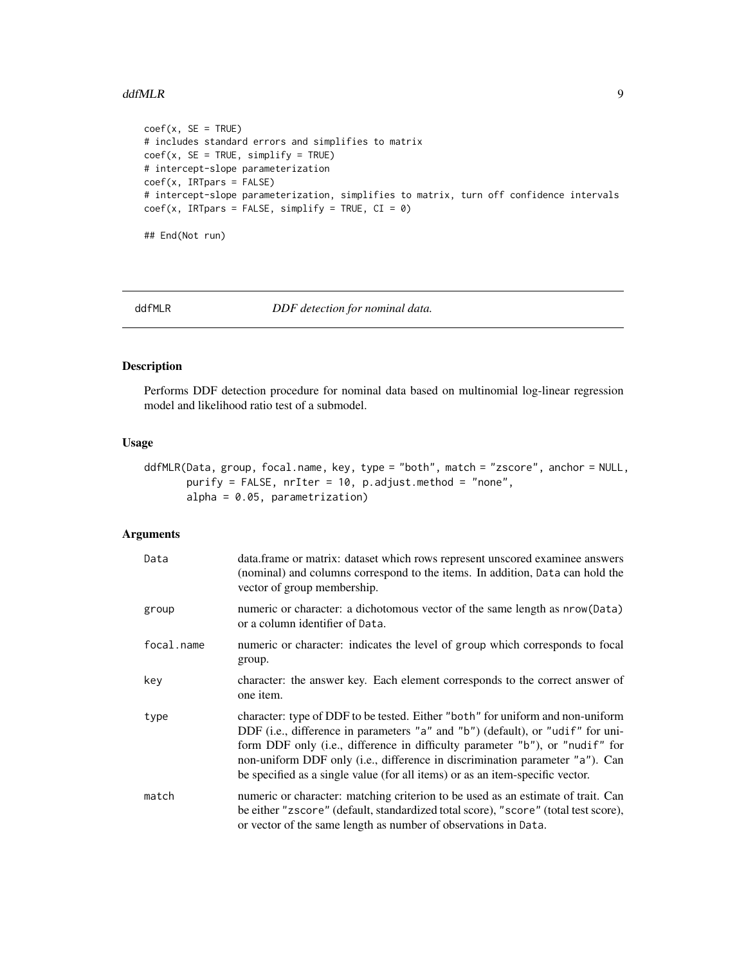#### <span id="page-8-0"></span>ddfMLR 99

```
coef(x, SE = TRUE)# includes standard errors and simplifies to matrix
coef(x, SE = TRUE, simplify = TRUE)# intercept-slope parameterization
coef(x, IRTpars = FALSE)
# intercept-slope parameterization, simplifies to matrix, turn off confidence intervals
coef(x, IRTparse = FALSE, simplify = TRUE, CI = 0)
```
## End(Not run)

<span id="page-8-1"></span>

ddfMLR *DDF detection for nominal data.*

#### Description

Performs DDF detection procedure for nominal data based on multinomial log-linear regression model and likelihood ratio test of a submodel.

# Usage

```
ddfMLR(Data, group, focal.name, key, type = "both", match = "zscore", anchor = NULL,
       purify = FALSE, nrIter = 10, p.adjust.method = "none",
       alpha = 0.05, parametrization)
```
#### Arguments

| Data       | data. frame or matrix: dataset which rows represent unscored examinee answers<br>(nominal) and columns correspond to the items. In addition, Data can hold the<br>vector of group membership.                                                                                                                                                                                                                     |
|------------|-------------------------------------------------------------------------------------------------------------------------------------------------------------------------------------------------------------------------------------------------------------------------------------------------------------------------------------------------------------------------------------------------------------------|
| group      | numeric or character: a dichotomous vector of the same length as $nrow(Data)$<br>or a column identifier of Data.                                                                                                                                                                                                                                                                                                  |
| focal.name | numeric or character: indicates the level of group which corresponds to focal<br>group.                                                                                                                                                                                                                                                                                                                           |
| key        | character: the answer key. Each element corresponds to the correct answer of<br>one item.                                                                                                                                                                                                                                                                                                                         |
| type       | character: type of DDF to be tested. Either "both" for uniform and non-uniform<br>DDF (i.e., difference in parameters "a" and "b") (default), or "udif" for uni-<br>form DDF only (i.e., difference in difficulty parameter "b"), or "nudif" for<br>non-uniform DDF only (i.e., difference in discrimination parameter "a"). Can<br>be specified as a single value (for all items) or as an item-specific vector. |
| match      | numeric or character: matching criterion to be used as an estimate of trait. Can<br>be either "zscore" (default, standardized total score), "score" (total test score),<br>or vector of the same length as number of observations in Data.                                                                                                                                                                        |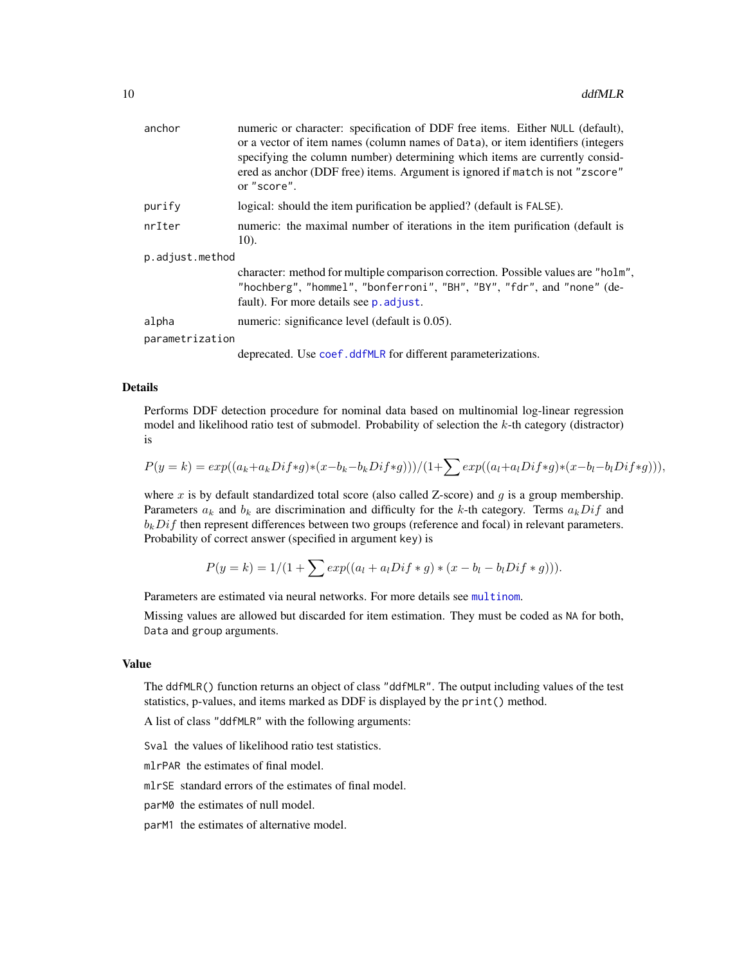<span id="page-9-0"></span>

| anchor          | numeric or character: specification of DDF free items. Either NULL (default),<br>or a vector of item names (column names of Data), or item identifiers (integers<br>specifying the column number) determining which items are currently consid-<br>ered as anchor (DDF free) items. Argument is ignored if match is not "zscore"<br>or "score". |
|-----------------|-------------------------------------------------------------------------------------------------------------------------------------------------------------------------------------------------------------------------------------------------------------------------------------------------------------------------------------------------|
| purify          | logical: should the item purification be applied? (default is FALSE).                                                                                                                                                                                                                                                                           |
| nrIter          | numeric: the maximal number of iterations in the item purification (default is<br>10).                                                                                                                                                                                                                                                          |
| p.adjust.method |                                                                                                                                                                                                                                                                                                                                                 |
|                 | character: method for multiple comparison correction. Possible values are "holm",<br>"hochberg", "hommel", "bonferroni", "BH", "BY", "fdr", and "none" (de-<br>fault). For more details see p. adjust.                                                                                                                                          |
| alpha           | numeric: significance level (default is 0.05).                                                                                                                                                                                                                                                                                                  |
| parametrization |                                                                                                                                                                                                                                                                                                                                                 |
|                 | deprecated. Use coef.ddfMLR for different parameterizations.                                                                                                                                                                                                                                                                                    |

#### Details

Performs DDF detection procedure for nominal data based on multinomial log-linear regression model and likelihood ratio test of submodel. Probability of selection the k-th category (distractor) is

$$
P(y = k) = exp((a_k + a_k Dif * g) * (x - b_k - b_k Dif * g)) / (1 + \sum exp((a_l + a_l Dif * g) * (x - b_l - b_l Dif * g))),
$$

where  $x$  is by default standardized total score (also called Z-score) and  $g$  is a group membership. Parameters  $a_k$  and  $b_k$  are discrimination and difficulty for the k-th category. Terms  $a_kDif$  and  $b_kDif$  then represent differences between two groups (reference and focal) in relevant parameters. Probability of correct answer (specified in argument key) is

$$
P(y = k) = 1/(1 + \sum exp((a_l + a_l Dif * g) * (x - b_l - b_l Dif * g))).
$$

Parameters are estimated via neural networks. For more details see [multinom](#page-0-0).

Missing values are allowed but discarded for item estimation. They must be coded as NA for both, Data and group arguments.

## Value

The ddfMLR() function returns an object of class "ddfMLR". The output including values of the test statistics, p-values, and items marked as DDF is displayed by the print() method.

A list of class "ddfMLR" with the following arguments:

Sval the values of likelihood ratio test statistics.

mlrPAR the estimates of final model.

mlrSE standard errors of the estimates of final model.

parM0 the estimates of null model.

parM1 the estimates of alternative model.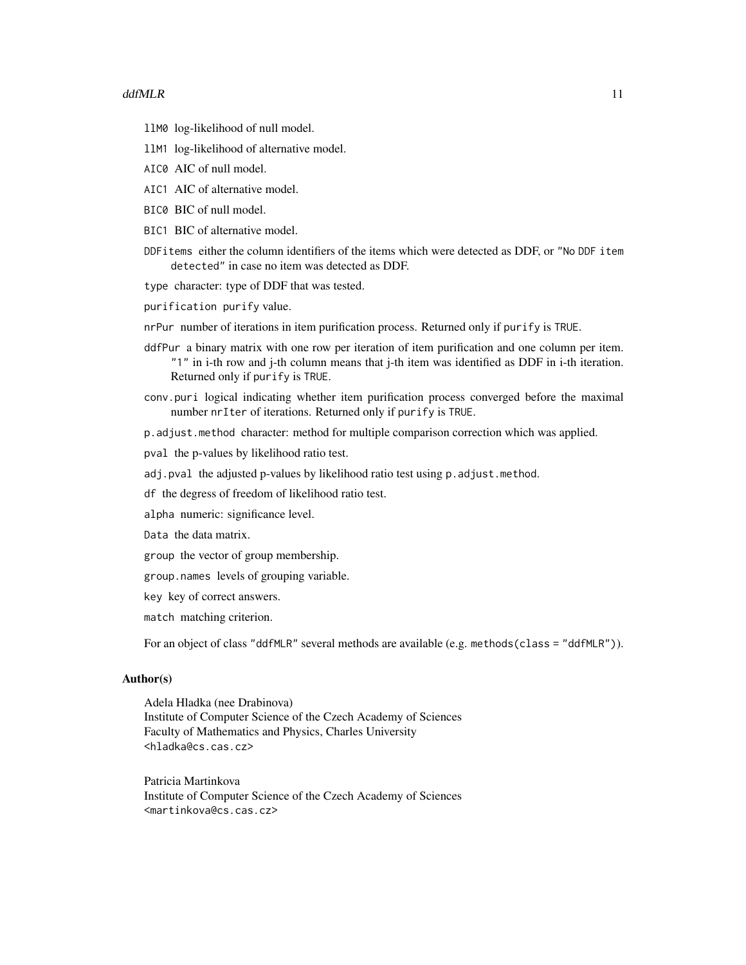#### $ddfMLR$  11

- llM0 log-likelihood of null model.
- llM1 log-likelihood of alternative model.
- AIC0 AIC of null model.
- AIC1 AIC of alternative model.
- BIC0 BIC of null model.
- BIC1 BIC of alternative model.
- DDFitems either the column identifiers of the items which were detected as DDF, or "No DDF item detected" in case no item was detected as DDF.
- type character: type of DDF that was tested.
- purification purify value.
- nrPur number of iterations in item purification process. Returned only if purify is TRUE.
- ddfPur a binary matrix with one row per iteration of item purification and one column per item. "1" in i-th row and j-th column means that j-th item was identified as DDF in i-th iteration. Returned only if purify is TRUE.
- conv.puri logical indicating whether item purification process converged before the maximal number nrIter of iterations. Returned only if purify is TRUE.
- p.adjust.method character: method for multiple comparison correction which was applied.
- pval the p-values by likelihood ratio test.
- adj.pval the adjusted p-values by likelihood ratio test using p.adjust.method.
- df the degress of freedom of likelihood ratio test.
- alpha numeric: significance level.
- Data the data matrix.
- group the vector of group membership.
- group.names levels of grouping variable.
- key key of correct answers.
- match matching criterion.

For an object of class "ddfMLR" several methods are available (e.g. methods(class = "ddfMLR")).

## Author(s)

Adela Hladka (nee Drabinova) Institute of Computer Science of the Czech Academy of Sciences Faculty of Mathematics and Physics, Charles University <hladka@cs.cas.cz>

Patricia Martinkova Institute of Computer Science of the Czech Academy of Sciences <martinkova@cs.cas.cz>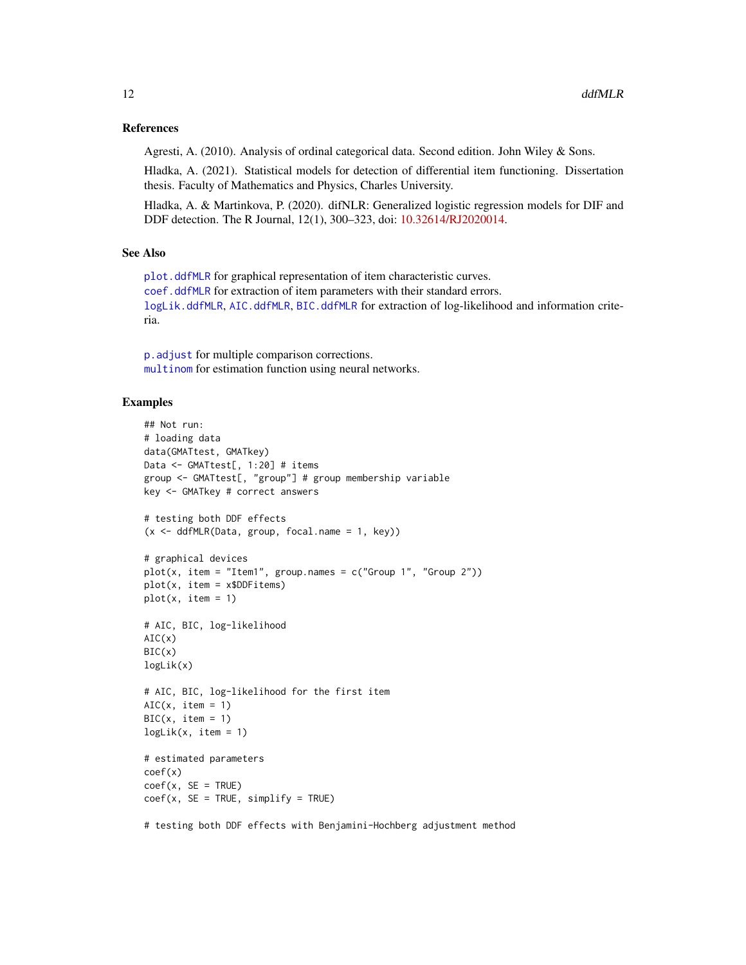#### <span id="page-11-0"></span>References

Agresti, A. (2010). Analysis of ordinal categorical data. Second edition. John Wiley & Sons.

Hladka, A. (2021). Statistical models for detection of differential item functioning. Dissertation thesis. Faculty of Mathematics and Physics, Charles University.

Hladka, A. & Martinkova, P. (2020). difNLR: Generalized logistic regression models for DIF and DDF detection. The R Journal, 12(1), 300–323, doi: [10.32614/RJ2020014.](https://doi.org/10.32614/RJ-2020-014)

#### See Also

[plot.ddfMLR](#page-54-1) for graphical representation of item characteristic curves. [coef.ddfMLR](#page-3-1) for extraction of item parameters with their standard errors. [logLik.ddfMLR](#page-37-1), [AIC.ddfMLR](#page-37-2), [BIC.ddfMLR](#page-37-2) for extraction of log-likelihood and information criteria.

[p.adjust](#page-0-0) for multiple comparison corrections. [multinom](#page-0-0) for estimation function using neural networks.

# Examples

```
## Not run:
# loading data
data(GMATtest, GMATkey)
Data <- GMATtest[, 1:20] # items
group <- GMATtest[, "group"] # group membership variable
key <- GMATkey # correct answers
# testing both DDF effects
(x <- ddfMLR(Data, group, focal.name = 1, key))
# graphical devices
plot(x, item = "Item1", group.name = c("Group 1", "Group 2"))plot(x, item = x$DDFitems)
plot(x, item = 1)# AIC, BIC, log-likelihood
AIC(x)BIC(x)
logLik(x)
# AIC, BIC, log-likelihood for the first item
AIC(x, item = 1)BIC(x, item = 1)logLik(x, item = 1)# estimated parameters
coef(x)
coef(x, SE = TRUE)coef(x, SE = TRUE, simplify = TRUE)
```
# testing both DDF effects with Benjamini-Hochberg adjustment method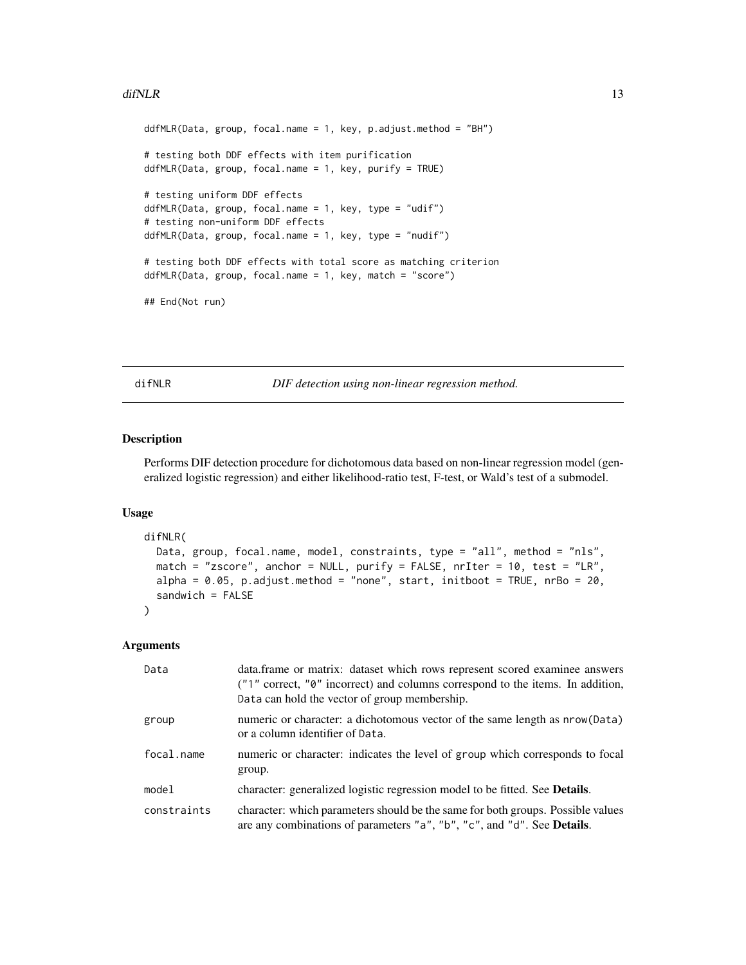#### <span id="page-12-0"></span> $diffNLR$  and the set of the set of the set of the set of the set of the set of the set of the set of the set of the set of the set of the set of the set of the set of the set of the set of the set of the set of the set of th

```
ddfMLR(Data, group, focal.name = 1, key, p.addjust method = "BH")# testing both DDF effects with item purification
ddfMLR(Data, group, focal.name = 1, key, purify = TRUE)
# testing uniform DDF effects
ddfMLR(Data, group, focal.name = 1, key, type = "udif")
# testing non-uniform DDF effects
ddfMLR(Data, group, focal.name = 1, key, type = "nudif")
# testing both DDF effects with total score as matching criterion
ddfMLR(Data, group, focal.name = 1, key, match = "score")
## End(Not run)
```
<span id="page-12-1"></span>difNLR *DIF detection using non-linear regression method.*

#### Description

Performs DIF detection procedure for dichotomous data based on non-linear regression model (generalized logistic regression) and either likelihood-ratio test, F-test, or Wald's test of a submodel.

#### Usage

```
difNLR(
 Data, group, focal.name, model, constraints, type = "all", method = "nls",
 match = "zscore", anchor = NULL, purify = FALSE, nrIter = 10, test = "LR",
 alpha = 0.05, p.adjust.method = "none", start, initboot = TRUE, nrBo = 20,
  sandwich = FALSE
)
```
#### Arguments

| Data        | data.frame or matrix: dataset which rows represent scored examinee answers<br>("1" correct, "0" incorrect) and columns correspond to the items. In addition,<br>Data can hold the vector of group membership. |
|-------------|---------------------------------------------------------------------------------------------------------------------------------------------------------------------------------------------------------------|
| group       | numeric or character: a dichotomous vector of the same length as nrow(Data)<br>or a column identifier of Data.                                                                                                |
| focal.name  | numeric or character: indicates the level of group which corresponds to focal<br>group.                                                                                                                       |
| model       | character: generalized logistic regression model to be fitted. See <b>Details</b> .                                                                                                                           |
| constraints | character: which parameters should be the same for both groups. Possible values<br>are any combinations of parameters "a", "b", "c", and "d". See <b>Details</b> .                                            |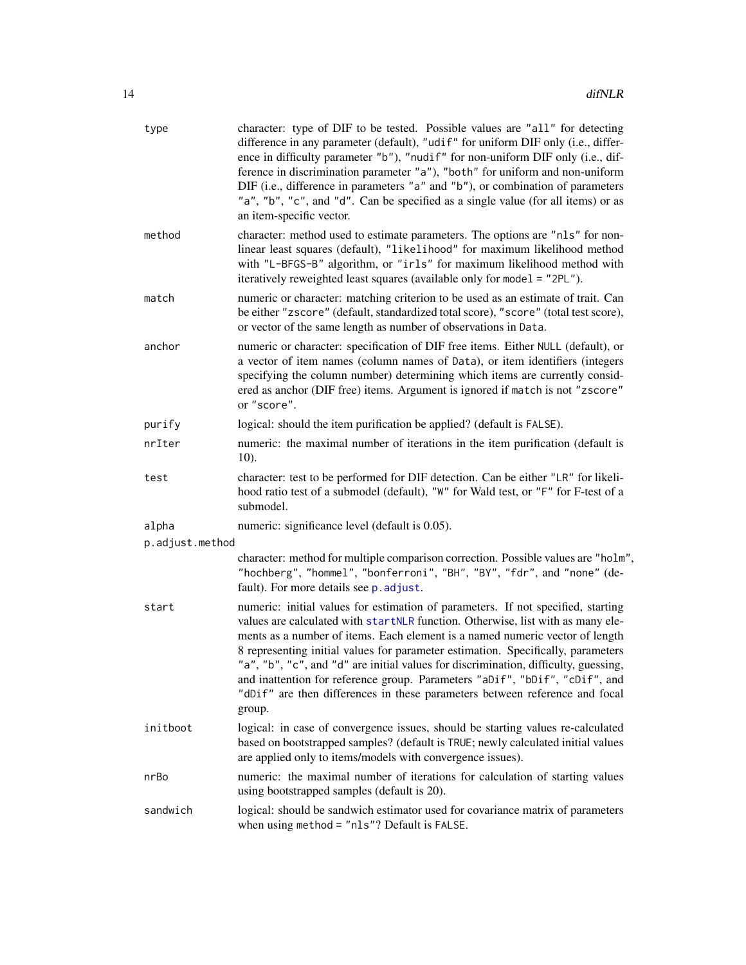<span id="page-13-0"></span>

| type            | character: type of DIF to be tested. Possible values are "all" for detecting<br>difference in any parameter (default), "udif" for uniform DIF only (i.e., differ-<br>ence in difficulty parameter "b"), "nudif" for non-uniform DIF only (i.e., dif-<br>ference in discrimination parameter "a"), "both" for uniform and non-uniform<br>DIF (i.e., difference in parameters "a" and "b"), or combination of parameters<br>"a", "b", "c", and "d". Can be specified as a single value (for all items) or as<br>an item-specific vector.                                                                 |
|-----------------|--------------------------------------------------------------------------------------------------------------------------------------------------------------------------------------------------------------------------------------------------------------------------------------------------------------------------------------------------------------------------------------------------------------------------------------------------------------------------------------------------------------------------------------------------------------------------------------------------------|
| method          | character: method used to estimate parameters. The options are "nls" for non-<br>linear least squares (default), "likelihood" for maximum likelihood method<br>with "L-BFGS-B" algorithm, or "irls" for maximum likelihood method with<br>iteratively reweighted least squares (available only for model = "2PL").                                                                                                                                                                                                                                                                                     |
| match           | numeric or character: matching criterion to be used as an estimate of trait. Can<br>be either "zscore" (default, standardized total score), "score" (total test score),<br>or vector of the same length as number of observations in Data.                                                                                                                                                                                                                                                                                                                                                             |
| anchor          | numeric or character: specification of DIF free items. Either NULL (default), or<br>a vector of item names (column names of Data), or item identifiers (integers<br>specifying the column number) determining which items are currently consid-<br>ered as anchor (DIF free) items. Argument is ignored if match is not "zscore"<br>or "score".                                                                                                                                                                                                                                                        |
| purify          | logical: should the item purification be applied? (default is FALSE).                                                                                                                                                                                                                                                                                                                                                                                                                                                                                                                                  |
| nrIter          | numeric: the maximal number of iterations in the item purification (default is<br>10).                                                                                                                                                                                                                                                                                                                                                                                                                                                                                                                 |
| test            | character: test to be performed for DIF detection. Can be either "LR" for likeli-<br>hood ratio test of a submodel (default), "W" for Wald test, or "F" for F-test of a<br>submodel.                                                                                                                                                                                                                                                                                                                                                                                                                   |
| alpha           | numeric: significance level (default is 0.05).                                                                                                                                                                                                                                                                                                                                                                                                                                                                                                                                                         |
| p.adjust.method |                                                                                                                                                                                                                                                                                                                                                                                                                                                                                                                                                                                                        |
|                 | character: method for multiple comparison correction. Possible values are "holm",<br>"hochberg", "hommel", "bonferroni", "BH", "BY", "fdr", and "none" (de-<br>fault). For more details see p. adjust.                                                                                                                                                                                                                                                                                                                                                                                                 |
| start           | numeric: initial values for estimation of parameters. If not specified, starting<br>values are calculated with startNLR function. Otherwise, list with as many ele-<br>ments as a number of items. Each element is a named numeric vector of length<br>8 representing initial values for parameter estimation. Specifically, parameters<br>"a", "b", "c", and "d" are initial values for discrimination, difficulty, guessing,<br>and inattention for reference group. Parameters "aDif", "bDif", "cDif", and<br>"dDif" are then differences in these parameters between reference and focal<br>group. |
| initboot        | logical: in case of convergence issues, should be starting values re-calculated<br>based on bootstrapped samples? (default is TRUE; newly calculated initial values<br>are applied only to items/models with convergence issues).                                                                                                                                                                                                                                                                                                                                                                      |
| nrBo            | numeric: the maximal number of iterations for calculation of starting values<br>using bootstrapped samples (default is 20).                                                                                                                                                                                                                                                                                                                                                                                                                                                                            |
| sandwich        | logical: should be sandwich estimator used for covariance matrix of parameters<br>when using method = "nls"? Default is FALSE.                                                                                                                                                                                                                                                                                                                                                                                                                                                                         |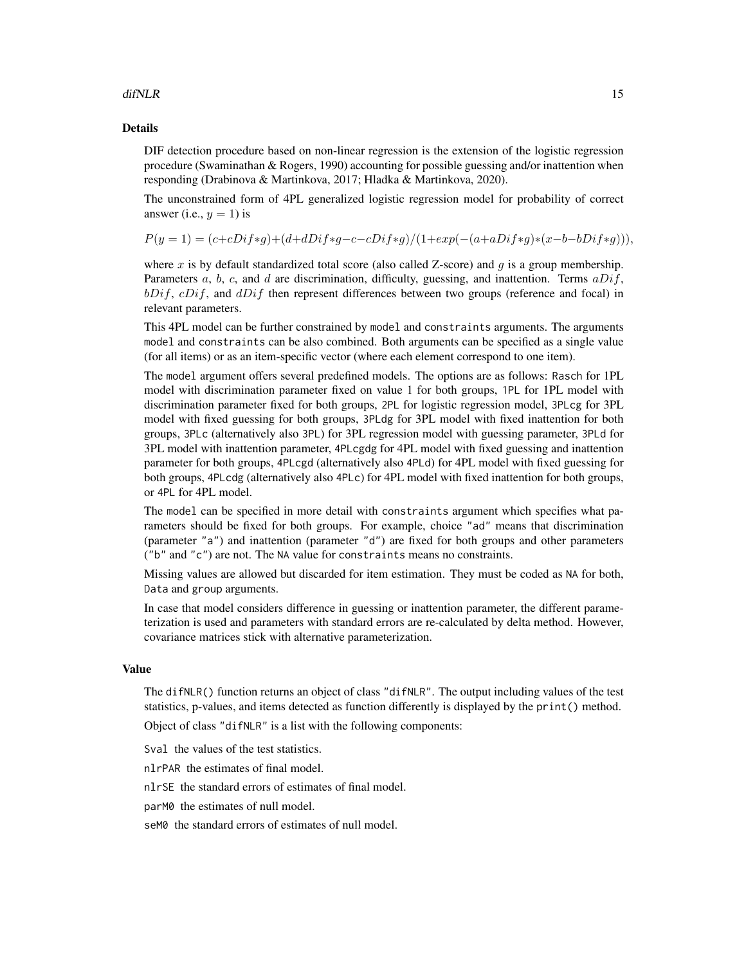#### difNLR to the contract of the contract of the contract of the contract of the contract of the contract of the contract of the contract of the contract of the contract of the contract of the contract of the contract of the

#### Details

DIF detection procedure based on non-linear regression is the extension of the logistic regression procedure (Swaminathan & Rogers, 1990) accounting for possible guessing and/or inattention when responding (Drabinova & Martinkova, 2017; Hladka & Martinkova, 2020).

The unconstrained form of 4PL generalized logistic regression model for probability of correct answer (i.e.,  $y = 1$ ) is

$$
P(y=1) = (c + cDif*g) + (d + dDif*g - c - cDif*g)/(1 + exp(-(a + aDif*g)*(x - b - bDif*g))),
$$

where  $x$  is by default standardized total score (also called Z-score) and  $g$  is a group membership. Parameters a, b, c, and d are discrimination, difficulty, guessing, and inattention. Terms  $aDif$ ,  $bDiff$ ,  $cDiff$ , and  $dDiff$  then represent differences between two groups (reference and focal) in relevant parameters.

This 4PL model can be further constrained by model and constraints arguments. The arguments model and constraints can be also combined. Both arguments can be specified as a single value (for all items) or as an item-specific vector (where each element correspond to one item).

The model argument offers several predefined models. The options are as follows: Rasch for 1PL model with discrimination parameter fixed on value 1 for both groups, 1PL for 1PL model with discrimination parameter fixed for both groups, 2PL for logistic regression model, 3PLcg for 3PL model with fixed guessing for both groups, 3PLdg for 3PL model with fixed inattention for both groups, 3PLc (alternatively also 3PL) for 3PL regression model with guessing parameter, 3PLd for 3PL model with inattention parameter, 4PLcgdg for 4PL model with fixed guessing and inattention parameter for both groups, 4PLcgd (alternatively also 4PLd) for 4PL model with fixed guessing for both groups, 4PLcdg (alternatively also 4PLc) for 4PL model with fixed inattention for both groups, or 4PL for 4PL model.

The model can be specified in more detail with constraints argument which specifies what parameters should be fixed for both groups. For example, choice "ad" means that discrimination (parameter "a") and inattention (parameter "d") are fixed for both groups and other parameters ("b" and "c") are not. The NA value for constraints means no constraints.

Missing values are allowed but discarded for item estimation. They must be coded as NA for both, Data and group arguments.

In case that model considers difference in guessing or inattention parameter, the different parameterization is used and parameters with standard errors are re-calculated by delta method. However, covariance matrices stick with alternative parameterization.

# Value

The difNLR() function returns an object of class "difNLR". The output including values of the test statistics, p-values, and items detected as function differently is displayed by the print() method.

Object of class "difNLR" is a list with the following components:

Sval the values of the test statistics.

nlrPAR the estimates of final model.

nlrSE the standard errors of estimates of final model.

parM0 the estimates of null model.

seM0 the standard errors of estimates of null model.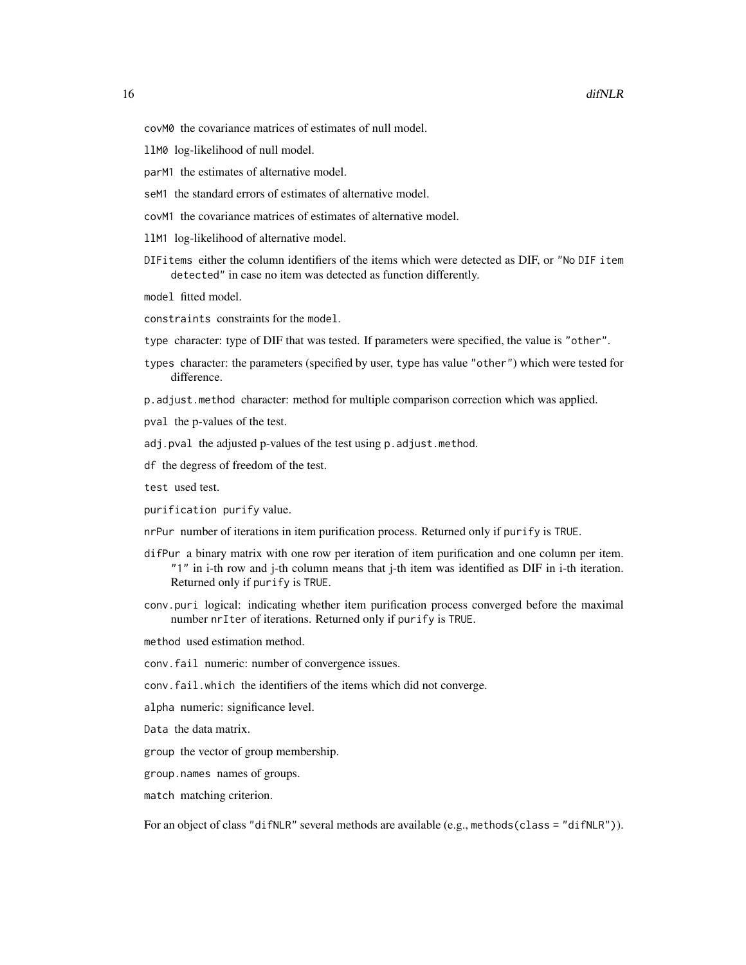- llM0 log-likelihood of null model.
- parM1 the estimates of alternative model.
- seM1 the standard errors of estimates of alternative model.
- covM1 the covariance matrices of estimates of alternative model.
- llM1 log-likelihood of alternative model.
- DIFitems either the column identifiers of the items which were detected as DIF, or "No DIF item detected" in case no item was detected as function differently.

model fitted model.

- constraints constraints for the model.
- type character: type of DIF that was tested. If parameters were specified, the value is "other".
- types character: the parameters (specified by user, type has value "other") which were tested for difference.
- p.adjust.method character: method for multiple comparison correction which was applied.
- pval the p-values of the test.
- adj.pval the adjusted p-values of the test using p.adjust.method.
- df the degress of freedom of the test.

test used test.

- purification purify value.
- nrPur number of iterations in item purification process. Returned only if purify is TRUE.
- difPur a binary matrix with one row per iteration of item purification and one column per item. "1" in i-th row and j-th column means that j-th item was identified as DIF in i-th iteration. Returned only if purify is TRUE.
- conv.puri logical: indicating whether item purification process converged before the maximal number nrIter of iterations. Returned only if purify is TRUE.
- method used estimation method.
- conv.fail numeric: number of convergence issues.
- conv.fail.which the identifiers of the items which did not converge.
- alpha numeric: significance level.

Data the data matrix.

group the vector of group membership.

group.names names of groups.

match matching criterion.

For an object of class "difNLR" several methods are available (e.g., methods (class = "difNLR")).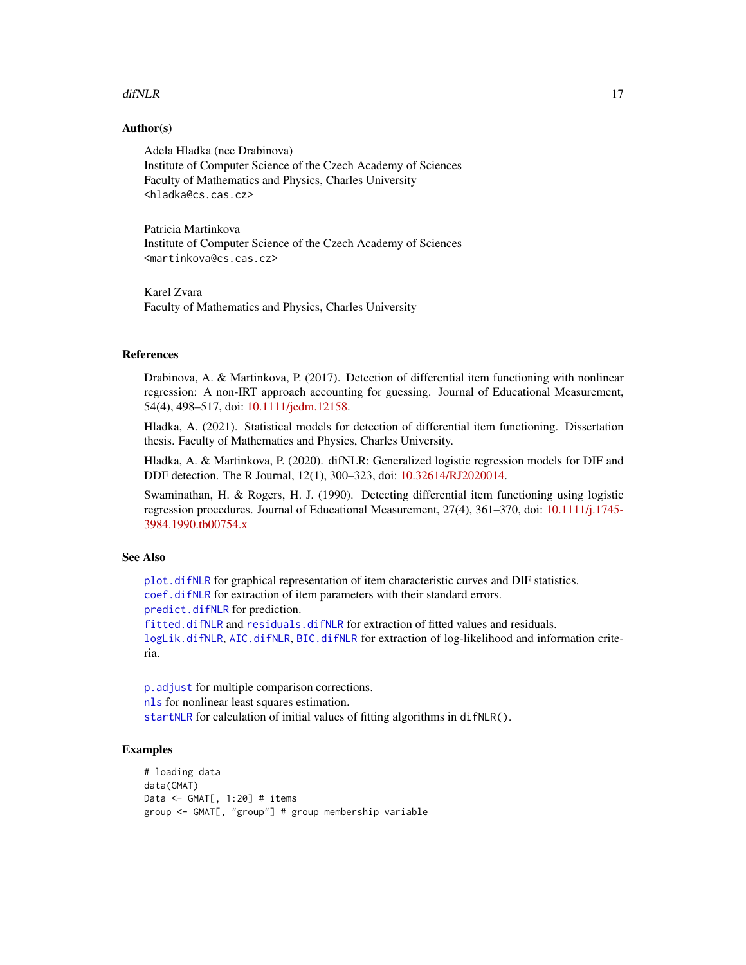#### <span id="page-16-0"></span>difNLR to the contract of the contract of the contract of the contract of the contract of the contract of the contract of the contract of the contract of the contract of the contract of the contract of the contract of the

## Author(s)

Adela Hladka (nee Drabinova) Institute of Computer Science of the Czech Academy of Sciences Faculty of Mathematics and Physics, Charles University <hladka@cs.cas.cz>

Patricia Martinkova Institute of Computer Science of the Czech Academy of Sciences <martinkova@cs.cas.cz>

Karel Zvara Faculty of Mathematics and Physics, Charles University

# References

Drabinova, A. & Martinkova, P. (2017). Detection of differential item functioning with nonlinear regression: A non-IRT approach accounting for guessing. Journal of Educational Measurement, 54(4), 498–517, doi: [10.1111/jedm.12158.](https://doi.org/10.1111/jedm.12158)

Hladka, A. (2021). Statistical models for detection of differential item functioning. Dissertation thesis. Faculty of Mathematics and Physics, Charles University.

Hladka, A. & Martinkova, P. (2020). difNLR: Generalized logistic regression models for DIF and DDF detection. The R Journal, 12(1), 300–323, doi: [10.32614/RJ2020014.](https://doi.org/10.32614/RJ-2020-014)

Swaminathan, H. & Rogers, H. J. (1990). Detecting differential item functioning using logistic regression procedures. Journal of Educational Measurement, 27(4), 361–370, doi: [10.1111/j.1745-](https://doi.org/10.1111/j.1745-3984.1990.tb00754.x) [3984.1990.tb00754.x](https://doi.org/10.1111/j.1745-3984.1990.tb00754.x)

# See Also

[plot.difNLR](#page-55-1) for graphical representation of item characteristic curves and DIF statistics. [coef.difNLR](#page-5-1) for extraction of item parameters with their standard errors. [predict.difNLR](#page-60-1) for prediction. [fitted.difNLR](#page-24-1) and [residuals.difNLR](#page-24-2) for extraction of fitted values and residuals. [logLik.difNLR](#page-38-1), [AIC.difNLR](#page-38-2), [BIC.difNLR](#page-38-2) for extraction of log-likelihood and information criteria.

[p.adjust](#page-0-0) for multiple comparison corrections. [nls](#page-0-0) for nonlinear least squares estimation. [startNLR](#page-64-1) for calculation of initial values of fitting algorithms in difNLR().

# Examples

```
# loading data
data(GMAT)
Data <- GMAT[, 1:20] # items
group <- GMAT[, "group"] # group membership variable
```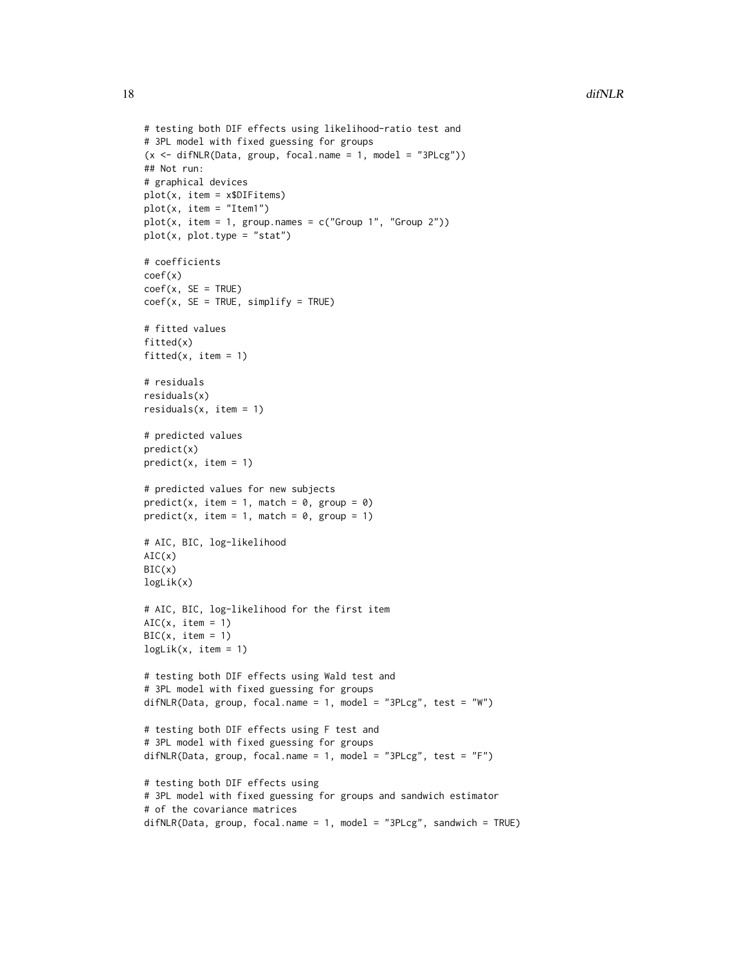```
# testing both DIF effects using likelihood-ratio test and
# 3PL model with fixed guessing for groups
(x \leq -\text{diffNLR}(Data, group, focal.name = 1, model = "3PLcg"))## Not run:
# graphical devices
plot(x, item = x$DIFitems)
plot(x, item = "Item1")
plot(x, item = 1, group.name = c("Group 1", "Group 2"))plot(x, plot_type = "stat")# coefficients
coef(x)
coef(x, SE = TRUE)coef(x, SE = TRUE, simplify = TRUE)# fitted values
fitted(x)
fitted(x, item = 1)
# residuals
residuals(x)
residuals(x, item = 1)
# predicted values
predict(x)
predict(x, item = 1)# predicted values for new subjects
predict(x, item = 1, match = 0, group = 0)predict(x, item = 1, match = 0, group = 1)# AIC, BIC, log-likelihood
AIC(x)BIC(x)logLik(x)
# AIC, BIC, log-likelihood for the first item
AIC(x, item = 1)BIC(x, item = 1)logLik(x, item = 1)# testing both DIF effects using Wald test and
# 3PL model with fixed guessing for groups
difNLR(Data, group, focal.name = 1, model = "3PLcg", test = "W")
# testing both DIF effects using F test and
# 3PL model with fixed guessing for groups
difNLR(Data, group, focal.name = 1, model = "3PLcg", test = "F")
# testing both DIF effects using
# 3PL model with fixed guessing for groups and sandwich estimator
# of the covariance matrices
difNLR(Data, group, focal.name = 1, model = "3PLcg", sandwich = TRUE)
```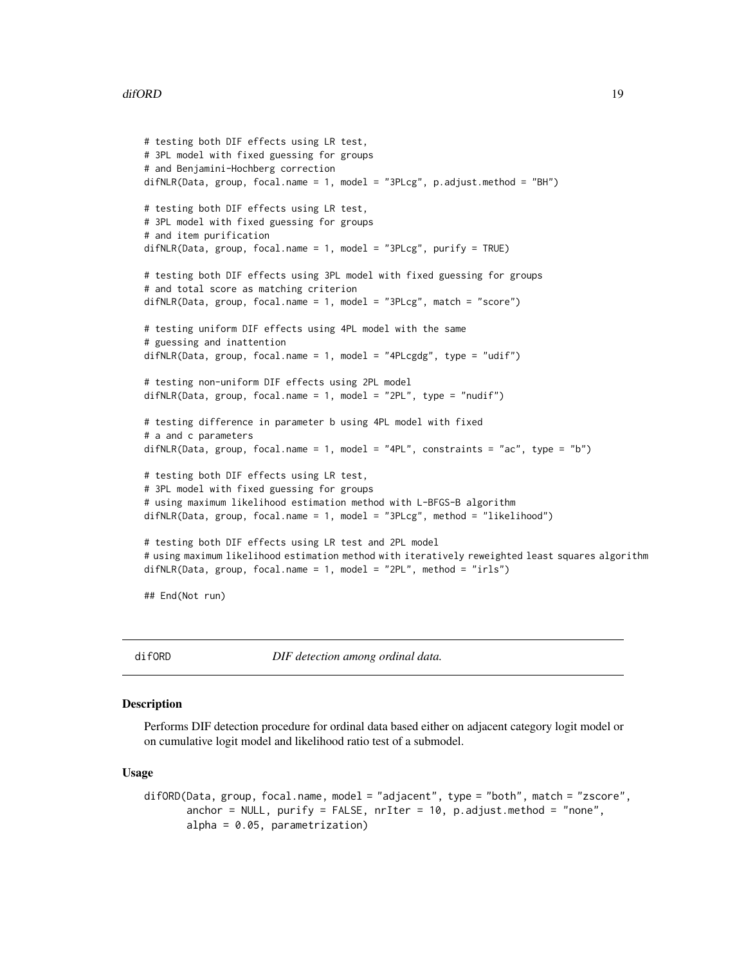#### <span id="page-18-0"></span>difORD 19

```
# testing both DIF effects using LR test,
# 3PL model with fixed guessing for groups
# and Benjamini-Hochberg correction
difNLR(Data, group, focal.name = 1, model = "3PLcg", p.adjust.method = "BH")
# testing both DIF effects using LR test,
# 3PL model with fixed guessing for groups
# and item purification
difNLR(Data, group, focal.name = 1, model = "3PLcg", purify = TRUE)
# testing both DIF effects using 3PL model with fixed guessing for groups
# and total score as matching criterion
difNLR(Data, group, focal.name = 1, model = "3PLcg", match = "score")
# testing uniform DIF effects using 4PL model with the same
# guessing and inattention
difNLR(Data, group, focal.name = 1, model = "4PLcgdg", type = "udif")
# testing non-uniform DIF effects using 2PL model
difNLR(Data, group, focal.name = 1, model = "2PL", type = "nudif")
# testing difference in parameter b using 4PL model with fixed
# a and c parameters
difNLR(Data, group, focal.name = 1, model = "4PL", constraints = "ac", type = "b")
# testing both DIF effects using LR test,
# 3PL model with fixed guessing for groups
# using maximum likelihood estimation method with L-BFGS-B algorithm
difNLR(Data, group, focal.name = 1, model = "3PLcg", method = "likelihood")
# testing both DIF effects using LR test and 2PL model
# using maximum likelihood estimation method with iteratively reweighted least squares algorithm
difNLR(Data, group, focal.name = 1, model = "2PL", method = "irls")
## End(Not run)
```
<span id="page-18-1"></span>difORD *DIF detection among ordinal data.*

# Description

Performs DIF detection procedure for ordinal data based either on adjacent category logit model or on cumulative logit model and likelihood ratio test of a submodel.

#### Usage

```
difORD(Data, group, focal.name, model = "adjacent", type = "both", match = "zscore",
       anchor = NULL, purity = FALSE, nIter = 10, p.addjust.method = "none",alpha = 0.05, parametrization)
```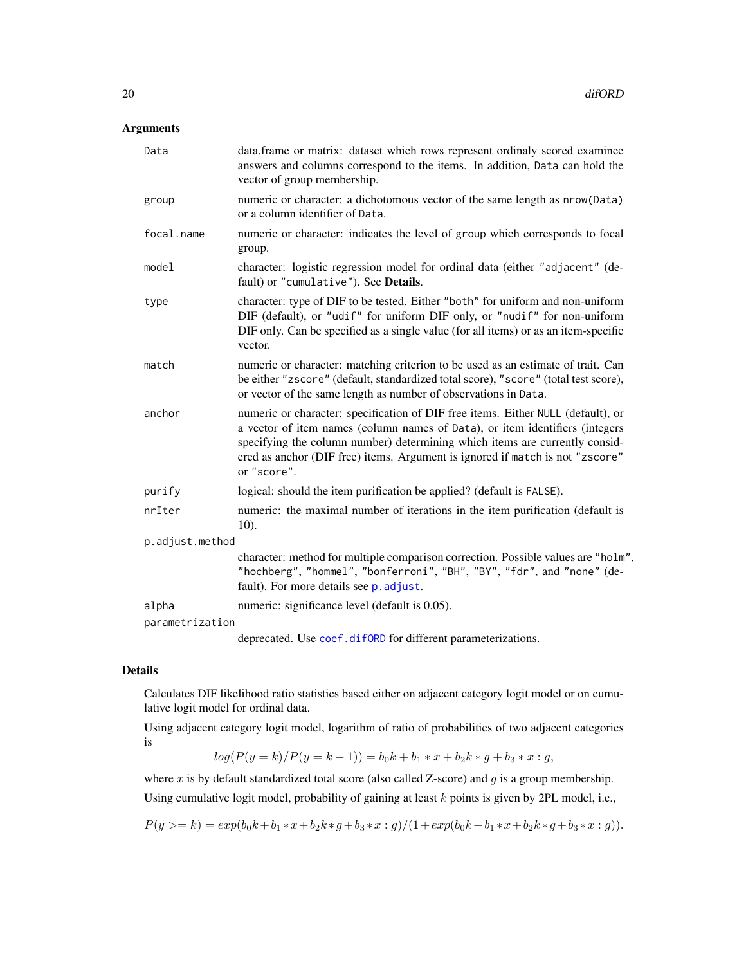# <span id="page-19-0"></span>Arguments

| Data            | data.frame or matrix: dataset which rows represent ordinaly scored examinee<br>answers and columns correspond to the items. In addition, Data can hold the<br>vector of group membership.                                                                                                                                                       |
|-----------------|-------------------------------------------------------------------------------------------------------------------------------------------------------------------------------------------------------------------------------------------------------------------------------------------------------------------------------------------------|
| group           | numeric or character: a dichotomous vector of the same length as $nrow(Data)$<br>or a column identifier of Data.                                                                                                                                                                                                                                |
| focal.name      | numeric or character: indicates the level of group which corresponds to focal<br>group.                                                                                                                                                                                                                                                         |
| model           | character: logistic regression model for ordinal data (either "adjacent" (de-<br>fault) or "cumulative"). See Details.                                                                                                                                                                                                                          |
| type            | character: type of DIF to be tested. Either "both" for uniform and non-uniform<br>DIF (default), or "udif" for uniform DIF only, or "nudif" for non-uniform<br>DIF only. Can be specified as a single value (for all items) or as an item-specific<br>vector.                                                                                   |
| match           | numeric or character: matching criterion to be used as an estimate of trait. Can<br>be either "zscore" (default, standardized total score), "score" (total test score),<br>or vector of the same length as number of observations in Data.                                                                                                      |
| anchor          | numeric or character: specification of DIF free items. Either NULL (default), or<br>a vector of item names (column names of Data), or item identifiers (integers<br>specifying the column number) determining which items are currently consid-<br>ered as anchor (DIF free) items. Argument is ignored if match is not "zscore"<br>or "score". |
| purify          | logical: should the item purification be applied? (default is FALSE).                                                                                                                                                                                                                                                                           |
| nrIter          | numeric: the maximal number of iterations in the item purification (default is<br>$10$ ).                                                                                                                                                                                                                                                       |
| p.adjust.method |                                                                                                                                                                                                                                                                                                                                                 |
|                 | character: method for multiple comparison correction. Possible values are "holm",<br>"hochberg", "hommel", "bonferroni", "BH", "BY", "fdr", and "none" (de-<br>fault). For more details see p. adjust.                                                                                                                                          |
| alpha           | numeric: significance level (default is 0.05).                                                                                                                                                                                                                                                                                                  |
| parametrization |                                                                                                                                                                                                                                                                                                                                                 |
|                 | deprecated. Use coef.dif0RD for different parameterizations.                                                                                                                                                                                                                                                                                    |

# Details

Calculates DIF likelihood ratio statistics based either on adjacent category logit model or on cumulative logit model for ordinal data.

Using adjacent category logit model, logarithm of ratio of probabilities of two adjacent categories is

$$
log(P(y = k)/P(y = k - 1)) = b_0k + b_1 * x + b_2k * g + b_3 * x : g,
$$

where  $x$  is by default standardized total score (also called Z-score) and  $g$  is a group membership.

Using cumulative logit model, probability of gaining at least  $k$  points is given by 2PL model, i.e.,

$$
P(y \geq k) = exp(b_0k + b_1*x + b_2k*g + b_3*x : g)/(1 + exp(b_0k + b_1*x + b_2k*g + b_3*x : g)).
$$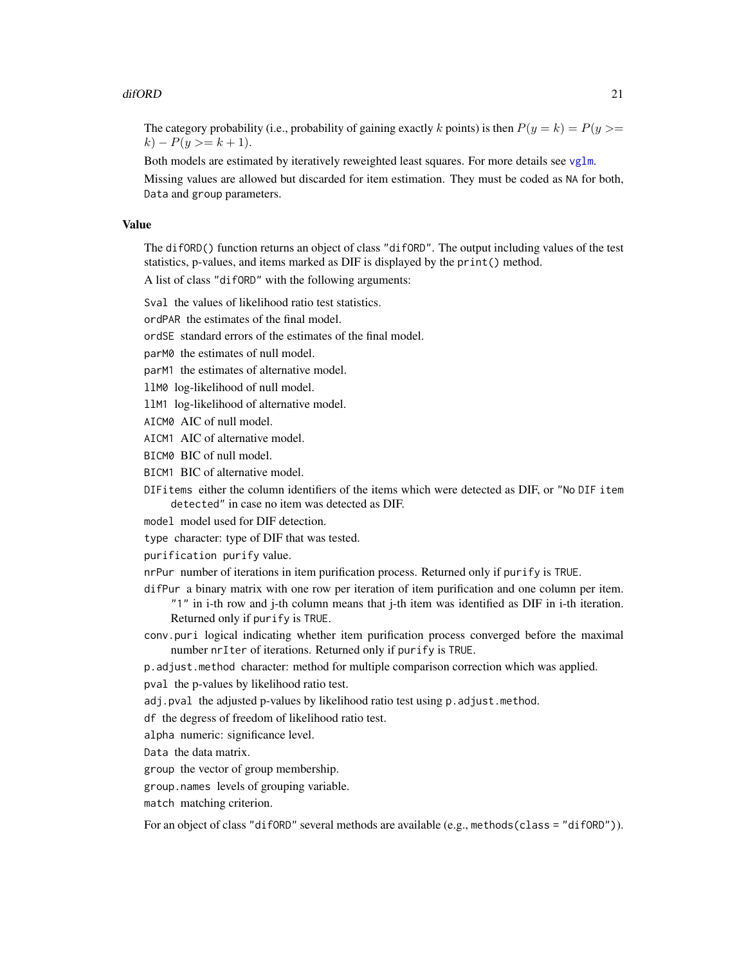#### <span id="page-20-0"></span>difORD 21

The category probability (i.e., probability of gaining exactly k points) is then  $P(y = k) = P(y \geq 0)$  $k$ ) –  $P(y \ge k + 1)$ .

Both models are estimated by iteratively reweighted least squares. For more details see [vglm](#page-0-0).

Missing values are allowed but discarded for item estimation. They must be coded as NA for both, Data and group parameters.

#### Value

The difORD() function returns an object of class "difORD". The output including values of the test statistics, p-values, and items marked as DIF is displayed by the print() method.

A list of class "difORD" with the following arguments:

Sval the values of likelihood ratio test statistics.

ordPAR the estimates of the final model.

ordSE standard errors of the estimates of the final model.

parM0 the estimates of null model.

parM1 the estimates of alternative model.

llM0 log-likelihood of null model.

llM1 log-likelihood of alternative model.

AICM0 AIC of null model.

AICM1 AIC of alternative model.

BICM0 BIC of null model.

BICM1 BIC of alternative model.

DIFitems either the column identifiers of the items which were detected as DIF, or "No DIF item detected" in case no item was detected as DIF.

model model used for DIF detection.

type character: type of DIF that was tested.

purification purify value.

nrPur number of iterations in item purification process. Returned only if purify is TRUE.

- difPur a binary matrix with one row per iteration of item purification and one column per item. "1" in i-th row and j-th column means that j-th item was identified as DIF in i-th iteration. Returned only if purify is TRUE.
- conv.puri logical indicating whether item purification process converged before the maximal number nrIter of iterations. Returned only if purify is TRUE.
- p.adjust.method character: method for multiple comparison correction which was applied.

pval the p-values by likelihood ratio test.

adj.pval the adjusted p-values by likelihood ratio test using p.adjust.method.

df the degress of freedom of likelihood ratio test.

alpha numeric: significance level.

Data the data matrix.

group the vector of group membership.

group.names levels of grouping variable.

match matching criterion.

For an object of class "difORD" several methods are available (e.g., methods (class = "difORD")).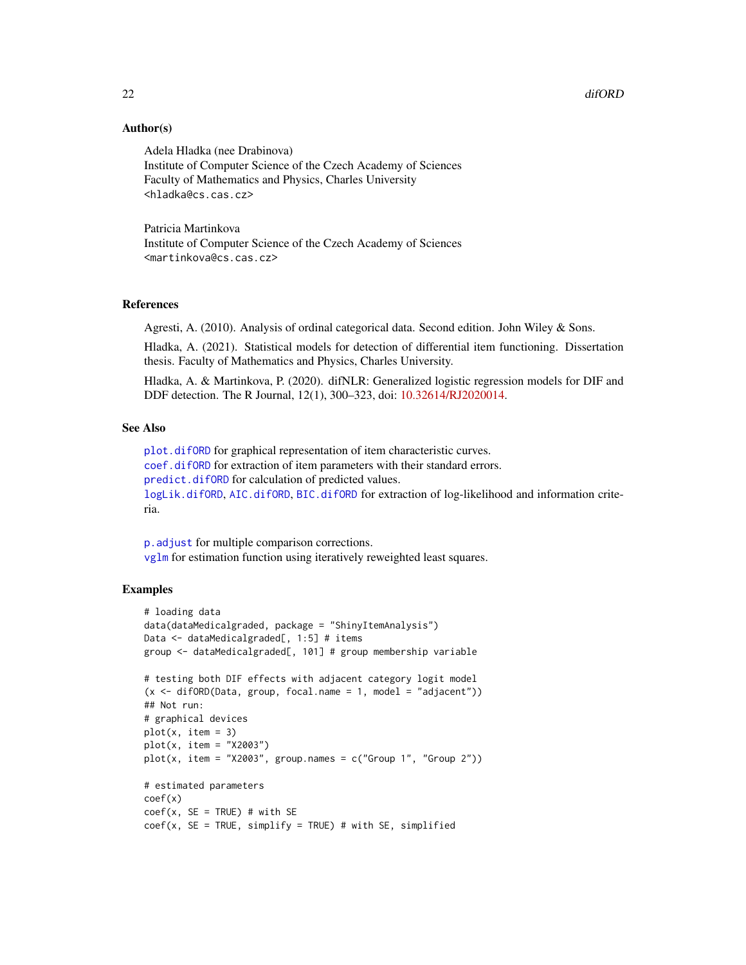22 difORD

#### Author(s)

Adela Hladka (nee Drabinova) Institute of Computer Science of the Czech Academy of Sciences Faculty of Mathematics and Physics, Charles University <hladka@cs.cas.cz>

Patricia Martinkova Institute of Computer Science of the Czech Academy of Sciences <martinkova@cs.cas.cz>

#### References

Agresti, A. (2010). Analysis of ordinal categorical data. Second edition. John Wiley & Sons.

Hladka, A. (2021). Statistical models for detection of differential item functioning. Dissertation thesis. Faculty of Mathematics and Physics, Charles University.

Hladka, A. & Martinkova, P. (2020). difNLR: Generalized logistic regression models for DIF and DDF detection. The R Journal, 12(1), 300–323, doi: [10.32614/RJ2020014.](https://doi.org/10.32614/RJ-2020-014)

#### See Also

[plot.difORD](#page-57-1) for graphical representation of item characteristic curves. [coef.difORD](#page-6-1) for extraction of item parameters with their standard errors. [predict.difORD](#page-62-1) for calculation of predicted values. [logLik.difORD](#page-40-1), [AIC.difORD](#page-40-2), [BIC.difORD](#page-40-2) for extraction of log-likelihood and information criteria.

[p.adjust](#page-0-0) for multiple comparison corrections. [vglm](#page-0-0) for estimation function using iteratively reweighted least squares.

#### Examples

```
# loading data
data(dataMedicalgraded, package = "ShinyItemAnalysis")
Data <- dataMedicalgraded[, 1:5] # items
group <- dataMedicalgraded[, 101] # group membership variable
# testing both DIF effects with adjacent category logit model
(x \le -\text{ difORD}(Data, group, focal.name = 1, model = "adjacent"))## Not run:
# graphical devices
plot(x, item = 3)plot(x, item = "X2003")plot(x, item = "X2003", group.name = c("Group 1", "Group 2"))# estimated parameters
coef(x)
coef(x, SE = TRUE) # with SE
coef(x, SE = TRUE, simplify = TRUE) # with SE, simplified
```
<span id="page-21-0"></span>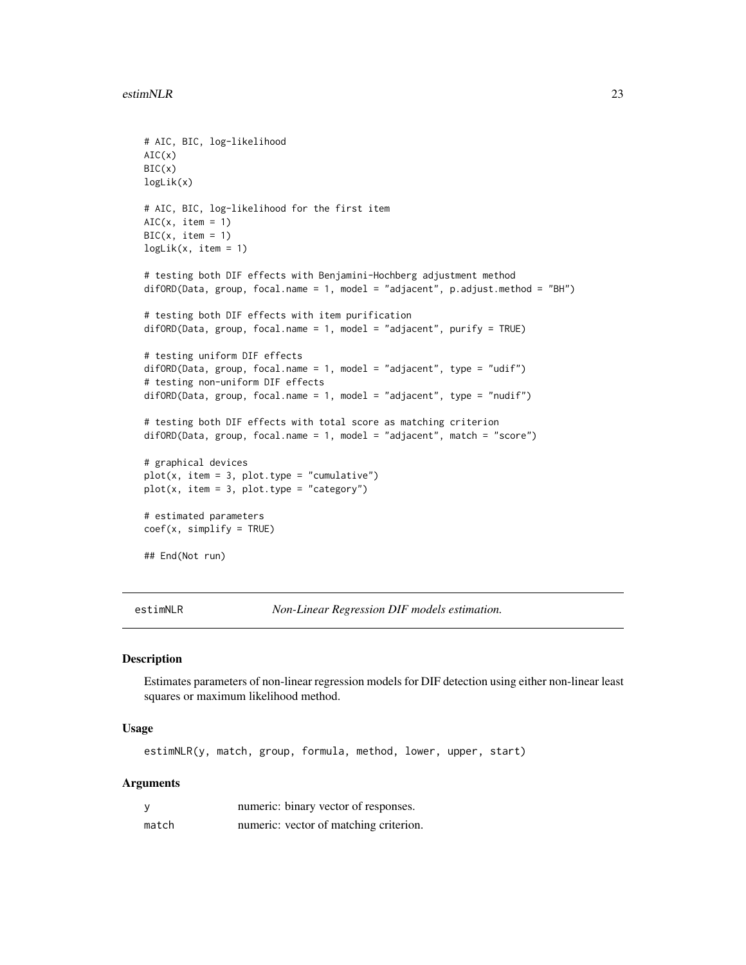```
# AIC, BIC, log-likelihood
AIC(x)
BIC(x)logLik(x)
# AIC, BIC, log-likelihood for the first item
AIC(x, item = 1)BIC(x, item = 1)logLik(x, item = 1)# testing both DIF effects with Benjamini-Hochberg adjustment method
difORD(Data, group, focal.name = 1, model = "adjacent", p.adjust.method = "BH")
# testing both DIF effects with item purification
difORD(Data, group, focal.name = 1, model = "adjacent", purify = TRUE)
# testing uniform DIF effects
difORD(Data, group, focal.name = 1, model = "adjacent", type = "udif")
# testing non-uniform DIF effects
difORD(Data, group, focal.name = 1, model = "adjacent", type = "nudif")
# testing both DIF effects with total score as matching criterion
difORD(Data, group, focal.name = 1, model = "adjacent", match = "score")
# graphical devices
plot(x, item = 3, plot_type = "cumulative")plot(x, item = 3, plot.type = "category")
# estimated parameters
coef(x, simplify = TRUE)## End(Not run)
```
<span id="page-22-1"></span>estimNLR *Non-Linear Regression DIF models estimation.*

#### **Description**

Estimates parameters of non-linear regression models for DIF detection using either non-linear least squares or maximum likelihood method.

#### Usage

estimNLR(y, match, group, formula, method, lower, upper, start)

# Arguments

| y     | numeric: binary vector of responses.   |
|-------|----------------------------------------|
| match | numeric: vector of matching criterion. |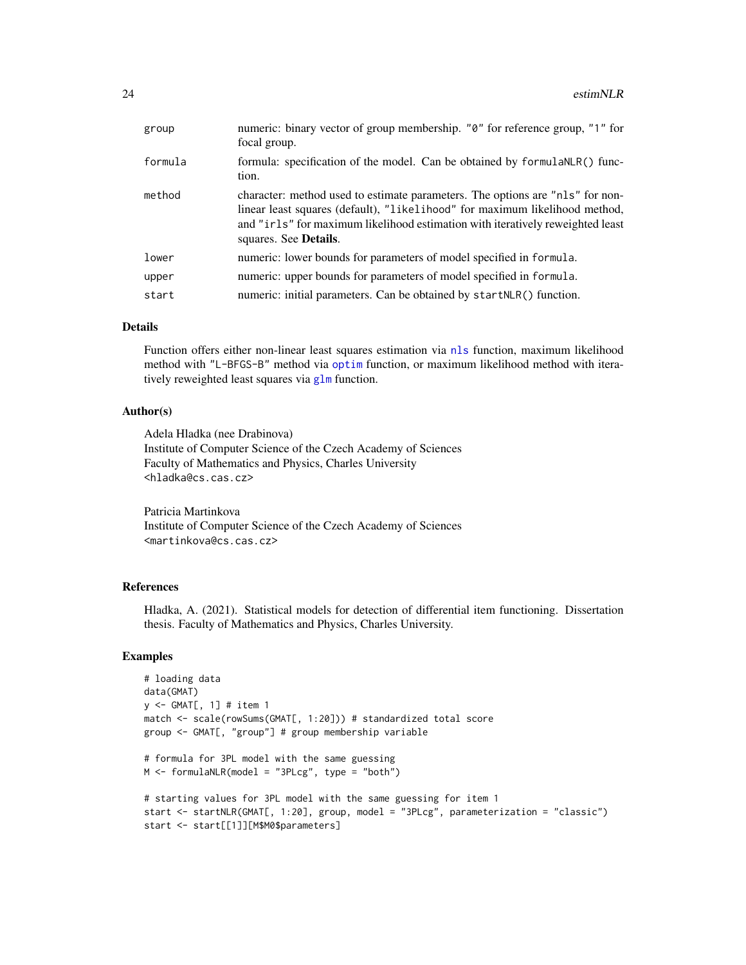<span id="page-23-0"></span>

| group   | numeric: binary vector of group membership. "0" for reference group, "1" for<br>focal group.                                                                                                                                                                                    |
|---------|---------------------------------------------------------------------------------------------------------------------------------------------------------------------------------------------------------------------------------------------------------------------------------|
| formula | formula: specification of the model. Can be obtained by formulan LR() func-<br>tion.                                                                                                                                                                                            |
| method  | character: method used to estimate parameters. The options are "nls" for non-<br>linear least squares (default), "likelihood" for maximum likelihood method,<br>and "irls" for maximum likelihood estimation with iteratively reweighted least<br>squares. See <b>Details</b> . |
| lower   | numeric: lower bounds for parameters of model specified in formula.                                                                                                                                                                                                             |
| upper   | numeric: upper bounds for parameters of model specified in formula.                                                                                                                                                                                                             |
| start   | numeric: initial parameters. Can be obtained by startNLR() function.                                                                                                                                                                                                            |

#### Details

Function offers either non-linear least squares estimation via [nls](#page-0-0) function, maximum likelihood method with "L-BFGS-B" method via [optim](#page-0-0) function, or maximum likelihood method with iteratively reweighted least squares via  $g \ln$  function.

#### Author(s)

Adela Hladka (nee Drabinova) Institute of Computer Science of the Czech Academy of Sciences Faculty of Mathematics and Physics, Charles University <hladka@cs.cas.cz>

Patricia Martinkova Institute of Computer Science of the Czech Academy of Sciences <martinkova@cs.cas.cz>

### References

Hladka, A. (2021). Statistical models for detection of differential item functioning. Dissertation thesis. Faculty of Mathematics and Physics, Charles University.

# Examples

```
# loading data
data(GMAT)
y <- GMAT[, 1] # item 1
match <- scale(rowSums(GMAT[, 1:20])) # standardized total score
group <- GMAT[, "group"] # group membership variable
# formula for 3PL model with the same guessing
M \leftarrow formulaNLR(model = "3PLcg", type = "both")
# starting values for 3PL model with the same guessing for item 1
start <- startNLR(GMAT[, 1:20], group, model = "3PLcg", parameterization = "classic")
start <- start[[1]][M$M0$parameters]
```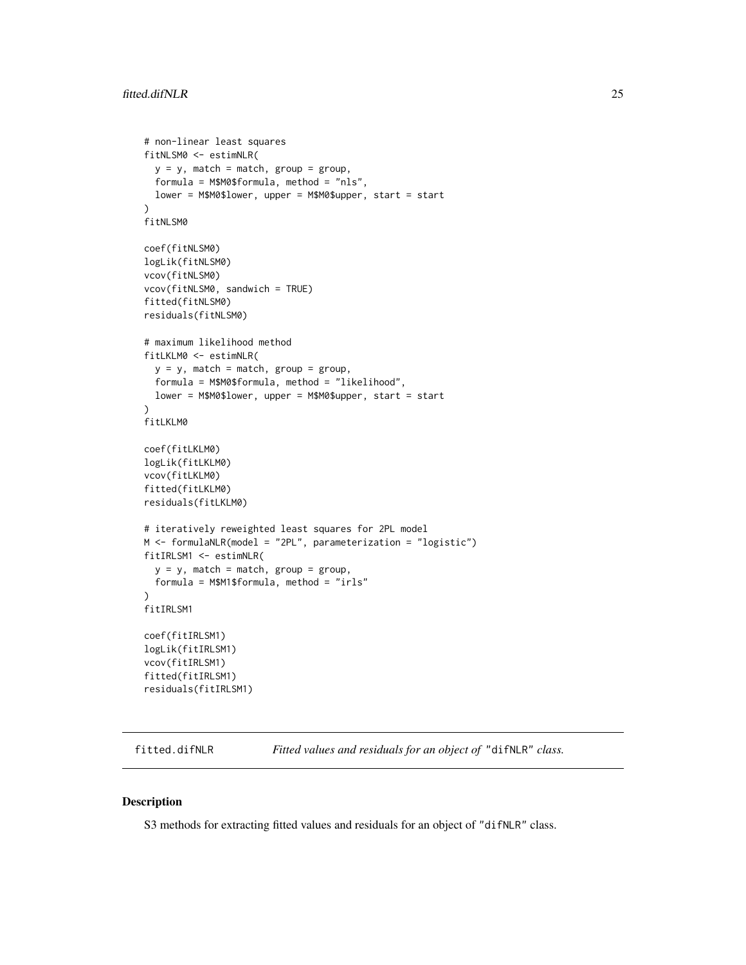```
# non-linear least squares
fitNLSM0 <- estimNLR(
 y = y, match = match, group = group,
  formula = M$M0$formula, method = "nls",
  lower = M$M0$lower, upper = M$M0$upper, start = start
\mathcal{L}fitNLSM0
coef(fitNLSM0)
logLik(fitNLSM0)
vcov(fitNLSM0)
vcov(fitNLSM0, sandwich = TRUE)
fitted(fitNLSM0)
residuals(fitNLSM0)
# maximum likelihood method
fitLKLM0 <- estimNLR(
  y = y, match = match, group = group,
  formula = M$M0$formula, method = "likelihood",
  lower = M$M0$lower, upper = M$M0$upper, start = start
\mathcal{L}fitLKLM0
coef(fitLKLM0)
logLik(fitLKLM0)
vcov(fitLKLM0)
fitted(fitLKLM0)
residuals(fitLKLM0)
# iteratively reweighted least squares for 2PL model
M <- formulaNLR(model = "2PL", parameterization = "logistic")
fitIRLSM1 <- estimNLR(
  y = y, match = match, group = group,
  formula = M$M1$formula, method = "irls"
\lambdafitIRLSM1
coef(fitIRLSM1)
logLik(fitIRLSM1)
vcov(fitIRLSM1)
fitted(fitIRLSM1)
residuals(fitIRLSM1)
```
<span id="page-24-1"></span>fitted.difNLR *Fitted values and residuals for an object of* "difNLR" *class.*

#### <span id="page-24-2"></span>Description

S3 methods for extracting fitted values and residuals for an object of "difNLR" class.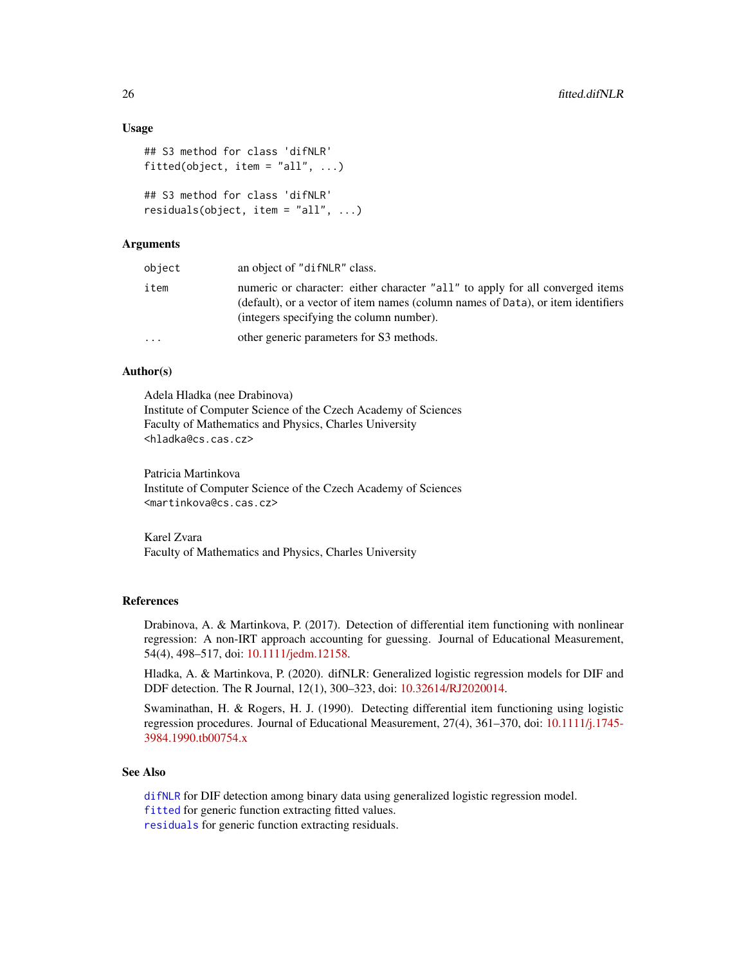#### Usage

```
## S3 method for class 'difNLR'
fitted(object, item = "all", \ldots)
## S3 method for class 'difNLR'
residuals(object, item = "all", ...)
```
# Arguments

| object | an object of "difNLR" class.                                                                                                                                                                                  |
|--------|---------------------------------------------------------------------------------------------------------------------------------------------------------------------------------------------------------------|
| item   | numeric or character: either character "all" to apply for all converged items<br>(default), or a vector of item names (column names of Data), or item identifiers<br>(integers specifying the column number). |
| .      | other generic parameters for S3 methods.                                                                                                                                                                      |

# Author(s)

Adela Hladka (nee Drabinova) Institute of Computer Science of the Czech Academy of Sciences Faculty of Mathematics and Physics, Charles University <hladka@cs.cas.cz>

Patricia Martinkova Institute of Computer Science of the Czech Academy of Sciences <martinkova@cs.cas.cz>

Karel Zvara Faculty of Mathematics and Physics, Charles University

#### References

Drabinova, A. & Martinkova, P. (2017). Detection of differential item functioning with nonlinear regression: A non-IRT approach accounting for guessing. Journal of Educational Measurement, 54(4), 498–517, doi: [10.1111/jedm.12158.](https://doi.org/10.1111/jedm.12158)

Hladka, A. & Martinkova, P. (2020). difNLR: Generalized logistic regression models for DIF and DDF detection. The R Journal, 12(1), 300–323, doi: [10.32614/RJ2020014.](https://doi.org/10.32614/RJ-2020-014)

Swaminathan, H. & Rogers, H. J. (1990). Detecting differential item functioning using logistic regression procedures. Journal of Educational Measurement, 27(4), 361–370, doi: [10.1111/j.1745-](https://doi.org/10.1111/j.1745-3984.1990.tb00754.x) [3984.1990.tb00754.x](https://doi.org/10.1111/j.1745-3984.1990.tb00754.x)

# See Also

[difNLR](#page-12-1) for DIF detection among binary data using generalized logistic regression model. [fitted](#page-0-0) for generic function extracting fitted values. [residuals](#page-0-0) for generic function extracting residuals.

<span id="page-25-0"></span>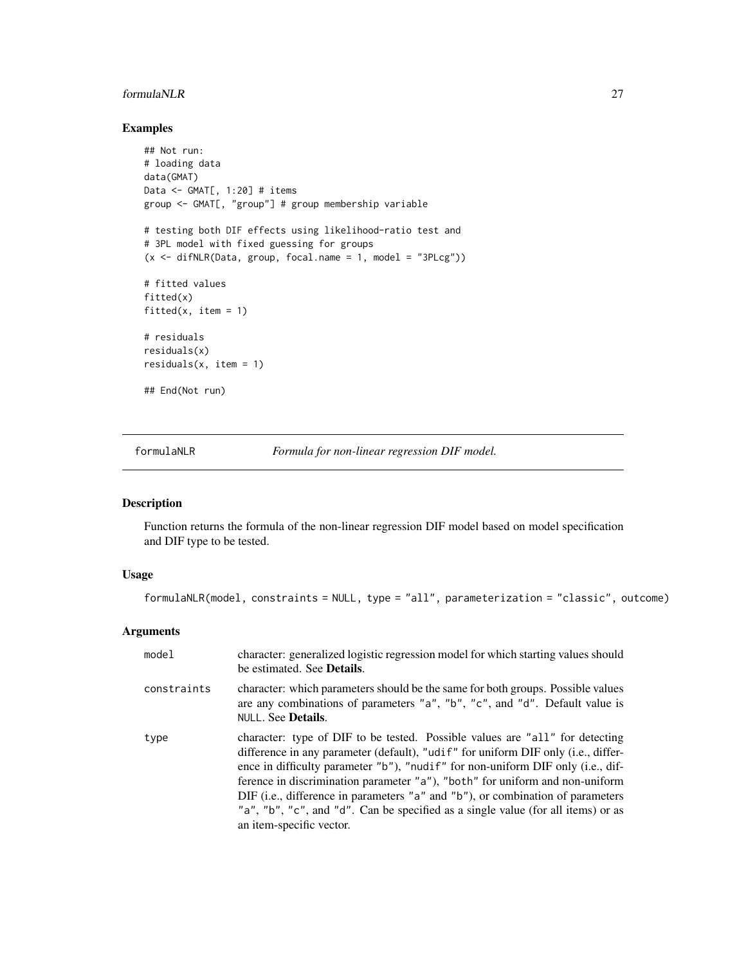#### <span id="page-26-0"></span>formulaNLR 27

# Examples

```
## Not run:
# loading data
data(GMAT)
Data <- GMAT[, 1:20] # items
group <- GMAT[, "group"] # group membership variable
# testing both DIF effects using likelihood-ratio test and
# 3PL model with fixed guessing for groups
(x \leq -\text{diffNLR}(Data, group, focal.name = 1, model = "3PLcg"))# fitted values
fitted(x)
fitted(x, item = 1)
# residuals
residuals(x)
residuals(x, item = 1)
## End(Not run)
```
<span id="page-26-1"></span>formulaNLR *Formula for non-linear regression DIF model.*

# Description

Function returns the formula of the non-linear regression DIF model based on model specification and DIF type to be tested.

# Usage

```
formulaNLR(model, constraints = NULL, type = "all", parameterization = "classic", outcome)
```
# Arguments

| model       | character: generalized logistic regression model for which starting values should<br>be estimated. See Details.                                                                                                                                                                                                                                                                                                                                                                                                                        |
|-------------|----------------------------------------------------------------------------------------------------------------------------------------------------------------------------------------------------------------------------------------------------------------------------------------------------------------------------------------------------------------------------------------------------------------------------------------------------------------------------------------------------------------------------------------|
| constraints | character: which parameters should be the same for both groups. Possible values<br>are any combinations of parameters "a", "b", "c", and "d". Default value is<br>NULL. See <b>Details</b> .                                                                                                                                                                                                                                                                                                                                           |
| type        | character: type of DIF to be tested. Possible values are "all" for detecting<br>difference in any parameter (default), "udif" for uniform DIF only (i.e., differ-<br>ence in difficulty parameter "b"), "nudif" for non-uniform DIF only (i.e., dif-<br>ference in discrimination parameter "a"), "both" for uniform and non-uniform<br>DIF (i.e., difference in parameters "a" and "b"), or combination of parameters<br>"a", "b", "c", and "d". Can be specified as a single value (for all items) or as<br>an item-specific vector. |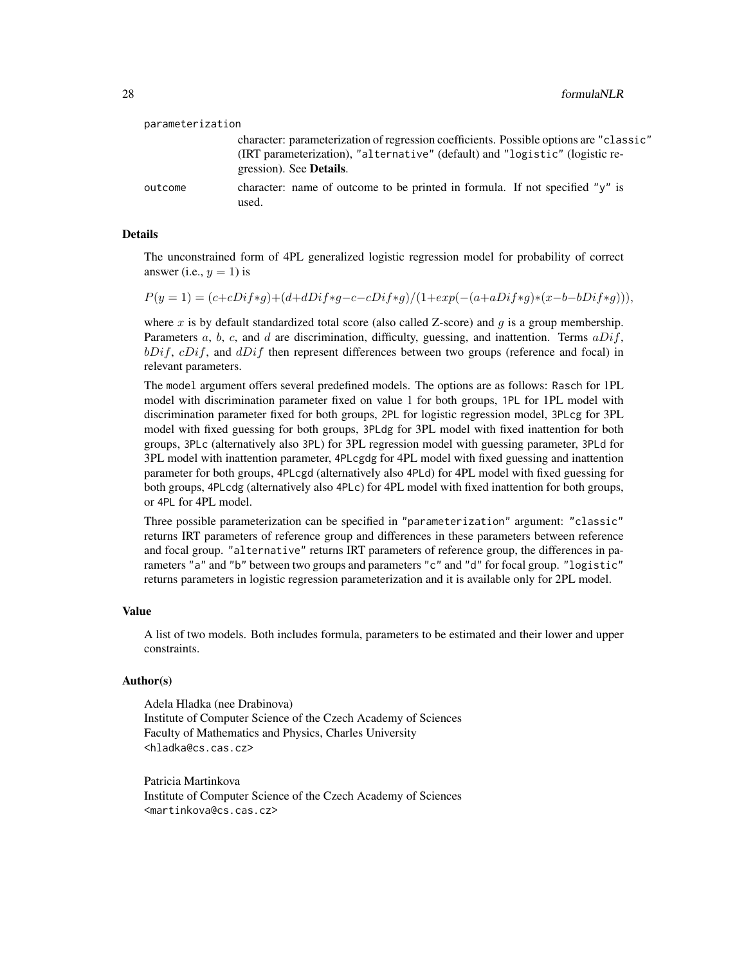| parameterization |                                                                                                                                                                                                           |
|------------------|-----------------------------------------------------------------------------------------------------------------------------------------------------------------------------------------------------------|
|                  | character: parameterization of regression coefficients. Possible options are "classic"<br>(IRT parameterization), "alternative" (default) and "logistic" (logistic re-<br>gression). See <b>Details</b> . |
| outcome          | character: name of outcome to be printed in formula. If not specified " $y$ " is<br>used.                                                                                                                 |

# Details

The unconstrained form of 4PL generalized logistic regression model for probability of correct answer (i.e.,  $y = 1$ ) is

$$
P(y = 1) = (c + cDif * g) + (d + dDif * g - c - cDif * g) / (1 + exp(-a + aDif * g) * (x - b - bDif * g))),
$$

where  $x$  is by default standardized total score (also called Z-score) and  $q$  is a group membership. Parameters a, b, c, and d are discrimination, difficulty, guessing, and inattention. Terms  $aDif$ ,  $bDiff$ ,  $cDiff$ , and  $dDiff$  then represent differences between two groups (reference and focal) in relevant parameters.

The model argument offers several predefined models. The options are as follows: Rasch for 1PL model with discrimination parameter fixed on value 1 for both groups, 1PL for 1PL model with discrimination parameter fixed for both groups, 2PL for logistic regression model, 3PLcg for 3PL model with fixed guessing for both groups, 3PLdg for 3PL model with fixed inattention for both groups, 3PLc (alternatively also 3PL) for 3PL regression model with guessing parameter, 3PLd for 3PL model with inattention parameter, 4PLcgdg for 4PL model with fixed guessing and inattention parameter for both groups, 4PLcgd (alternatively also 4PLd) for 4PL model with fixed guessing for both groups, 4PLcdg (alternatively also 4PLc) for 4PL model with fixed inattention for both groups, or 4PL for 4PL model.

Three possible parameterization can be specified in "parameterization" argument: "classic" returns IRT parameters of reference group and differences in these parameters between reference and focal group. "alternative" returns IRT parameters of reference group, the differences in parameters "a" and "b" between two groups and parameters "c" and "d" for focal group. "logistic" returns parameters in logistic regression parameterization and it is available only for 2PL model.

#### Value

A list of two models. Both includes formula, parameters to be estimated and their lower and upper constraints.

#### Author(s)

Adela Hladka (nee Drabinova) Institute of Computer Science of the Czech Academy of Sciences Faculty of Mathematics and Physics, Charles University <hladka@cs.cas.cz>

Patricia Martinkova Institute of Computer Science of the Czech Academy of Sciences <martinkova@cs.cas.cz>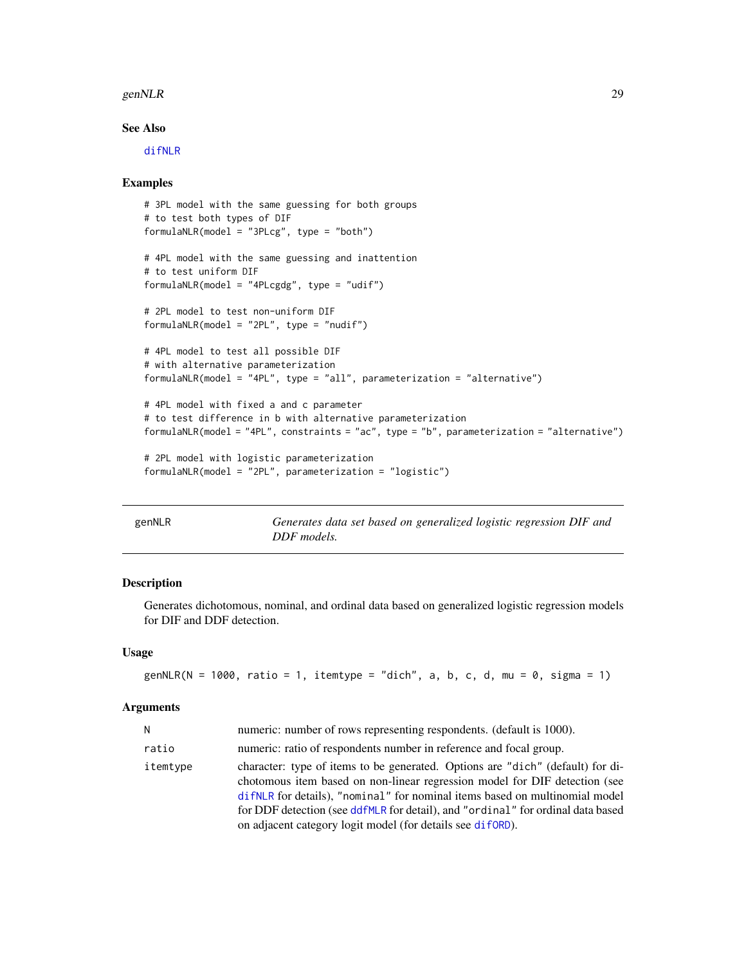#### <span id="page-28-0"></span>genNLR 29

# See Also

[difNLR](#page-12-1)

#### Examples

```
# 3PL model with the same guessing for both groups
# to test both types of DIF
formulaNLR(model = "3PLcg", type = "both")
# 4PL model with the same guessing and inattention
# to test uniform DIF
formulaNLR(model = "4PLcgdg", type = "udif")
# 2PL model to test non-uniform DIF
formulaNLR(model = "2PL", type = "nudif")# 4PL model to test all possible DIF
# with alternative parameterization
formulaNLR(model = "4PL", type = "all", parameterization = "alternative")
# 4PL model with fixed a and c parameter
# to test difference in b with alternative parameterization
formulaNLR(model = "4PL", constraints = "ac", type = "b", parameterization = "alternative")
# 2PL model with logistic parameterization
formulaNLR(model = "2PL", parameterization = "logistic")
```
genNLR *Generates data set based on generalized logistic regression DIF and DDF models.*

# Description

Generates dichotomous, nominal, and ordinal data based on generalized logistic regression models for DIF and DDF detection.

#### Usage

```
genNLR(N = 1000, ratio = 1, itemtype = "dich", a, b, c, d, mu = 0, sigma = 1)
```
#### Arguments

| N        | numeric: number of rows representing respondents. (default is 1000).                                                                                                                                                                                                                                                                                                                         |
|----------|----------------------------------------------------------------------------------------------------------------------------------------------------------------------------------------------------------------------------------------------------------------------------------------------------------------------------------------------------------------------------------------------|
| ratio    | numeric: ratio of respondents number in reference and focal group.                                                                                                                                                                                                                                                                                                                           |
| itemtype | character: type of items to be generated. Options are "dich" (default) for di-<br>chotomous item based on non-linear regression model for DIF detection (see<br>difNLR for details), "nominal" for nominal items based on multinomial model<br>for DDF detection (see ddfMLR for detail), and "ordinal" for ordinal data based<br>on adjacent category logit model (for details see difORD). |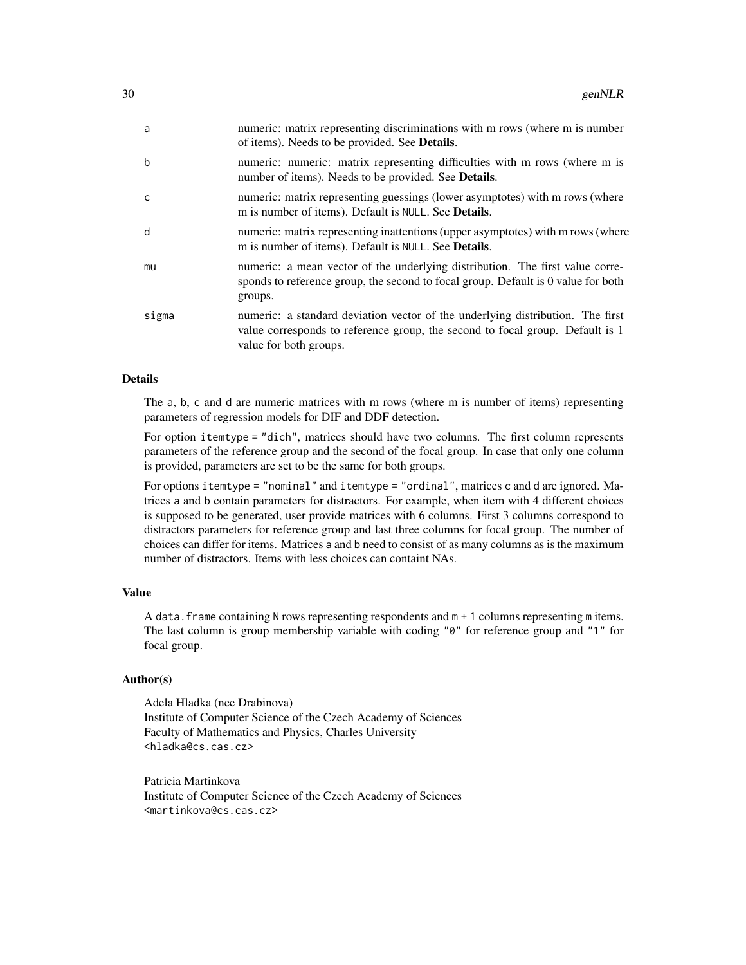| a |       | numeric: matrix representing discriminations with m rows (where m is number<br>of items). Needs to be provided. See <b>Details</b> .                                                      |
|---|-------|-------------------------------------------------------------------------------------------------------------------------------------------------------------------------------------------|
| b |       | numeric: numeric: matrix representing difficulties with m rows (where m is<br>number of items). Needs to be provided. See <b>Details</b> .                                                |
| C |       | numeric: matrix representing guessings (lower asymptotes) with m rows (where<br>m is number of items). Default is NULL. See <b>Details</b> .                                              |
| d |       | numeric: matrix representing inattentions (upper asymptotes) with m rows (where<br>m is number of items). Default is NULL. See <b>Details</b> .                                           |
|   | mu    | numeric: a mean vector of the underlying distribution. The first value corre-<br>sponds to reference group, the second to focal group. Default is 0 value for both<br>groups.             |
|   | sigma | numeric: a standard deviation vector of the underlying distribution. The first<br>value corresponds to reference group, the second to focal group. Default is 1<br>value for both groups. |

#### Details

The a, b, c and d are numeric matrices with m rows (where m is number of items) representing parameters of regression models for DIF and DDF detection.

For option itemtype = "dich", matrices should have two columns. The first column represents parameters of the reference group and the second of the focal group. In case that only one column is provided, parameters are set to be the same for both groups.

For options itemtype = "nominal" and itemtype = "ordinal", matrices c and d are ignored. Matrices a and b contain parameters for distractors. For example, when item with 4 different choices is supposed to be generated, user provide matrices with 6 columns. First 3 columns correspond to distractors parameters for reference group and last three columns for focal group. The number of choices can differ for items. Matrices a and b need to consist of as many columns as is the maximum number of distractors. Items with less choices can containt NAs.

# Value

A data. frame containing N rows representing respondents and  $m + 1$  columns representing m items. The last column is group membership variable with coding "0" for reference group and "1" for focal group.

# Author(s)

Adela Hladka (nee Drabinova) Institute of Computer Science of the Czech Academy of Sciences Faculty of Mathematics and Physics, Charles University <hladka@cs.cas.cz>

Patricia Martinkova Institute of Computer Science of the Czech Academy of Sciences <martinkova@cs.cas.cz>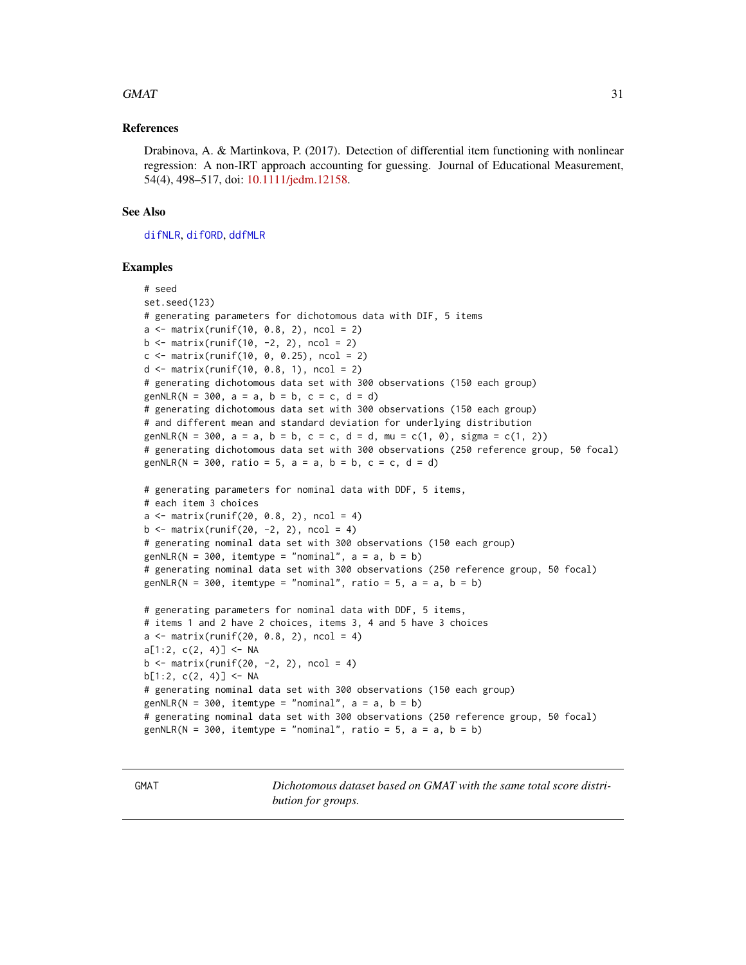#### <span id="page-30-0"></span> $GMAT$  31

## References

Drabinova, A. & Martinkova, P. (2017). Detection of differential item functioning with nonlinear regression: A non-IRT approach accounting for guessing. Journal of Educational Measurement, 54(4), 498–517, doi: [10.1111/jedm.12158.](https://doi.org/10.1111/jedm.12158)

#### See Also

[difNLR](#page-12-1), [difORD](#page-18-1), [ddfMLR](#page-8-1)

#### Examples

```
# seed
set.seed(123)
# generating parameters for dichotomous data with DIF, 5 items
a \le matrix(runif(10, 0.8, 2), ncol = 2)
b \leftarrow matrix(runif(10, -2, 2), ncol = 2)
c \le matrix(runif(10, 0, 0.25), ncol = 2)
d \le - matrix(runif(10, 0.8, 1), ncol = 2)
# generating dichotomous data set with 300 observations (150 each group)
genNLR(N = 300, a = a, b = b, c = c, d = d)
# generating dichotomous data set with 300 observations (150 each group)
# and different mean and standard deviation for underlying distribution
genNLR(N = 300, a = a, b = b, c = c, d = d, mu = c(1, 0), sigma = c(1, 2))
# generating dichotomous data set with 300 observations (250 reference group, 50 focal)
genNLR(N = 300, ratio = 5, a = a, b = b, c = c, d = d)
# generating parameters for nominal data with DDF, 5 items,
# each item 3 choices
a \leq matrix(runif(20, 0.8, 2), ncol = 4)
b \leftarrow matrix(runif(20, -2, 2), ncol = 4)
# generating nominal data set with 300 observations (150 each group)
genNLR(N = 300, itemtype = "nominal", a = a, b = b)
# generating nominal data set with 300 observations (250 reference group, 50 focal)
genNLR(N = 300, itemtype = "nominal", ratio = 5, a = a, b = b)
# generating parameters for nominal data with DDF, 5 items,
# items 1 and 2 have 2 choices, items 3, 4 and 5 have 3 choices
a \leq -\text{matrix}(\text{runif}(20, 0.8, 2), \text{ncol} = 4)a[1:2, c(2, 4)] <- NA
b \le matrix(runif(20, -2, 2), ncol = 4)
b[1:2, c(2, 4)] <- NA
# generating nominal data set with 300 observations (150 each group)
genNLR(N = 300, itemtype = "nominal", a = a, b = b)
# generating nominal data set with 300 observations (250 reference group, 50 focal)
```
genNLR( $N = 300$ , itemtype = "nominal", ratio = 5, a = a, b = b)

<span id="page-30-1"></span>GMAT *Dichotomous dataset based on GMAT with the same total score distribution for groups.*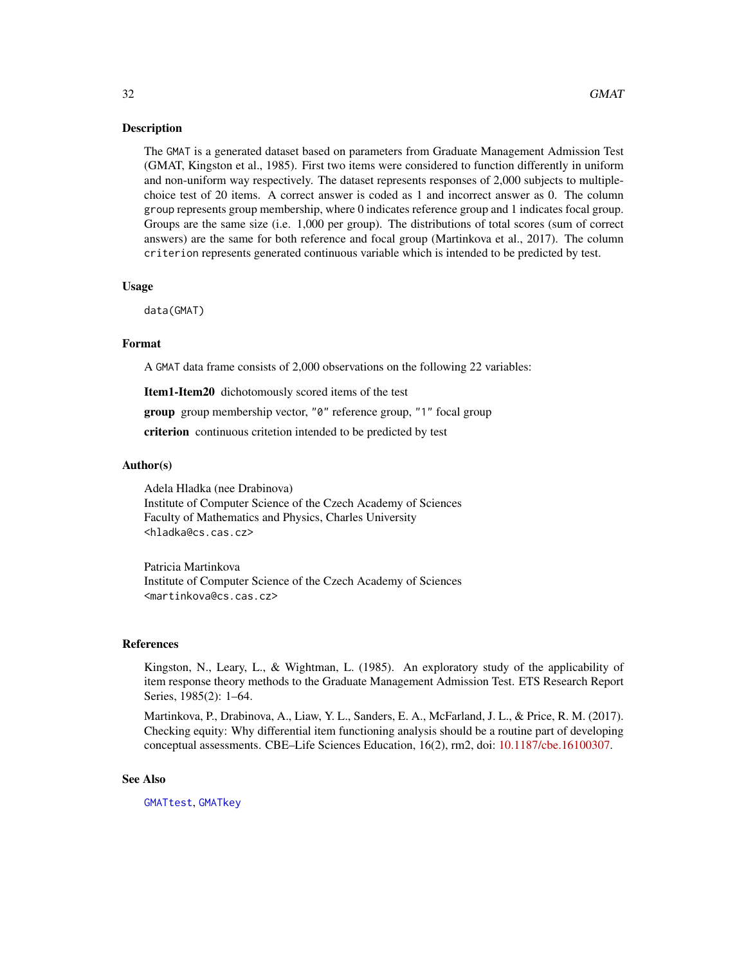<span id="page-31-0"></span>The GMAT is a generated dataset based on parameters from Graduate Management Admission Test (GMAT, Kingston et al., 1985). First two items were considered to function differently in uniform and non-uniform way respectively. The dataset represents responses of 2,000 subjects to multiplechoice test of 20 items. A correct answer is coded as 1 and incorrect answer as 0. The column group represents group membership, where 0 indicates reference group and 1 indicates focal group. Groups are the same size (i.e. 1,000 per group). The distributions of total scores (sum of correct answers) are the same for both reference and focal group (Martinkova et al., 2017). The column criterion represents generated continuous variable which is intended to be predicted by test.

#### Usage

data(GMAT)

# Format

A GMAT data frame consists of 2,000 observations on the following 22 variables:

Item1-Item20 dichotomously scored items of the test

group group membership vector, "0" reference group, "1" focal group

criterion continuous critetion intended to be predicted by test

#### Author(s)

Adela Hladka (nee Drabinova) Institute of Computer Science of the Czech Academy of Sciences Faculty of Mathematics and Physics, Charles University <hladka@cs.cas.cz>

Patricia Martinkova Institute of Computer Science of the Czech Academy of Sciences <martinkova@cs.cas.cz>

#### References

Kingston, N., Leary, L., & Wightman, L. (1985). An exploratory study of the applicability of item response theory methods to the Graduate Management Admission Test. ETS Research Report Series, 1985(2): 1–64.

Martinkova, P., Drabinova, A., Liaw, Y. L., Sanders, E. A., McFarland, J. L., & Price, R. M. (2017). Checking equity: Why differential item functioning analysis should be a routine part of developing conceptual assessments. CBE–Life Sciences Education, 16(2), rm2, doi: [10.1187/cbe.16100307.](https://doi.org/10.1187/cbe.16-10-0307)

#### See Also

[GMATtest](#page-36-1), [GMATkey](#page-35-1)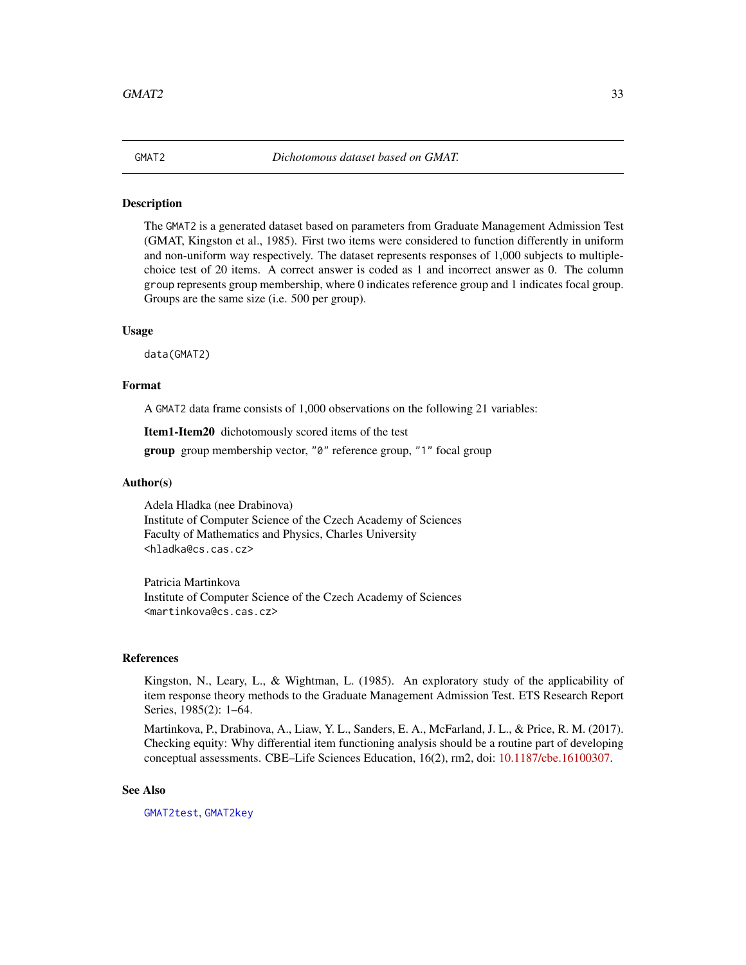<span id="page-32-1"></span><span id="page-32-0"></span>

The GMAT2 is a generated dataset based on parameters from Graduate Management Admission Test (GMAT, Kingston et al., 1985). First two items were considered to function differently in uniform and non-uniform way respectively. The dataset represents responses of 1,000 subjects to multiplechoice test of 20 items. A correct answer is coded as 1 and incorrect answer as 0. The column group represents group membership, where 0 indicates reference group and 1 indicates focal group. Groups are the same size (i.e. 500 per group).

#### Usage

data(GMAT2)

#### Format

A GMAT2 data frame consists of 1,000 observations on the following 21 variables:

Item1-Item20 dichotomously scored items of the test

group group membership vector, "0" reference group, "1" focal group

#### Author(s)

Adela Hladka (nee Drabinova) Institute of Computer Science of the Czech Academy of Sciences Faculty of Mathematics and Physics, Charles University <hladka@cs.cas.cz>

Patricia Martinkova Institute of Computer Science of the Czech Academy of Sciences <martinkova@cs.cas.cz>

#### References

Kingston, N., Leary, L., & Wightman, L. (1985). An exploratory study of the applicability of item response theory methods to the Graduate Management Admission Test. ETS Research Report Series, 1985(2): 1–64.

Martinkova, P., Drabinova, A., Liaw, Y. L., Sanders, E. A., McFarland, J. L., & Price, R. M. (2017). Checking equity: Why differential item functioning analysis should be a routine part of developing conceptual assessments. CBE–Life Sciences Education, 16(2), rm2, doi: [10.1187/cbe.16100307.](https://doi.org/10.1187/cbe.16-10-0307)

#### See Also

[GMAT2test](#page-34-1), [GMAT2key](#page-33-1)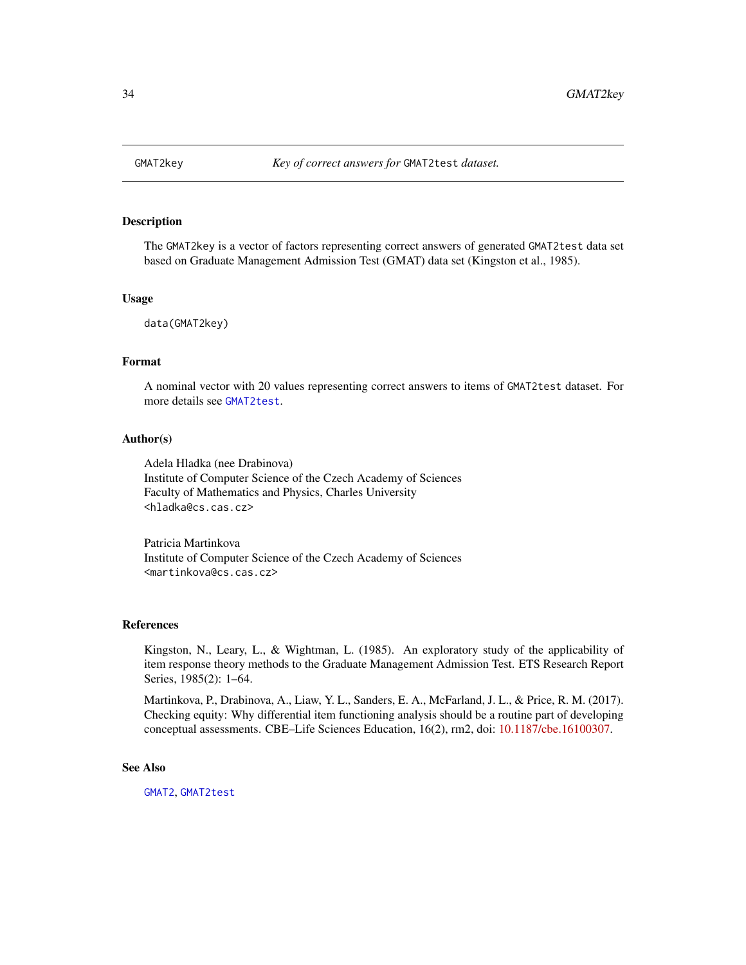<span id="page-33-1"></span><span id="page-33-0"></span>

The GMAT2key is a vector of factors representing correct answers of generated GMAT2test data set based on Graduate Management Admission Test (GMAT) data set (Kingston et al., 1985).

#### Usage

data(GMAT2key)

#### Format

A nominal vector with 20 values representing correct answers to items of GMAT2test dataset. For more details see [GMAT2test](#page-34-1).

#### Author(s)

Adela Hladka (nee Drabinova) Institute of Computer Science of the Czech Academy of Sciences Faculty of Mathematics and Physics, Charles University <hladka@cs.cas.cz>

Patricia Martinkova Institute of Computer Science of the Czech Academy of Sciences <martinkova@cs.cas.cz>

#### References

Kingston, N., Leary, L., & Wightman, L. (1985). An exploratory study of the applicability of item response theory methods to the Graduate Management Admission Test. ETS Research Report Series, 1985(2): 1–64.

Martinkova, P., Drabinova, A., Liaw, Y. L., Sanders, E. A., McFarland, J. L., & Price, R. M. (2017). Checking equity: Why differential item functioning analysis should be a routine part of developing conceptual assessments. CBE–Life Sciences Education, 16(2), rm2, doi: [10.1187/cbe.16100307.](https://doi.org/10.1187/cbe.16-10-0307)

#### See Also

[GMAT2](#page-32-1), [GMAT2test](#page-34-1)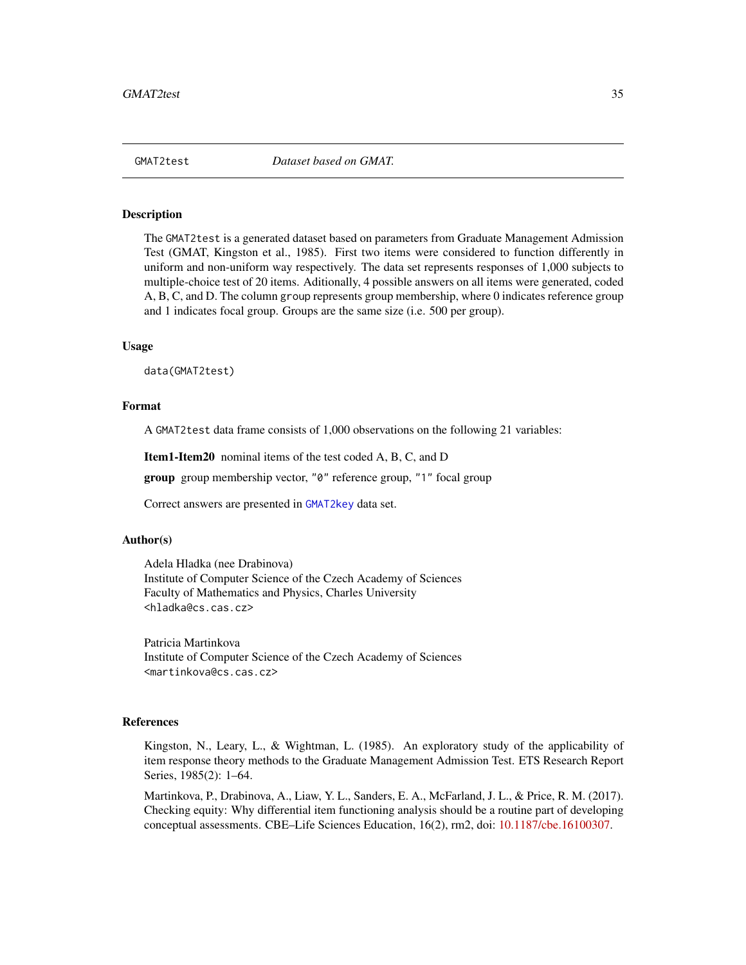<span id="page-34-1"></span><span id="page-34-0"></span>The GMAT2test is a generated dataset based on parameters from Graduate Management Admission Test (GMAT, Kingston et al., 1985). First two items were considered to function differently in uniform and non-uniform way respectively. The data set represents responses of 1,000 subjects to multiple-choice test of 20 items. Aditionally, 4 possible answers on all items were generated, coded A, B, C, and D. The column group represents group membership, where 0 indicates reference group and 1 indicates focal group. Groups are the same size (i.e. 500 per group).

#### Usage

data(GMAT2test)

### Format

A GMAT2test data frame consists of 1,000 observations on the following 21 variables:

Item1-Item20 nominal items of the test coded A, B, C, and D

group group membership vector, "0" reference group, "1" focal group

Correct answers are presented in [GMAT2key](#page-33-1) data set.

#### Author(s)

Adela Hladka (nee Drabinova) Institute of Computer Science of the Czech Academy of Sciences Faculty of Mathematics and Physics, Charles University <hladka@cs.cas.cz>

Patricia Martinkova Institute of Computer Science of the Czech Academy of Sciences <martinkova@cs.cas.cz>

#### References

Kingston, N., Leary, L., & Wightman, L. (1985). An exploratory study of the applicability of item response theory methods to the Graduate Management Admission Test. ETS Research Report Series, 1985(2): 1–64.

Martinkova, P., Drabinova, A., Liaw, Y. L., Sanders, E. A., McFarland, J. L., & Price, R. M. (2017). Checking equity: Why differential item functioning analysis should be a routine part of developing conceptual assessments. CBE–Life Sciences Education, 16(2), rm2, doi: [10.1187/cbe.16100307.](https://doi.org/10.1187/cbe.16-10-0307)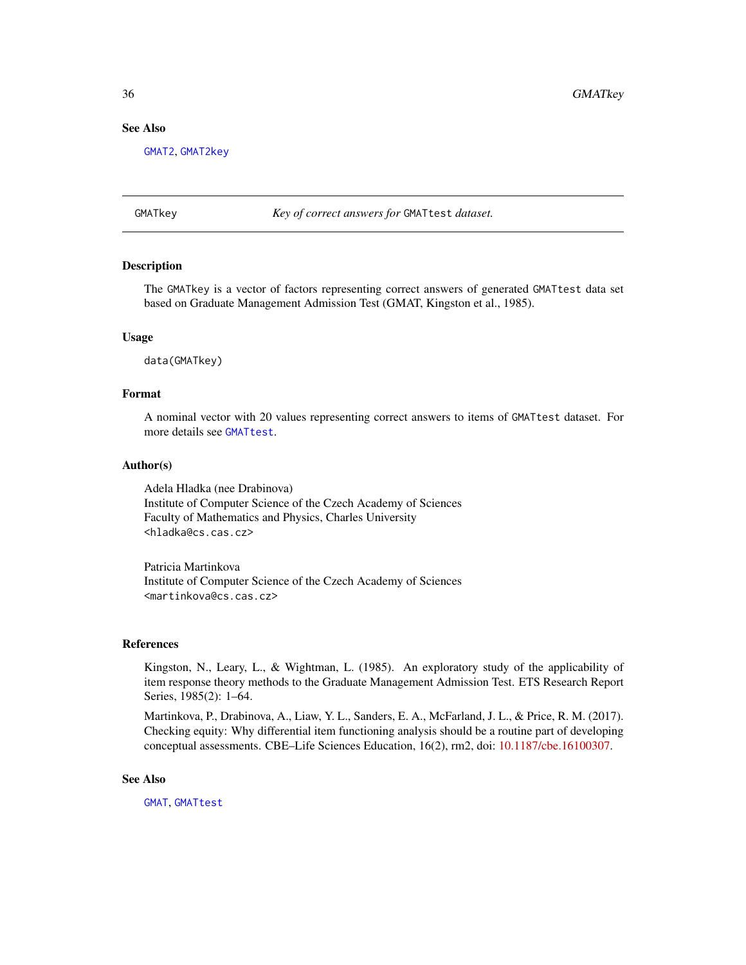36 GMATkey

# See Also

[GMAT2](#page-32-1), [GMAT2key](#page-33-1)

<span id="page-35-1"></span>GMATkey *Key of correct answers for* GMATtest *dataset.*

#### Description

The GMATkey is a vector of factors representing correct answers of generated GMATtest data set based on Graduate Management Admission Test (GMAT, Kingston et al., 1985).

#### Usage

data(GMATkey)

# Format

A nominal vector with 20 values representing correct answers to items of GMATtest dataset. For more details see [GMATtest](#page-36-1).

#### Author(s)

Adela Hladka (nee Drabinova) Institute of Computer Science of the Czech Academy of Sciences Faculty of Mathematics and Physics, Charles University <hladka@cs.cas.cz>

Patricia Martinkova Institute of Computer Science of the Czech Academy of Sciences <martinkova@cs.cas.cz>

#### References

Kingston, N., Leary, L., & Wightman, L. (1985). An exploratory study of the applicability of item response theory methods to the Graduate Management Admission Test. ETS Research Report Series, 1985(2): 1–64.

Martinkova, P., Drabinova, A., Liaw, Y. L., Sanders, E. A., McFarland, J. L., & Price, R. M. (2017). Checking equity: Why differential item functioning analysis should be a routine part of developing conceptual assessments. CBE–Life Sciences Education, 16(2), rm2, doi: [10.1187/cbe.16100307.](https://doi.org/10.1187/cbe.16-10-0307)

# See Also

[GMAT](#page-30-1), [GMATtest](#page-36-1)

<span id="page-35-0"></span>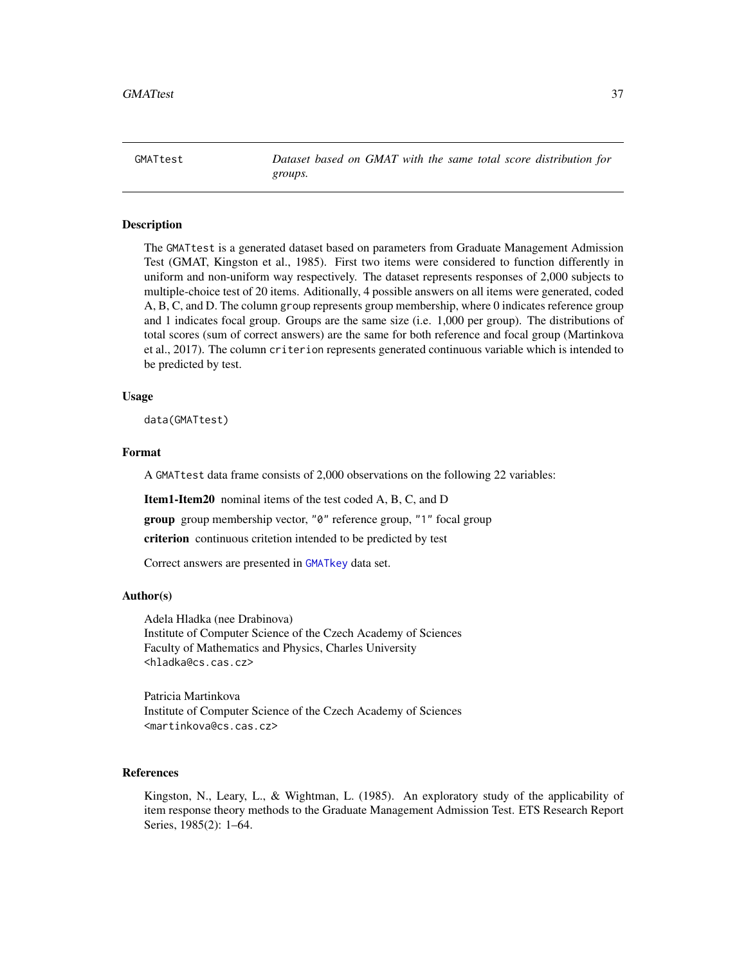<span id="page-36-1"></span><span id="page-36-0"></span>GMATtest *Dataset based on GMAT with the same total score distribution for groups.*

# **Description**

The GMATtest is a generated dataset based on parameters from Graduate Management Admission Test (GMAT, Kingston et al., 1985). First two items were considered to function differently in uniform and non-uniform way respectively. The dataset represents responses of 2,000 subjects to multiple-choice test of 20 items. Aditionally, 4 possible answers on all items were generated, coded A, B, C, and D. The column group represents group membership, where 0 indicates reference group and 1 indicates focal group. Groups are the same size (i.e. 1,000 per group). The distributions of total scores (sum of correct answers) are the same for both reference and focal group (Martinkova et al., 2017). The column criterion represents generated continuous variable which is intended to be predicted by test.

#### Usage

data(GMATtest)

#### Format

A GMATtest data frame consists of 2,000 observations on the following 22 variables:

Item1-Item20 nominal items of the test coded A, B, C, and D

group group membership vector, "0" reference group, "1" focal group

criterion continuous critetion intended to be predicted by test

Correct answers are presented in [GMATkey](#page-35-1) data set.

# Author(s)

Adela Hladka (nee Drabinova) Institute of Computer Science of the Czech Academy of Sciences Faculty of Mathematics and Physics, Charles University <hladka@cs.cas.cz>

Patricia Martinkova Institute of Computer Science of the Czech Academy of Sciences <martinkova@cs.cas.cz>

# References

Kingston, N., Leary, L., & Wightman, L. (1985). An exploratory study of the applicability of item response theory methods to the Graduate Management Admission Test. ETS Research Report Series, 1985(2): 1–64.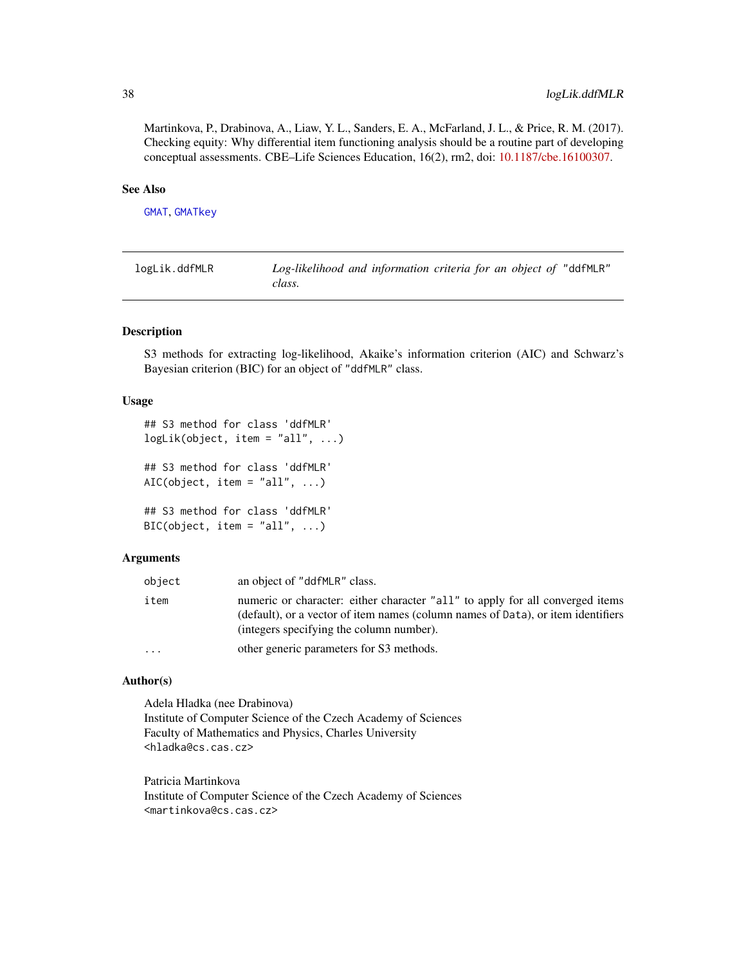<span id="page-37-0"></span>Martinkova, P., Drabinova, A., Liaw, Y. L., Sanders, E. A., McFarland, J. L., & Price, R. M. (2017). Checking equity: Why differential item functioning analysis should be a routine part of developing conceptual assessments. CBE–Life Sciences Education, 16(2), rm2, doi: [10.1187/cbe.16100307.](https://doi.org/10.1187/cbe.16-10-0307)

#### See Also

[GMAT](#page-30-1), [GMATkey](#page-35-1)

<span id="page-37-1"></span>

| logLik.ddfMLR | Log-likelihood and information criteria for an object of "ddfMLR" |
|---------------|-------------------------------------------------------------------|
|               | class.                                                            |

#### <span id="page-37-2"></span>Description

S3 methods for extracting log-likelihood, Akaike's information criterion (AIC) and Schwarz's Bayesian criterion (BIC) for an object of "ddfMLR" class.

# Usage

```
## S3 method for class 'ddfMLR'
logLik(object, item = "all", ...)## S3 method for class 'ddfMLR'
AIC(object, item = "all", \ldots)
## S3 method for class 'ddfMLR'
BIC(object, item = "all", \ldots)
```
### Arguments

| object    | an object of "ddfMLR" class.                                                                                                                                                                                  |
|-----------|---------------------------------------------------------------------------------------------------------------------------------------------------------------------------------------------------------------|
| item      | numeric or character: either character "all" to apply for all converged items<br>(default), or a vector of item names (column names of Data), or item identifiers<br>(integers specifying the column number). |
| $\ddotsc$ | other generic parameters for S3 methods.                                                                                                                                                                      |

#### Author(s)

Adela Hladka (nee Drabinova) Institute of Computer Science of the Czech Academy of Sciences Faculty of Mathematics and Physics, Charles University <hladka@cs.cas.cz>

Patricia Martinkova Institute of Computer Science of the Czech Academy of Sciences <martinkova@cs.cas.cz>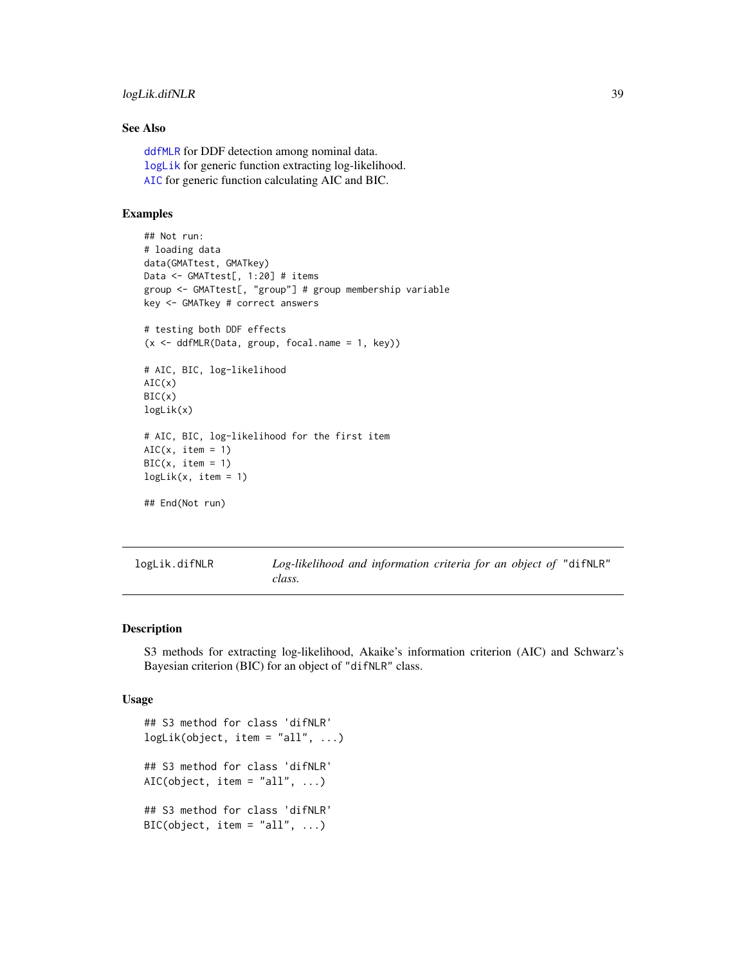# <span id="page-38-0"></span>logLik.difNLR 39

# See Also

[ddfMLR](#page-8-1) for DDF detection among nominal data. [logLik](#page-0-0) for generic function extracting log-likelihood. [AIC](#page-0-0) for generic function calculating AIC and BIC.

# Examples

```
## Not run:
# loading data
data(GMATtest, GMATkey)
Data <- GMATtest[, 1:20] # items
group <- GMATtest[, "group"] # group membership variable
key <- GMATkey # correct answers
# testing both DDF effects
(x \leq -\text{ddfMLR}(Data, group, focal.name = 1, key))# AIC, BIC, log-likelihood
AIC(x)
BIC(x)
logLik(x)
# AIC, BIC, log-likelihood for the first item
AIC(x, item = 1)BIC(x, item = 1)logLik(x, item = 1)## End(Not run)
```
<span id="page-38-1"></span>

| logLik.difNLR | Log-likelihood and information criteria for an object of "difNLR" |  |  |  |  |
|---------------|-------------------------------------------------------------------|--|--|--|--|
|               | class.                                                            |  |  |  |  |

#### <span id="page-38-2"></span>Description

S3 methods for extracting log-likelihood, Akaike's information criterion (AIC) and Schwarz's Bayesian criterion (BIC) for an object of "difNLR" class.

#### Usage

```
## S3 method for class 'difNLR'
logLik(object, item = "all", ...)## S3 method for class 'difNLR'
AIC(object, item = "all", \ldots)
## S3 method for class 'difNLR'
BIC(object, item = "all", \ldots)
```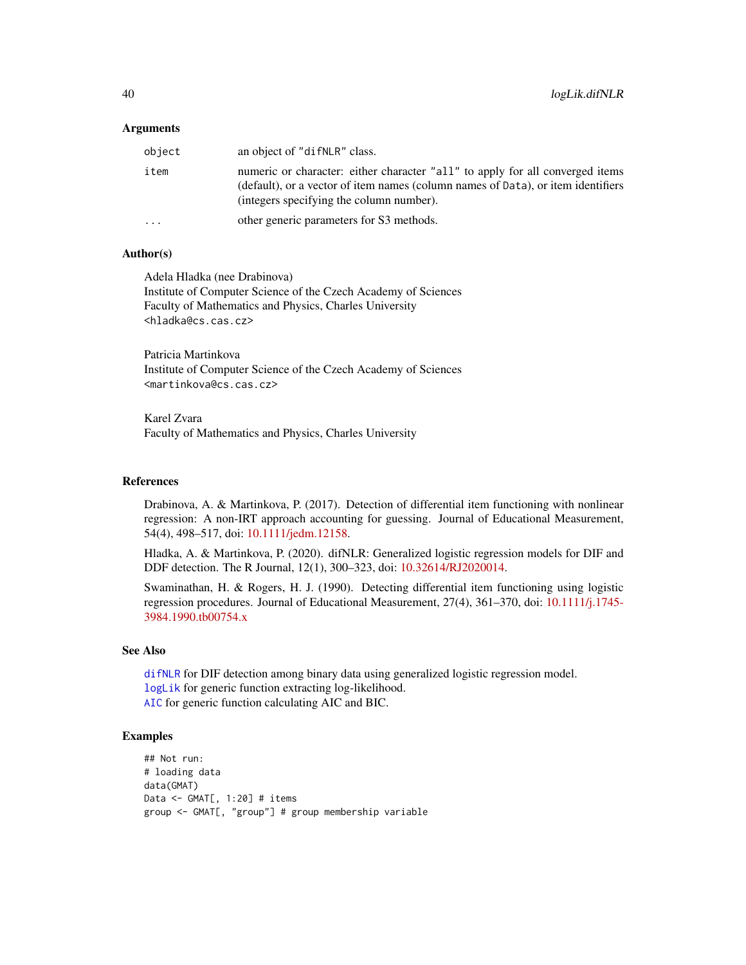#### <span id="page-39-0"></span>**Arguments**

| object   | an object of "difNLR" class.                                                                                                                                                                                  |
|----------|---------------------------------------------------------------------------------------------------------------------------------------------------------------------------------------------------------------|
| item     | numeric or character: either character "all" to apply for all converged items<br>(default), or a vector of item names (column names of Data), or item identifiers<br>(integers specifying the column number). |
| $\cdots$ | other generic parameters for S3 methods.                                                                                                                                                                      |

#### Author(s)

Adela Hladka (nee Drabinova) Institute of Computer Science of the Czech Academy of Sciences Faculty of Mathematics and Physics, Charles University <hladka@cs.cas.cz>

Patricia Martinkova Institute of Computer Science of the Czech Academy of Sciences <martinkova@cs.cas.cz>

Karel Zvara Faculty of Mathematics and Physics, Charles University

#### References

Drabinova, A. & Martinkova, P. (2017). Detection of differential item functioning with nonlinear regression: A non-IRT approach accounting for guessing. Journal of Educational Measurement, 54(4), 498–517, doi: [10.1111/jedm.12158.](https://doi.org/10.1111/jedm.12158)

Hladka, A. & Martinkova, P. (2020). difNLR: Generalized logistic regression models for DIF and DDF detection. The R Journal, 12(1), 300–323, doi: [10.32614/RJ2020014.](https://doi.org/10.32614/RJ-2020-014)

Swaminathan, H. & Rogers, H. J. (1990). Detecting differential item functioning using logistic regression procedures. Journal of Educational Measurement, 27(4), 361–370, doi: [10.1111/j.1745-](https://doi.org/10.1111/j.1745-3984.1990.tb00754.x) [3984.1990.tb00754.x](https://doi.org/10.1111/j.1745-3984.1990.tb00754.x)

# See Also

[difNLR](#page-12-1) for DIF detection among binary data using generalized logistic regression model. [logLik](#page-0-0) for generic function extracting log-likelihood. [AIC](#page-0-0) for generic function calculating AIC and BIC.

#### Examples

```
## Not run:
# loading data
data(GMAT)
Data <- GMAT[, 1:20] # items
group <- GMAT[, "group"] # group membership variable
```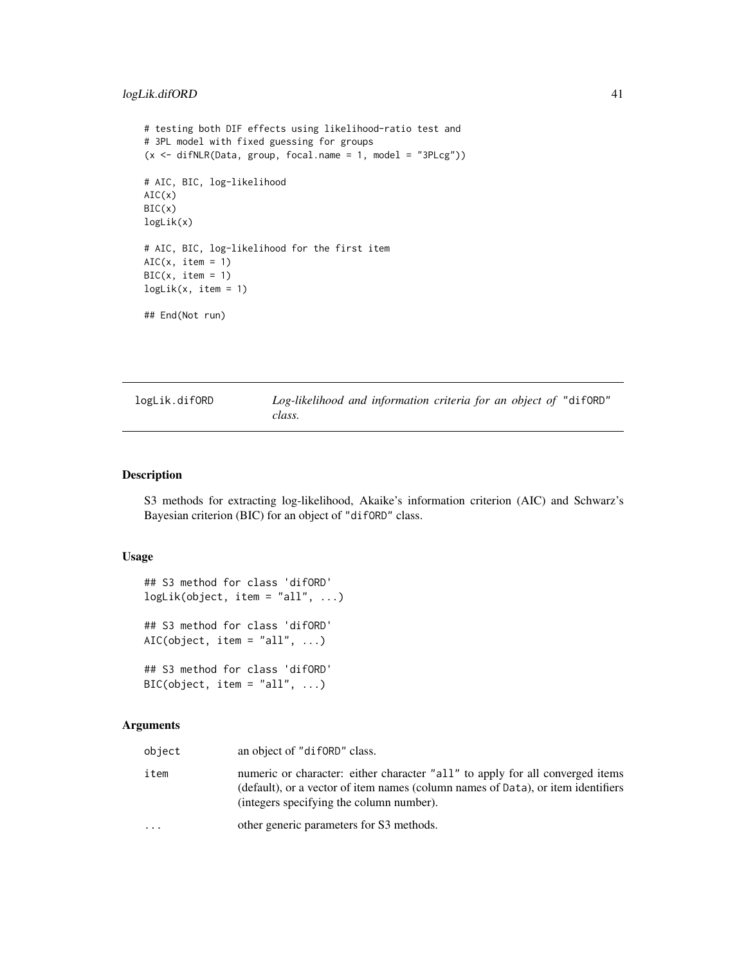# <span id="page-40-0"></span>logLik.difORD 41

```
# testing both DIF effects using likelihood-ratio test and
# 3PL model with fixed guessing for groups
(x \le -\text{diffNLR}(Data, group, focal.name = 1, model = "3PLcg"))# AIC, BIC, log-likelihood
AIC(x)
BIC(x)
logLik(x)
# AIC, BIC, log-likelihood for the first item
AIC(x, item = 1)BIC(x, item = 1)logLik(x, item = 1)## End(Not run)
```
<span id="page-40-1"></span>

| logLik.difORD | Log-likelihood and information criteria for an object of "difORD" |
|---------------|-------------------------------------------------------------------|
|               | class.                                                            |

# <span id="page-40-2"></span>Description

S3 methods for extracting log-likelihood, Akaike's information criterion (AIC) and Schwarz's Bayesian criterion (BIC) for an object of "difORD" class.

#### Usage

```
## S3 method for class 'difORD'
logLik(object, item = "all", ...)## S3 method for class 'difORD'
AIC(object, item = "all", \ldots)
## S3 method for class 'difORD'
BIC(object, item = "all", \ldots)
```
# Arguments

| object    | an object of "diformore" class.                                                                                                                                                                               |
|-----------|---------------------------------------------------------------------------------------------------------------------------------------------------------------------------------------------------------------|
| item      | numeric or character: either character "all" to apply for all converged items<br>(default), or a vector of item names (column names of Data), or item identifiers<br>(integers specifying the column number). |
| $\ddotsc$ | other generic parameters for S3 methods.                                                                                                                                                                      |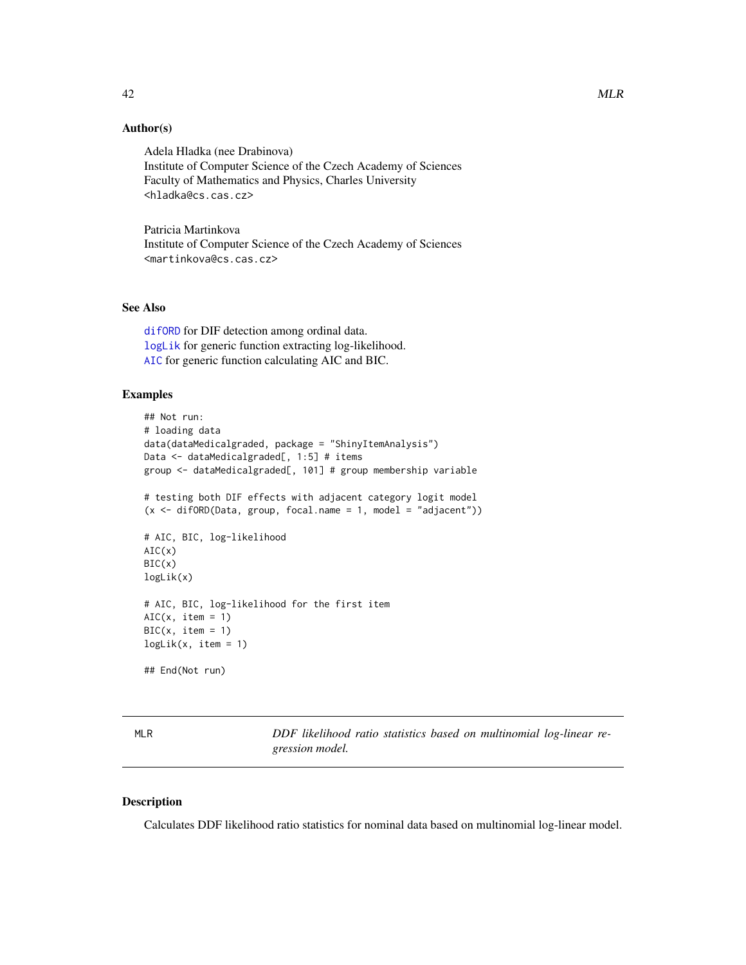# <span id="page-41-0"></span>Author(s)

Adela Hladka (nee Drabinova) Institute of Computer Science of the Czech Academy of Sciences Faculty of Mathematics and Physics, Charles University <hladka@cs.cas.cz>

Patricia Martinkova Institute of Computer Science of the Czech Academy of Sciences <martinkova@cs.cas.cz>

# See Also

[difORD](#page-18-1) for DIF detection among ordinal data. [logLik](#page-0-0) for generic function extracting log-likelihood. [AIC](#page-0-0) for generic function calculating AIC and BIC.

# Examples

```
## Not run:
# loading data
data(dataMedicalgraded, package = "ShinyItemAnalysis")
Data <- dataMedicalgraded[, 1:5] # items
group <- dataMedicalgraded[, 101] # group membership variable
# testing both DIF effects with adjacent category logit model
(x \leq -\text{ difORD}(Data, group, focal.name = 1, model = "adjacent"))# AIC, BIC, log-likelihood
AIC(x)BIC(x)
logLik(x)
# AIC, BIC, log-likelihood for the first item
AIC(x, item = 1)BIC(x, item = 1)logLik(x, item = 1)## End(Not run)
```
<span id="page-41-1"></span>

MLR *DDF likelihood ratio statistics based on multinomial log-linear regression model.*

#### Description

Calculates DDF likelihood ratio statistics for nominal data based on multinomial log-linear model.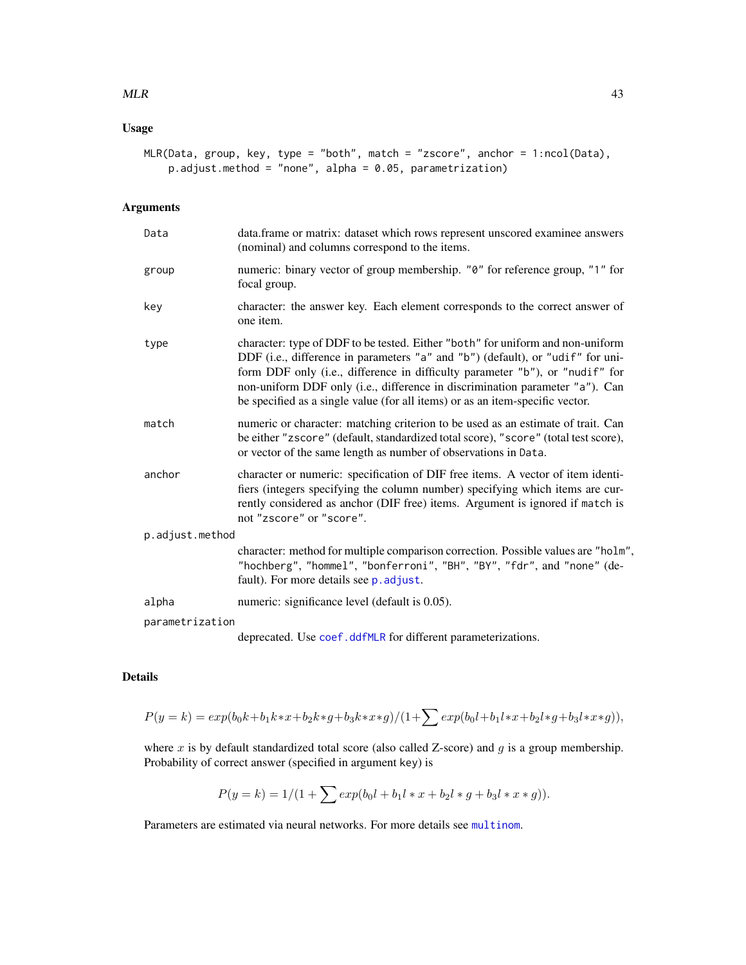#### <span id="page-42-0"></span> $MLR$  43

# Usage

```
MLR(Data, group, key, type = "both", match = "zscore", anchor = 1:ncol(Data),
    p.adjust.method = "none", alpha = 0.05, parametrization)
```
# Arguments

| Data            | data.frame or matrix: dataset which rows represent unscored examinee answers<br>(nominal) and columns correspond to the items.                                                                                                                                                                                                                                                                                    |
|-----------------|-------------------------------------------------------------------------------------------------------------------------------------------------------------------------------------------------------------------------------------------------------------------------------------------------------------------------------------------------------------------------------------------------------------------|
| group           | numeric: binary vector of group membership. "0" for reference group, "1" for<br>focal group.                                                                                                                                                                                                                                                                                                                      |
| key             | character: the answer key. Each element corresponds to the correct answer of<br>one item.                                                                                                                                                                                                                                                                                                                         |
| type            | character: type of DDF to be tested. Either "both" for uniform and non-uniform<br>DDF (i.e., difference in parameters "a" and "b") (default), or "udif" for uni-<br>form DDF only (i.e., difference in difficulty parameter "b"), or "nudif" for<br>non-uniform DDF only (i.e., difference in discrimination parameter "a"). Can<br>be specified as a single value (for all items) or as an item-specific vector. |
| match           | numeric or character: matching criterion to be used as an estimate of trait. Can<br>be either "zscore" (default, standardized total score), "score" (total test score),<br>or vector of the same length as number of observations in Data.                                                                                                                                                                        |
| anchor          | character or numeric: specification of DIF free items. A vector of item identi-<br>fiers (integers specifying the column number) specifying which items are cur-<br>rently considered as anchor (DIF free) items. Argument is ignored if match is<br>not "zscore" or "score".                                                                                                                                     |
| p.adjust.method |                                                                                                                                                                                                                                                                                                                                                                                                                   |
|                 | character: method for multiple comparison correction. Possible values are "holm",<br>"hochberg", "hommel", "bonferroni", "BH", "BY", "fdr", and "none" (de-<br>fault). For more details see p. adjust.                                                                                                                                                                                                            |
| alpha           | numeric: significance level (default is 0.05).                                                                                                                                                                                                                                                                                                                                                                    |
| parametrization |                                                                                                                                                                                                                                                                                                                                                                                                                   |
|                 | deprecated. Use coef.ddfMLR for different parameterizations.                                                                                                                                                                                                                                                                                                                                                      |

Details

$$
P(y = k) = exp(b_0k + b_1k*x + b_2k*g + b_3k*x*g)/(1 + \sum exp(b_0l + b_1l*x + b_2l*g + b_3l*x*g)),
$$

where  $x$  is by default standardized total score (also called Z-score) and  $g$  is a group membership. Probability of correct answer (specified in argument key) is

$$
P(y = k) = 1/(1 + \sum exp(b_0l + b_1l * x + b_2l * g + b_3l * x * g)).
$$

Parameters are estimated via neural networks. For more details see [multinom](#page-0-0).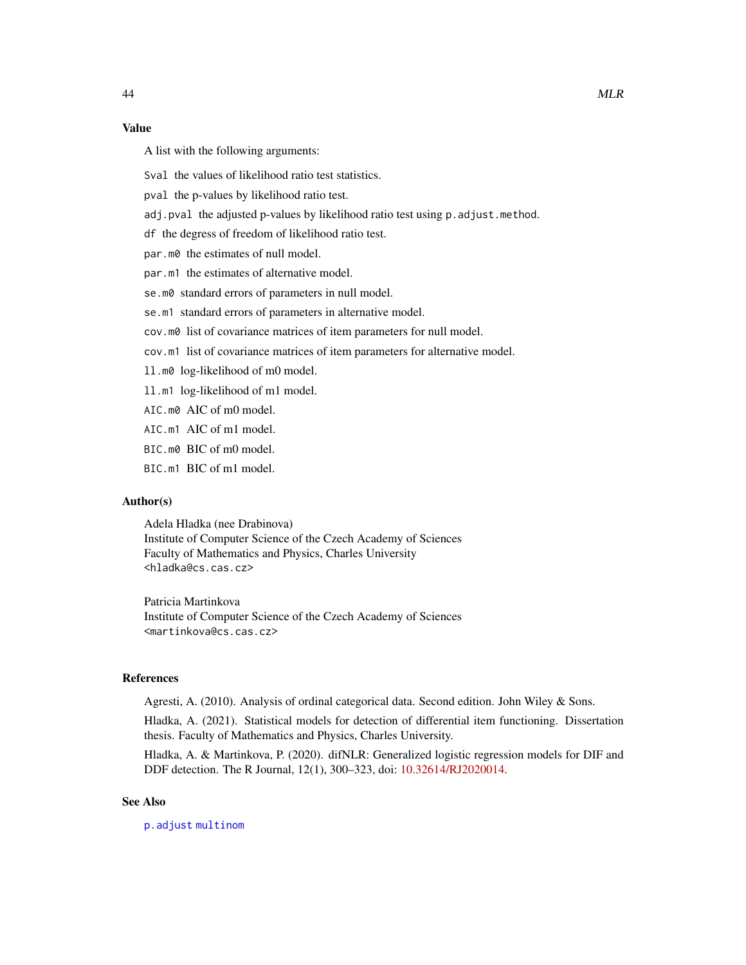#### <span id="page-43-0"></span>Value

A list with the following arguments:

Sval the values of likelihood ratio test statistics.

pval the p-values by likelihood ratio test.

adj.pval the adjusted p-values by likelihood ratio test using p.adjust.method.

df the degress of freedom of likelihood ratio test.

- par.m0 the estimates of null model.
- par.m1 the estimates of alternative model.
- se.m0 standard errors of parameters in null model.
- se.m1 standard errors of parameters in alternative model.
- cov.m0 list of covariance matrices of item parameters for null model.
- cov.m1 list of covariance matrices of item parameters for alternative model.
- ll.m0 log-likelihood of m0 model.

ll.m1 log-likelihood of m1 model.

- AIC.m0 AIC of m0 model.
- AIC.m1 AIC of m1 model.
- BIC.m0 BIC of m0 model.
- BIC.m1 BIC of m1 model.

#### Author(s)

Adela Hladka (nee Drabinova) Institute of Computer Science of the Czech Academy of Sciences Faculty of Mathematics and Physics, Charles University <hladka@cs.cas.cz>

Patricia Martinkova Institute of Computer Science of the Czech Academy of Sciences <martinkova@cs.cas.cz>

#### References

Agresti, A. (2010). Analysis of ordinal categorical data. Second edition. John Wiley & Sons.

Hladka, A. (2021). Statistical models for detection of differential item functioning. Dissertation thesis. Faculty of Mathematics and Physics, Charles University.

Hladka, A. & Martinkova, P. (2020). difNLR: Generalized logistic regression models for DIF and DDF detection. The R Journal, 12(1), 300–323, doi: [10.32614/RJ2020014.](https://doi.org/10.32614/RJ-2020-014)

#### See Also

[p.adjust](#page-0-0) [multinom](#page-0-0)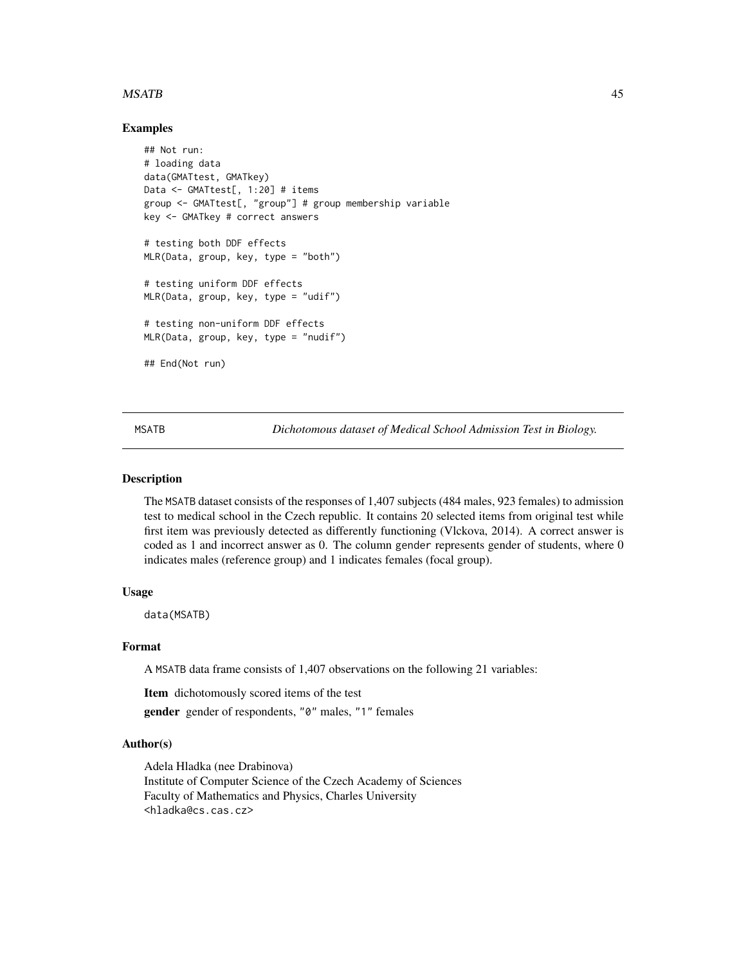#### <span id="page-44-0"></span>MSATB  $\sim$  45

#### Examples

```
## Not run:
# loading data
data(GMATtest, GMATkey)
Data <- GMATtest[, 1:20] # items
group <- GMATtest[, "group"] # group membership variable
key <- GMATkey # correct answers
# testing both DDF effects
MLR(Data, group, key, type = "both")
# testing uniform DDF effects
MLR(Data, group, key, type = "udif")
# testing non-uniform DDF effects
MLR(Data, group, key, type = "nudif")
## End(Not run)
```
<span id="page-44-1"></span>MSATB *Dichotomous dataset of Medical School Admission Test in Biology.*

#### Description

The MSATB dataset consists of the responses of 1,407 subjects (484 males, 923 females) to admission test to medical school in the Czech republic. It contains 20 selected items from original test while first item was previously detected as differently functioning (Vlckova, 2014). A correct answer is coded as 1 and incorrect answer as 0. The column gender represents gender of students, where 0 indicates males (reference group) and 1 indicates females (focal group).

# Usage

data(MSATB)

#### Format

A MSATB data frame consists of 1,407 observations on the following 21 variables:

Item dichotomously scored items of the test

gender gender of respondents, "0" males, "1" females

# Author(s)

Adela Hladka (nee Drabinova) Institute of Computer Science of the Czech Academy of Sciences Faculty of Mathematics and Physics, Charles University <hladka@cs.cas.cz>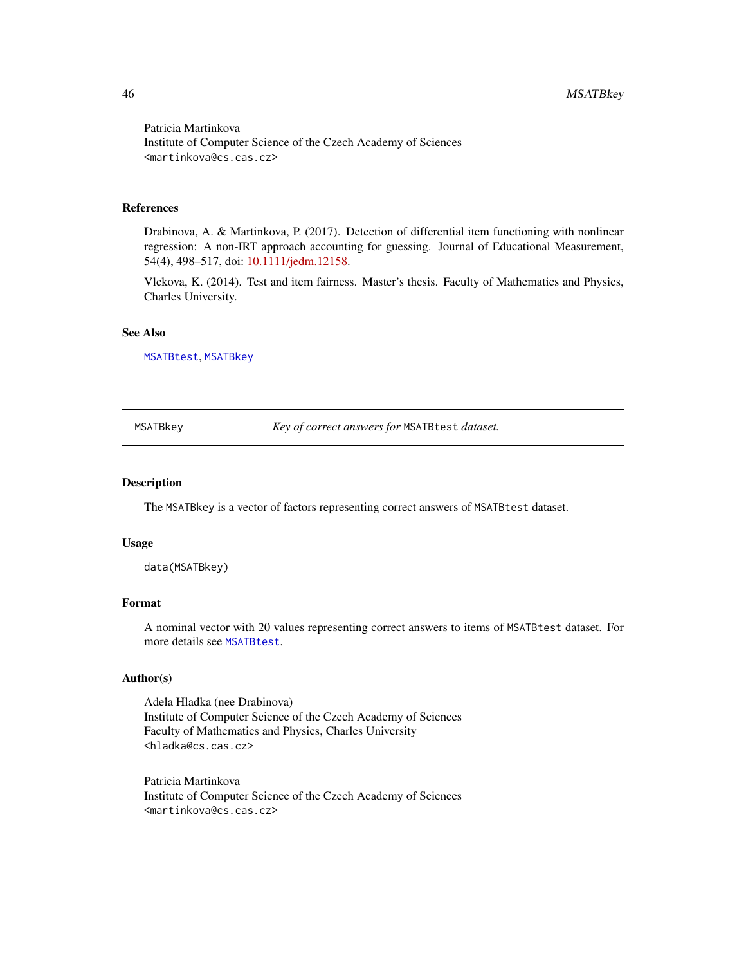Patricia Martinkova Institute of Computer Science of the Czech Academy of Sciences <martinkova@cs.cas.cz>

# References

Drabinova, A. & Martinkova, P. (2017). Detection of differential item functioning with nonlinear regression: A non-IRT approach accounting for guessing. Journal of Educational Measurement, 54(4), 498–517, doi: [10.1111/jedm.12158.](https://doi.org/10.1111/jedm.12158)

Vlckova, K. (2014). Test and item fairness. Master's thesis. Faculty of Mathematics and Physics, Charles University.

# See Also

[MSATBtest](#page-46-1), [MSATBkey](#page-45-1)

<span id="page-45-1"></span>MSATBkey *Key of correct answers for* MSATBtest *dataset.*

## Description

The MSATBkey is a vector of factors representing correct answers of MSATBtest dataset.

#### Usage

data(MSATBkey)

#### Format

A nominal vector with 20 values representing correct answers to items of MSATBtest dataset. For more details see [MSATBtest](#page-46-1).

### Author(s)

Adela Hladka (nee Drabinova) Institute of Computer Science of the Czech Academy of Sciences Faculty of Mathematics and Physics, Charles University <hladka@cs.cas.cz>

Patricia Martinkova Institute of Computer Science of the Czech Academy of Sciences <martinkova@cs.cas.cz>

<span id="page-45-0"></span>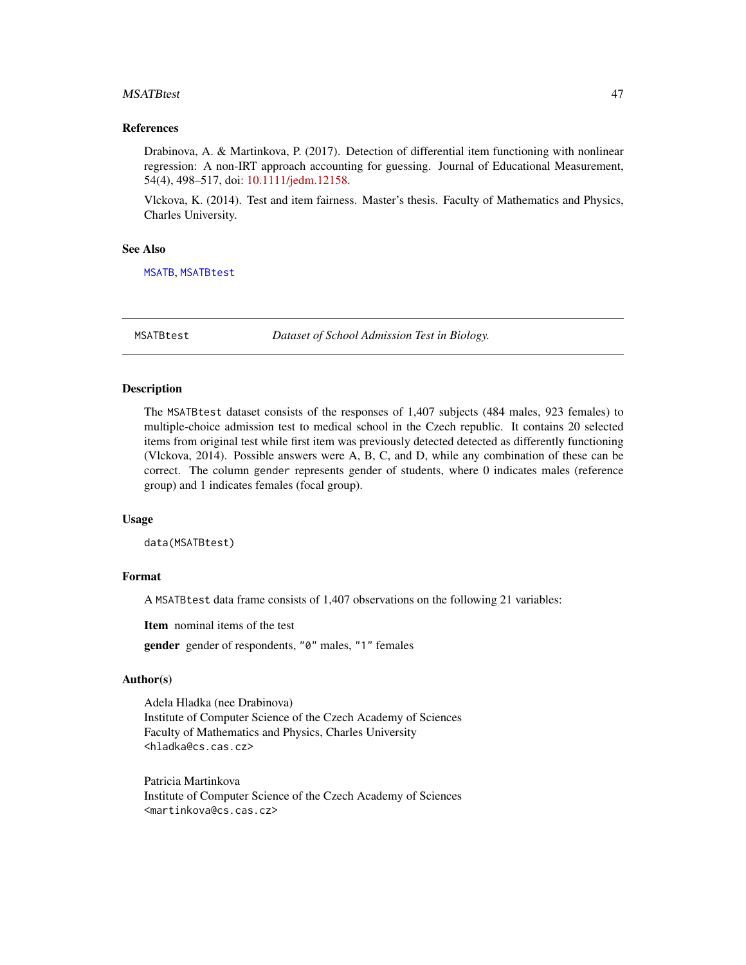#### <span id="page-46-0"></span>MSATBtest 47

#### References

Drabinova, A. & Martinkova, P. (2017). Detection of differential item functioning with nonlinear regression: A non-IRT approach accounting for guessing. Journal of Educational Measurement, 54(4), 498–517, doi: [10.1111/jedm.12158.](https://doi.org/10.1111/jedm.12158)

Vlckova, K. (2014). Test and item fairness. Master's thesis. Faculty of Mathematics and Physics, Charles University.

# See Also

[MSATB](#page-44-1), [MSATBtest](#page-46-1)

<span id="page-46-1"></span>

MSATBtest *Dataset of School Admission Test in Biology.*

#### Description

The MSATBtest dataset consists of the responses of 1,407 subjects (484 males, 923 females) to multiple-choice admission test to medical school in the Czech republic. It contains 20 selected items from original test while first item was previously detected detected as differently functioning (Vlckova, 2014). Possible answers were A, B, C, and D, while any combination of these can be correct. The column gender represents gender of students, where 0 indicates males (reference group) and 1 indicates females (focal group).

#### Usage

data(MSATBtest)

# Format

A MSATBtest data frame consists of 1,407 observations on the following 21 variables:

Item nominal items of the test

gender gender of respondents, "0" males, "1" females

# Author(s)

Adela Hladka (nee Drabinova) Institute of Computer Science of the Czech Academy of Sciences Faculty of Mathematics and Physics, Charles University <hladka@cs.cas.cz>

Patricia Martinkova Institute of Computer Science of the Czech Academy of Sciences <martinkova@cs.cas.cz>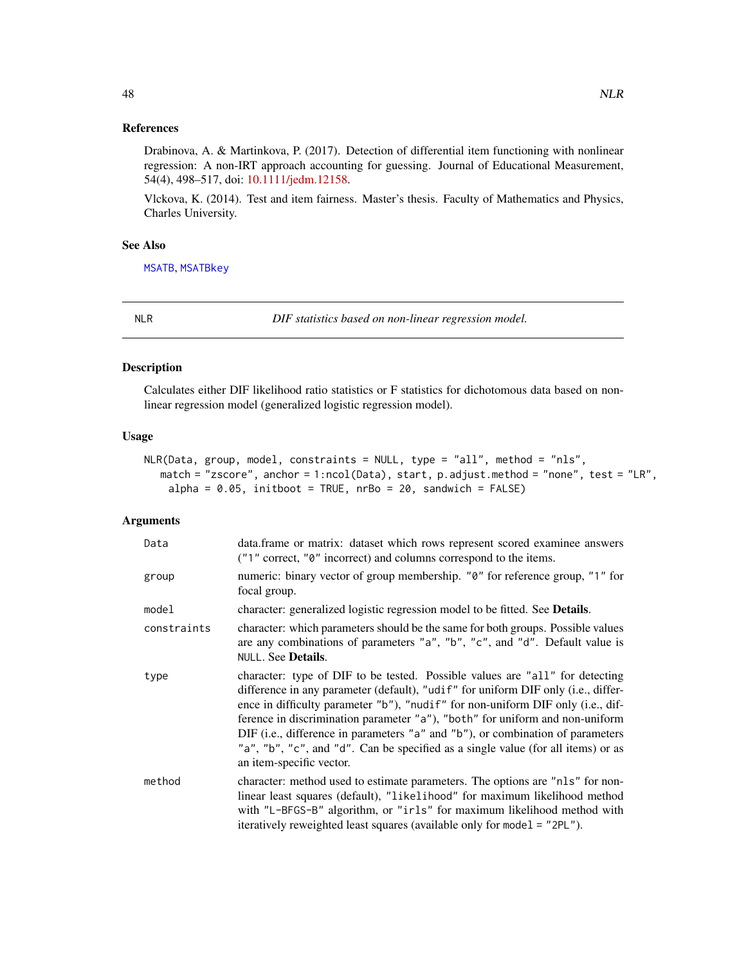# <span id="page-47-0"></span>References

Drabinova, A. & Martinkova, P. (2017). Detection of differential item functioning with nonlinear regression: A non-IRT approach accounting for guessing. Journal of Educational Measurement, 54(4), 498–517, doi: [10.1111/jedm.12158.](https://doi.org/10.1111/jedm.12158)

Vlckova, K. (2014). Test and item fairness. Master's thesis. Faculty of Mathematics and Physics, Charles University.

#### See Also

[MSATB](#page-44-1), [MSATBkey](#page-45-1)

<span id="page-47-1"></span>

NLR *DIF statistics based on non-linear regression model.*

#### Description

Calculates either DIF likelihood ratio statistics or F statistics for dichotomous data based on nonlinear regression model (generalized logistic regression model).

#### Usage

```
NLR(Data, group, model, constraints = NULL, type = "all", method = "nls",match = "zscore", anchor = 1:ncol(Data), start, p.adjust.method = "none", test = "LR",
    alpha = 0.05, initboot = TRUE, nrBo = 20, sandwich = FALSE)
```
#### Arguments

| Data        | data.frame or matrix: dataset which rows represent scored examinee answers<br>( $"1"$ correct, $"0"$ incorrect) and columns correspond to the items.                                                                                                                                                                                                                                                                                                                                                                                   |
|-------------|----------------------------------------------------------------------------------------------------------------------------------------------------------------------------------------------------------------------------------------------------------------------------------------------------------------------------------------------------------------------------------------------------------------------------------------------------------------------------------------------------------------------------------------|
| group       | numeric: binary vector of group membership. "0" for reference group, "1" for<br>focal group.                                                                                                                                                                                                                                                                                                                                                                                                                                           |
| model       | character: generalized logistic regression model to be fitted. See Details.                                                                                                                                                                                                                                                                                                                                                                                                                                                            |
| constraints | character: which parameters should be the same for both groups. Possible values<br>are any combinations of parameters "a", "b", "c", and "d". Default value is<br>NULL. See <b>Details</b> .                                                                                                                                                                                                                                                                                                                                           |
| type        | character: type of DIF to be tested. Possible values are "all" for detecting<br>difference in any parameter (default), "udif" for uniform DIF only (i.e., differ-<br>ence in difficulty parameter "b"), "nudif" for non-uniform DIF only (i.e., dif-<br>ference in discrimination parameter "a"), "both" for uniform and non-uniform<br>DIF (i.e., difference in parameters "a" and "b"), or combination of parameters<br>"a", "b", "c", and "d". Can be specified as a single value (for all items) or as<br>an item-specific vector. |
| method      | character: method used to estimate parameters. The options are "nls" for non-<br>linear least squares (default), "likelihood" for maximum likelihood method<br>with "L-BFGS-B" algorithm, or "irls" for maximum likelihood method with<br>iteratively reweighted least squares (available only for model = "2PL").                                                                                                                                                                                                                     |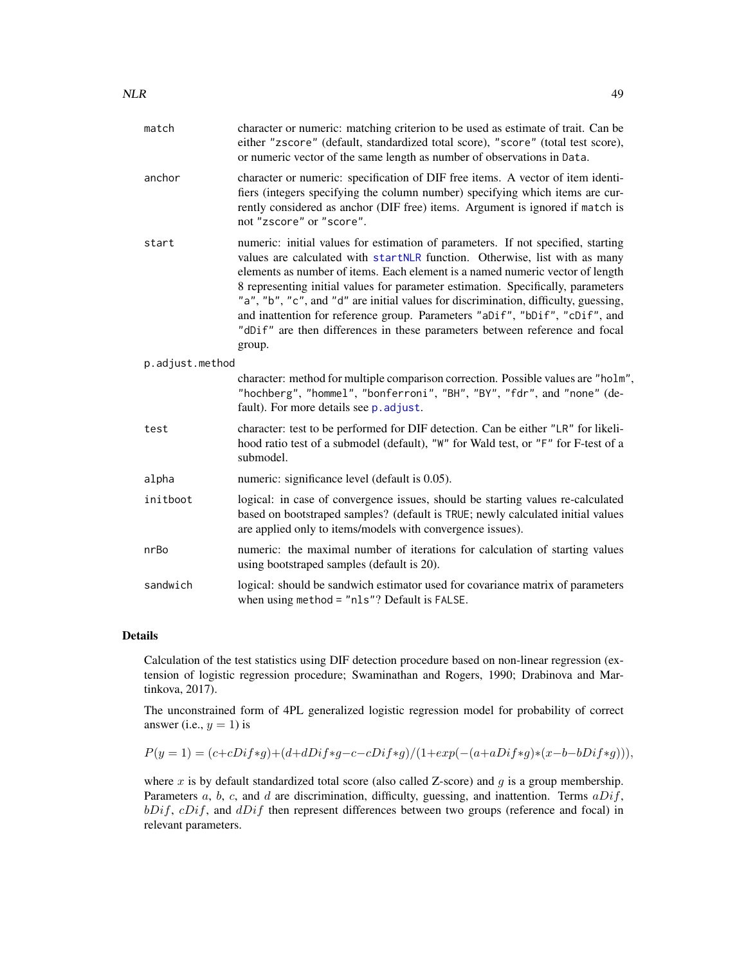<span id="page-48-0"></span>

| match           | character or numeric: matching criterion to be used as estimate of trait. Can be<br>either "zscore" (default, standardized total score), "score" (total test score),<br>or numeric vector of the same length as number of observations in Data.                                                                                                                                                                                                                                                                                                                                                    |
|-----------------|----------------------------------------------------------------------------------------------------------------------------------------------------------------------------------------------------------------------------------------------------------------------------------------------------------------------------------------------------------------------------------------------------------------------------------------------------------------------------------------------------------------------------------------------------------------------------------------------------|
| anchor          | character or numeric: specification of DIF free items. A vector of item identi-<br>fiers (integers specifying the column number) specifying which items are cur-<br>rently considered as anchor (DIF free) items. Argument is ignored if match is<br>not "zscore" or "score".                                                                                                                                                                                                                                                                                                                      |
| start           | numeric: initial values for estimation of parameters. If not specified, starting<br>values are calculated with startNLR function. Otherwise, list with as many<br>elements as number of items. Each element is a named numeric vector of length<br>8 representing initial values for parameter estimation. Specifically, parameters<br>"a", "b", "c", and "d" are initial values for discrimination, difficulty, guessing,<br>and inattention for reference group. Parameters "aDif", "bDif", "cDif", and<br>"dDif" are then differences in these parameters between reference and focal<br>group. |
| p.adjust.method |                                                                                                                                                                                                                                                                                                                                                                                                                                                                                                                                                                                                    |
|                 | character: method for multiple comparison correction. Possible values are "holm",<br>"hochberg", "hommel", "bonferroni", "BH", "BY", "fdr", and "none" (de-<br>fault). For more details see p. adjust.                                                                                                                                                                                                                                                                                                                                                                                             |
| test            | character: test to be performed for DIF detection. Can be either "LR" for likeli-<br>hood ratio test of a submodel (default), "W" for Wald test, or "F" for F-test of a<br>submodel.                                                                                                                                                                                                                                                                                                                                                                                                               |
| alpha           | numeric: significance level (default is 0.05).                                                                                                                                                                                                                                                                                                                                                                                                                                                                                                                                                     |
| initboot        | logical: in case of convergence issues, should be starting values re-calculated<br>based on bootstraped samples? (default is TRUE; newly calculated initial values<br>are applied only to items/models with convergence issues).                                                                                                                                                                                                                                                                                                                                                                   |
| nrBo            | numeric: the maximal number of iterations for calculation of starting values<br>using bootstraped samples (default is 20).                                                                                                                                                                                                                                                                                                                                                                                                                                                                         |
| sandwich        | logical: should be sandwich estimator used for covariance matrix of parameters<br>when using method = "nls"? Default is FALSE.                                                                                                                                                                                                                                                                                                                                                                                                                                                                     |

#### Details

Calculation of the test statistics using DIF detection procedure based on non-linear regression (extension of logistic regression procedure; Swaminathan and Rogers, 1990; Drabinova and Martinkova, 2017).

The unconstrained form of 4PL generalized logistic regression model for probability of correct answer (i.e.,  $y = 1$ ) is

$$
P(y=1) = (c + cDif*g) + (d + dDif*g - c - cDif*g)/(1 + exp(-(a + aDif*g)*(x - b - bDif*g))),
$$

where x is by default standardized total score (also called Z-score) and  $q$  is a group membership. Parameters  $a$ ,  $b$ ,  $c$ , and  $d$  are discrimination, difficulty, guessing, and inattention. Terms  $aDiff$ ,  $bDiff$ ,  $cDiff$ , and  $dDiff$  then represent differences between two groups (reference and focal) in relevant parameters.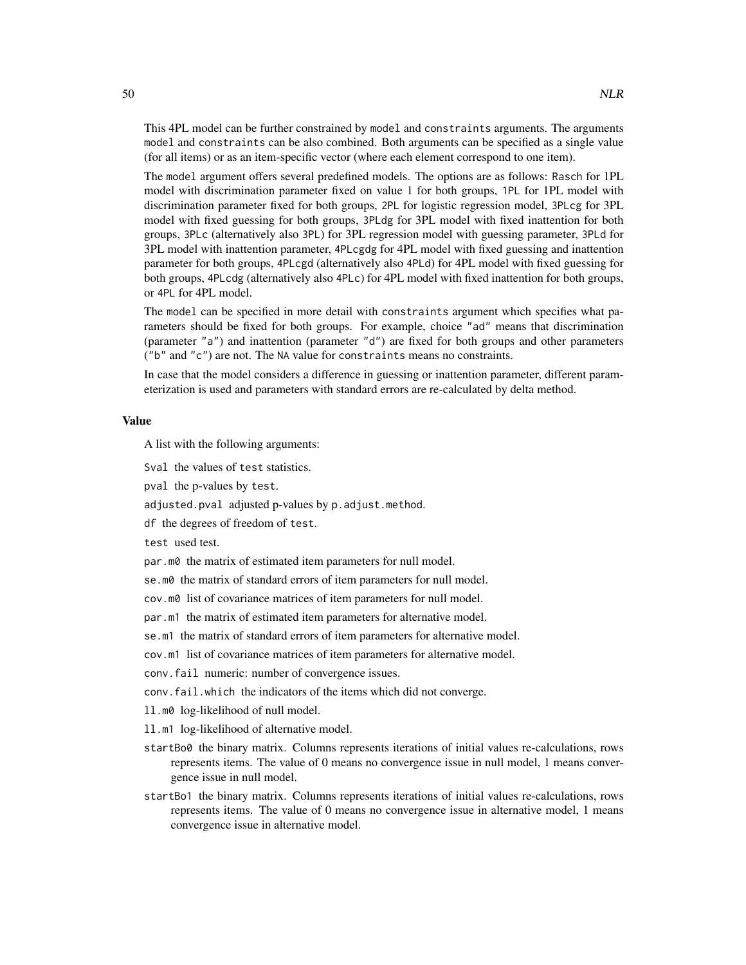This 4PL model can be further constrained by model and constraints arguments. The arguments model and constraints can be also combined. Both arguments can be specified as a single value (for all items) or as an item-specific vector (where each element correspond to one item).

The model argument offers several predefined models. The options are as follows: Rasch for 1PL model with discrimination parameter fixed on value 1 for both groups, 1PL for 1PL model with discrimination parameter fixed for both groups, 2PL for logistic regression model, 3PLcg for 3PL model with fixed guessing for both groups, 3PLdg for 3PL model with fixed inattention for both groups, 3PLc (alternatively also 3PL) for 3PL regression model with guessing parameter, 3PLd for 3PL model with inattention parameter, 4PLcgdg for 4PL model with fixed guessing and inattention parameter for both groups, 4PLcgd (alternatively also 4PLd) for 4PL model with fixed guessing for both groups, 4PLcdg (alternatively also 4PLc) for 4PL model with fixed inattention for both groups, or 4PL for 4PL model.

The model can be specified in more detail with constraints argument which specifies what parameters should be fixed for both groups. For example, choice "ad" means that discrimination (parameter "a") and inattention (parameter "d") are fixed for both groups and other parameters ("b" and "c") are not. The NA value for constraints means no constraints.

In case that the model considers a difference in guessing or inattention parameter, different parameterization is used and parameters with standard errors are re-calculated by delta method.

#### Value

A list with the following arguments:

Sval the values of test statistics.

pval the p-values by test.

adjusted.pval adjusted p-values by p.adjust.method.

df the degrees of freedom of test.

test used test.

par.m0 the matrix of estimated item parameters for null model.

se.m0 the matrix of standard errors of item parameters for null model.

cov.m0 list of covariance matrices of item parameters for null model.

par.m1 the matrix of estimated item parameters for alternative model.

se.m1 the matrix of standard errors of item parameters for alternative model.

cov.m1 list of covariance matrices of item parameters for alternative model.

conv.fail numeric: number of convergence issues.

conv.fail.which the indicators of the items which did not converge.

ll.m0 log-likelihood of null model.

ll.m1 log-likelihood of alternative model.

- startBo0 the binary matrix. Columns represents iterations of initial values re-calculations, rows represents items. The value of 0 means no convergence issue in null model, 1 means convergence issue in null model.
- startBo1 the binary matrix. Columns represents iterations of initial values re-calculations, rows represents items. The value of 0 means no convergence issue in alternative model, 1 means convergence issue in alternative model.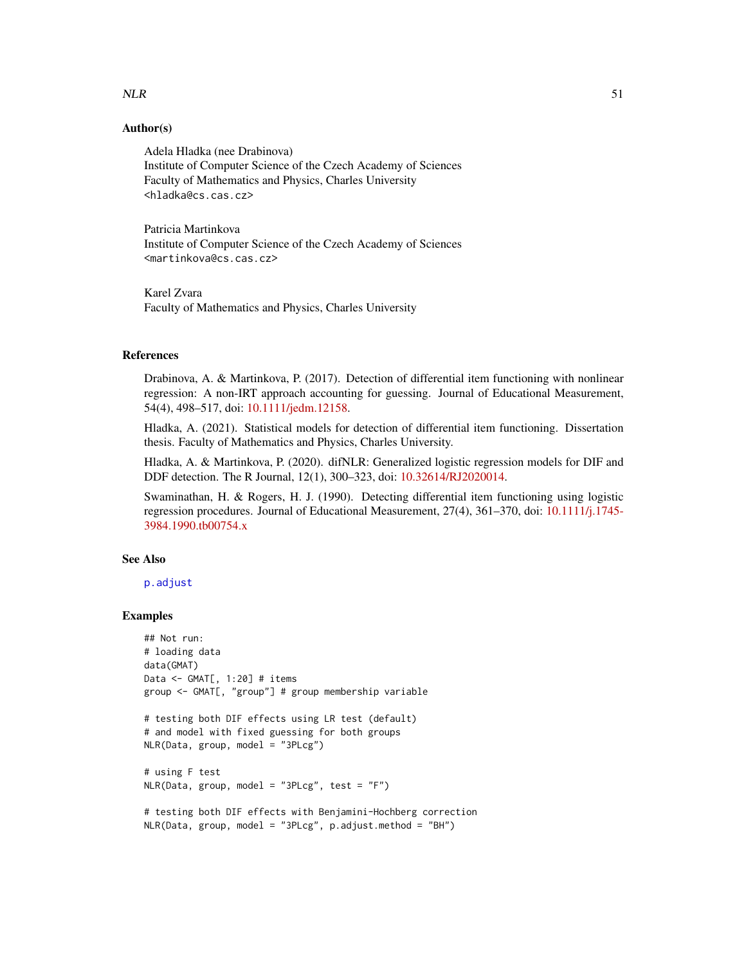# <span id="page-50-0"></span> $NLR$  51

# Author(s)

Adela Hladka (nee Drabinova) Institute of Computer Science of the Czech Academy of Sciences Faculty of Mathematics and Physics, Charles University <hladka@cs.cas.cz>

Patricia Martinkova Institute of Computer Science of the Czech Academy of Sciences <martinkova@cs.cas.cz>

Karel Zvara Faculty of Mathematics and Physics, Charles University

# References

Drabinova, A. & Martinkova, P. (2017). Detection of differential item functioning with nonlinear regression: A non-IRT approach accounting for guessing. Journal of Educational Measurement, 54(4), 498–517, doi: [10.1111/jedm.12158.](https://doi.org/10.1111/jedm.12158)

Hladka, A. (2021). Statistical models for detection of differential item functioning. Dissertation thesis. Faculty of Mathematics and Physics, Charles University.

Hladka, A. & Martinkova, P. (2020). difNLR: Generalized logistic regression models for DIF and DDF detection. The R Journal, 12(1), 300–323, doi: [10.32614/RJ2020014.](https://doi.org/10.32614/RJ-2020-014)

Swaminathan, H. & Rogers, H. J. (1990). Detecting differential item functioning using logistic regression procedures. Journal of Educational Measurement, 27(4), 361–370, doi: [10.1111/j.1745-](https://doi.org/10.1111/j.1745-3984.1990.tb00754.x) [3984.1990.tb00754.x](https://doi.org/10.1111/j.1745-3984.1990.tb00754.x)

# See Also

[p.adjust](#page-0-0)

# Examples

```
## Not run:
# loading data
data(GMAT)
Data \leq GMAT[, 1:20] # items
group <- GMAT[, "group"] # group membership variable
# testing both DIF effects using LR test (default)
# and model with fixed guessing for both groups
NLR(Data, group, model = "3PLcg")
# using F test
NLR(Data, group, model = "3PLcg", test = "F")# testing both DIF effects with Benjamini-Hochberg correction
NLR(Data, group, model = "3PLcg", p.adjust.method = "BH")
```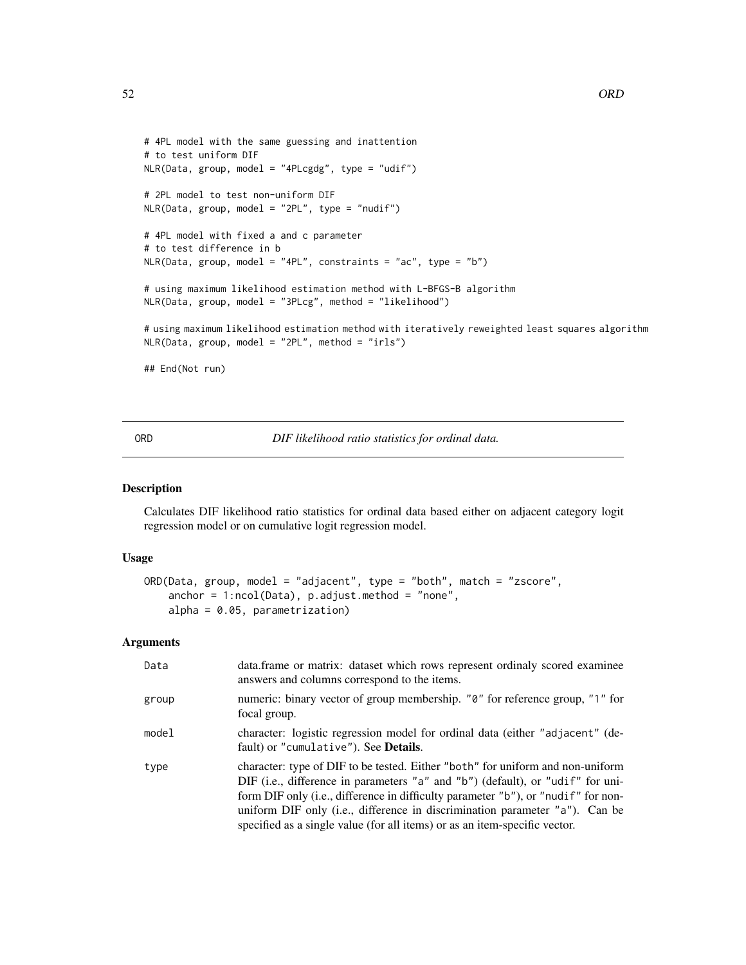```
# 4PL model with the same guessing and inattention
# to test uniform DIF
NLR(Data, group, model = "4PLcgdg", type = "udif")
# 2PL model to test non-uniform DIF
NLR(Data, group, model = "2PL", type = "nudif")
# 4PL model with fixed a and c parameter
# to test difference in b
NLR(Data, group, model = "4PL", constraints = "ac", type = "b")
# using maximum likelihood estimation method with L-BFGS-B algorithm
NLR(Data, group, model = "3PLcg", method = "likelihood")
# using maximum likelihood estimation method with iteratively reweighted least squares algorithm
NLR(Data, group, model = "2PL", method = "irls")
## End(Not run)
```
<span id="page-51-1"></span>ORD *DIF likelihood ratio statistics for ordinal data.*

#### Description

Calculates DIF likelihood ratio statistics for ordinal data based either on adjacent category logit regression model or on cumulative logit regression model.

#### Usage

```
ORD(Data, group, model = "adjacent", type = "both", match = "zscore",
   anchor = 1:ncol(Data), p.adjust.method = "none",
   alpha = 0.05, parametrization)
```
# Arguments

| Data  | data.frame or matrix: dataset which rows represent ordinaly scored examinee<br>answers and columns correspond to the items.                                                                                                                                                                                                                                                                                        |
|-------|--------------------------------------------------------------------------------------------------------------------------------------------------------------------------------------------------------------------------------------------------------------------------------------------------------------------------------------------------------------------------------------------------------------------|
| group | numeric: binary vector of group membership. "0" for reference group, "1" for<br>focal group.                                                                                                                                                                                                                                                                                                                       |
| model | character: logistic regression model for ordinal data (either "adjacent" (de-<br>fault) or "cumulative"). See <b>Details</b> .                                                                                                                                                                                                                                                                                     |
| type  | character: type of DIF to be tested. Either "both" for uniform and non-uniform<br>DIF (i.e., difference in parameters "a" and "b") (default), or "udif" for uni-<br>form DIF only (i.e., difference in difficulty parameter "b"), or "nudif" for non-<br>uniform DIF only (i.e., difference in discrimination parameter "a"). Can be<br>specified as a single value (for all items) or as an item-specific vector. |

<span id="page-51-0"></span>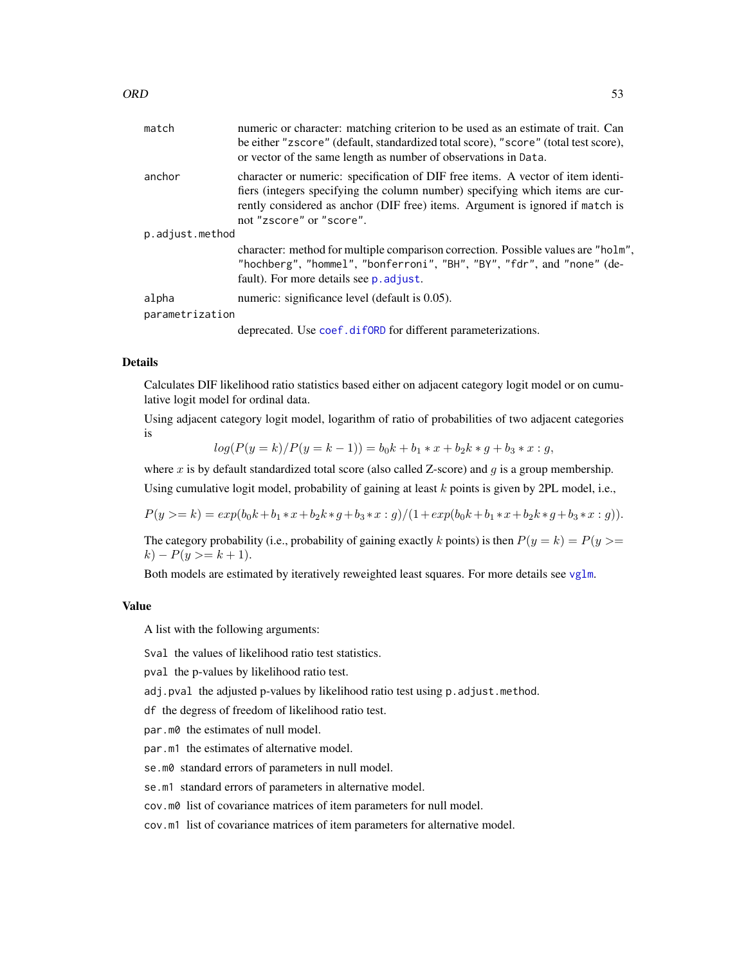<span id="page-52-0"></span>

| match           | numeric or character: matching criterion to be used as an estimate of trait. Can<br>be either "zscore" (default, standardized total score), "score" (total test score),<br>or vector of the same length as number of observations in Data.                                    |
|-----------------|-------------------------------------------------------------------------------------------------------------------------------------------------------------------------------------------------------------------------------------------------------------------------------|
| anchor          | character or numeric: specification of DIF free items. A vector of item identi-<br>fiers (integers specifying the column number) specifying which items are cur-<br>rently considered as anchor (DIF free) items. Argument is ignored if match is<br>not "zscore" or "score". |
| p.adjust.method |                                                                                                                                                                                                                                                                               |
|                 | character: method for multiple comparison correction. Possible values are "holm",<br>"hochberg", "hommel", "bonferroni", "BH", "BY", "fdr", and "none" (de-<br>fault). For more details see p. adjust.                                                                        |
| alpha           | numeric: significance level (default is 0.05).                                                                                                                                                                                                                                |
| parametrization |                                                                                                                                                                                                                                                                               |
|                 | deprecated. Use coef. difORD for different parameterizations.                                                                                                                                                                                                                 |

#### Details

Calculates DIF likelihood ratio statistics based either on adjacent category logit model or on cumulative logit model for ordinal data.

Using adjacent category logit model, logarithm of ratio of probabilities of two adjacent categories is

$$
log(P(y = k)/P(y = k - 1)) = b_0k + b_1 * x + b_2k * g + b_3 * x : g,
$$

where  $x$  is by default standardized total score (also called Z-score) and  $g$  is a group membership. Using cumulative logit model, probability of gaining at least  $k$  points is given by 2PL model, i.e.,

 $P(y \ge k) = exp(b_0k + b_1*x + b_2k * g + b_3 * x : g)/(1 + exp(b_0k + b_1*x + b_2k * g + b_3 * x : g)).$ 

The category probability (i.e., probability of gaining exactly k points) is then  $P(y = k) = P(y \geq 0)$  $k$ ) –  $P(y \ge k + 1)$ .

Both models are estimated by iteratively reweighted least squares. For more details see [vglm](#page-0-0).

#### Value

A list with the following arguments:

Sval the values of likelihood ratio test statistics.

pval the p-values by likelihood ratio test.

adj.pval the adjusted p-values by likelihood ratio test using p.adjust.method.

df the degress of freedom of likelihood ratio test.

par.m0 the estimates of null model.

par.m1 the estimates of alternative model.

se.m0 standard errors of parameters in null model.

se.m1 standard errors of parameters in alternative model.

cov.m0 list of covariance matrices of item parameters for null model.

cov.m1 list of covariance matrices of item parameters for alternative model.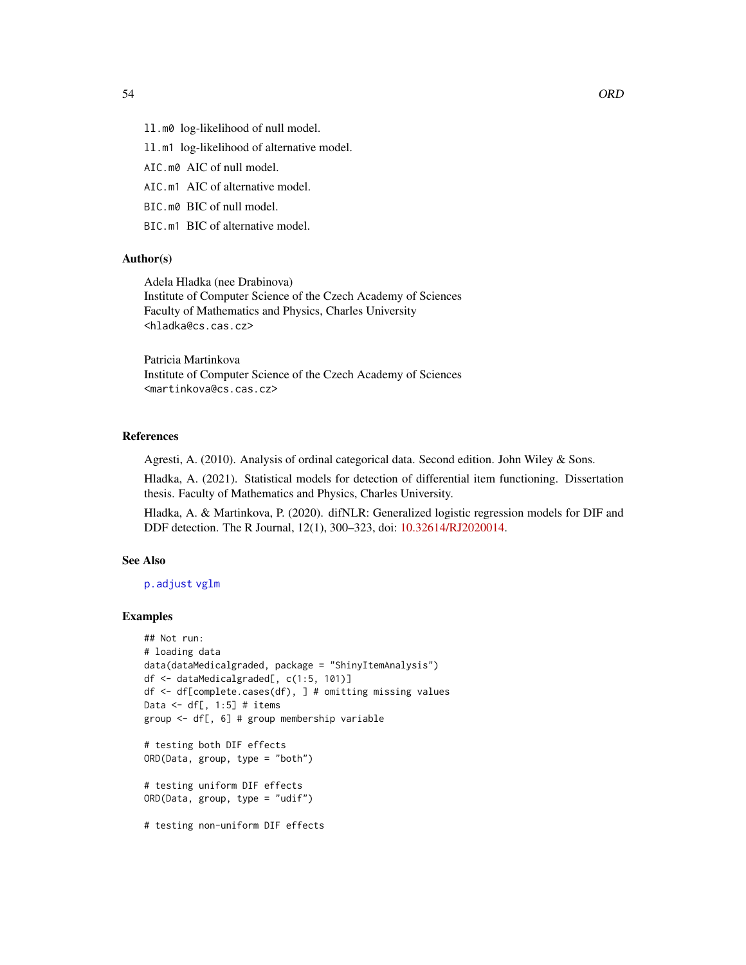<span id="page-53-0"></span>ll.m0 log-likelihood of null model.

ll.m1 log-likelihood of alternative model.

AIC.m0 AIC of null model.

AIC.m1 AIC of alternative model.

BIC.m0 BIC of null model.

BIC.m1 BIC of alternative model.

#### Author(s)

Adela Hladka (nee Drabinova) Institute of Computer Science of the Czech Academy of Sciences Faculty of Mathematics and Physics, Charles University <hladka@cs.cas.cz>

Patricia Martinkova Institute of Computer Science of the Czech Academy of Sciences <martinkova@cs.cas.cz>

#### References

Agresti, A. (2010). Analysis of ordinal categorical data. Second edition. John Wiley & Sons.

Hladka, A. (2021). Statistical models for detection of differential item functioning. Dissertation thesis. Faculty of Mathematics and Physics, Charles University.

Hladka, A. & Martinkova, P. (2020). difNLR: Generalized logistic regression models for DIF and DDF detection. The R Journal, 12(1), 300–323, doi: [10.32614/RJ2020014.](https://doi.org/10.32614/RJ-2020-014)

# See Also

[p.adjust](#page-0-0) [vglm](#page-0-0)

#### Examples

```
## Not run:
# loading data
data(dataMedicalgraded, package = "ShinyItemAnalysis")
df <- dataMedicalgraded[, c(1:5, 101)]
df <- df[complete.cases(df), ] # omitting missing values
Data \leq df[, 1:5] # items
group <- df[, 6] # group membership variable
# testing both DIF effects
ORD(Data, group, type = "both")
# testing uniform DIF effects
ORD(Data, group, type = "udif")
```
# testing non-uniform DIF effects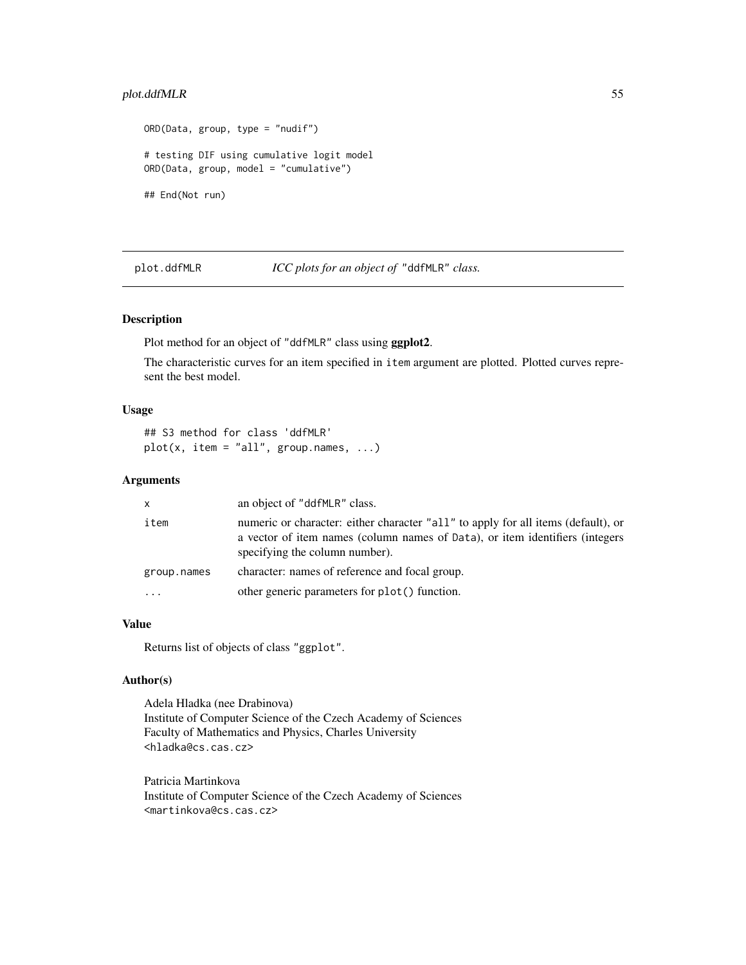# <span id="page-54-0"></span>plot.ddfMLR 55

```
ORD(Data, group, type = "nudif")
# testing DIF using cumulative logit model
ORD(Data, group, model = "cumulative")
## End(Not run)
```
<span id="page-54-1"></span>

plot.ddfMLR *ICC plots for an object of* "ddfMLR" *class.*

# Description

Plot method for an object of "ddfMLR" class using **ggplot2.** 

The characteristic curves for an item specified in item argument are plotted. Plotted curves represent the best model.

# Usage

```
## S3 method for class 'ddfMLR'
plot(x, item = "all", group.name, ...)
```
#### Arguments

| $\mathsf{X}$ | an object of "ddfMLR" class.                                                                                                                                                                        |
|--------------|-----------------------------------------------------------------------------------------------------------------------------------------------------------------------------------------------------|
| item         | numeric or character: either character "all" to apply for all items (default), or<br>a vector of item names (column names of Data), or item identifiers (integers<br>specifying the column number). |
| group.names  | character: names of reference and focal group.                                                                                                                                                      |
|              | other generic parameters for plot() function.                                                                                                                                                       |

# Value

Returns list of objects of class "ggplot".

# Author(s)

Adela Hladka (nee Drabinova) Institute of Computer Science of the Czech Academy of Sciences Faculty of Mathematics and Physics, Charles University <hladka@cs.cas.cz>

Patricia Martinkova Institute of Computer Science of the Czech Academy of Sciences <martinkova@cs.cas.cz>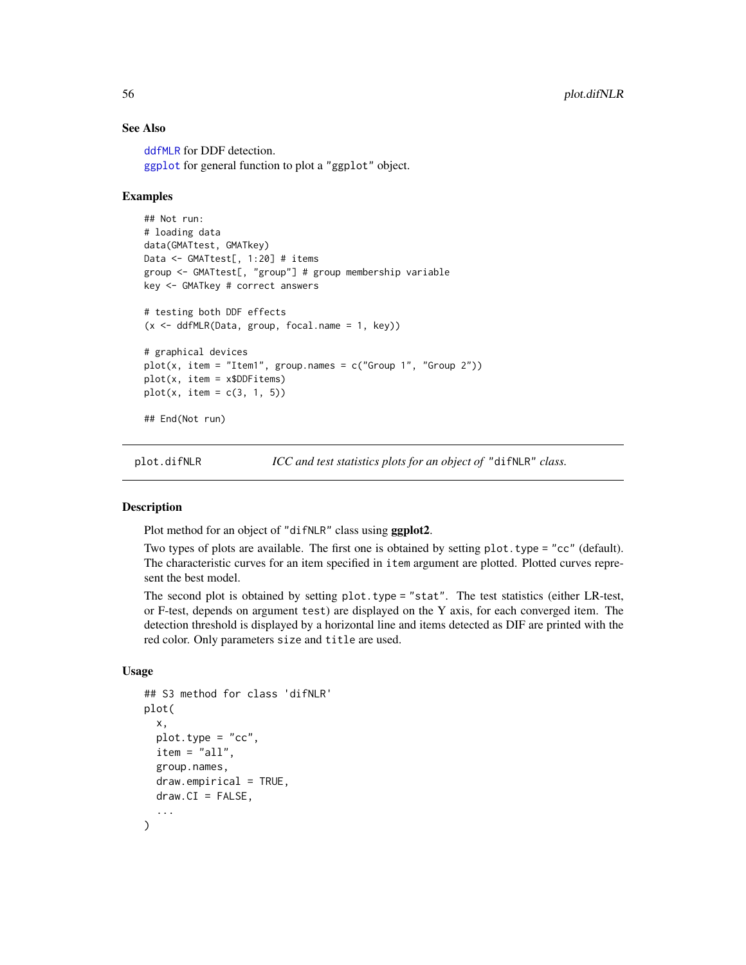# See Also

[ddfMLR](#page-8-1) for DDF detection. [ggplot](#page-0-0) for general function to plot a "ggplot" object.

# Examples

```
## Not run:
# loading data
data(GMATtest, GMATkey)
Data <- GMATtest[, 1:20] # items
group <- GMATtest[, "group"] # group membership variable
key <- GMATkey # correct answers
# testing both DDF effects
(x \leq -\text{ddfMLR}(Data, group, focal.name = 1, key))# graphical devices
plot(x, item = "Item1", group.name = c("Group 1", "Group 2"))plot(x, item = x$DDFitems)
plot(x, item = c(3, 1, 5))## End(Not run)
```
<span id="page-55-1"></span>plot.difNLR *ICC and test statistics plots for an object of* "difNLR" *class.*

#### Description

Plot method for an object of "difNLR" class using **ggplot2**.

Two types of plots are available. The first one is obtained by setting plot.type = "cc" (default). The characteristic curves for an item specified in item argument are plotted. Plotted curves represent the best model.

The second plot is obtained by setting plot.type = "stat". The test statistics (either LR-test, or F-test, depends on argument test) are displayed on the Y axis, for each converged item. The detection threshold is displayed by a horizontal line and items detected as DIF are printed with the red color. Only parameters size and title are used.

#### Usage

```
## S3 method for class 'difNLR'
plot(
  x,
 plot.type = "cc",
  item = "all".group.names,
  draw.empirical = TRUE,
 draw.CI = FALSE,...
)
```
<span id="page-55-0"></span>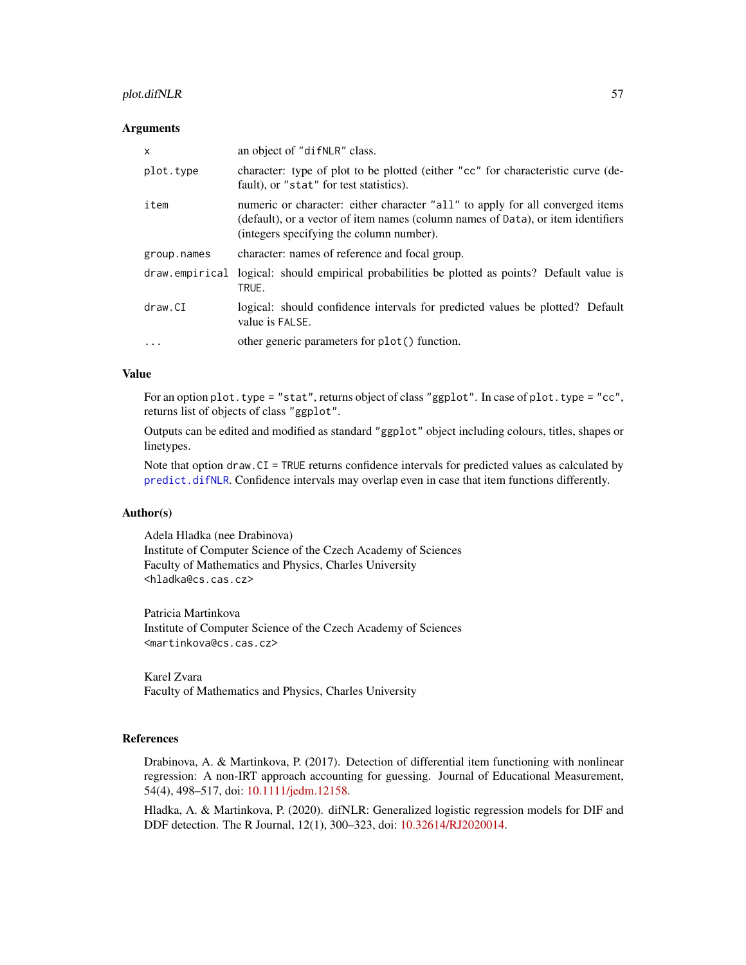# <span id="page-56-0"></span>plot.difNLR 57

#### **Arguments**

| $\mathsf{x}$ | an object of "difNLR" class.                                                                                                                                                                                  |
|--------------|---------------------------------------------------------------------------------------------------------------------------------------------------------------------------------------------------------------|
| plot.type    | character: type of plot to be plotted (either "cc" for characteristic curve (de-<br>fault), or "stat" for test statistics).                                                                                   |
| item         | numeric or character: either character "all" to apply for all converged items<br>(default), or a vector of item names (column names of Data), or item identifiers<br>(integers specifying the column number). |
| group.names  | character: names of reference and focal group.                                                                                                                                                                |
|              | draw empirical logical: should empirical probabilities be plotted as points? Default value is<br>TRUE.                                                                                                        |
| draw.CI      | logical: should confidence intervals for predicted values be plotted? Default<br>value is FALSE.                                                                                                              |
| $\cdots$     | other generic parameters for plot() function.                                                                                                                                                                 |

#### Value

For an option plot.type = "stat", returns object of class "ggplot". In case of plot.type = "cc", returns list of objects of class "ggplot".

Outputs can be edited and modified as standard "ggplot" object including colours, titles, shapes or linetypes.

Note that option draw.CI = TRUE returns confidence intervals for predicted values as calculated by [predict.difNLR](#page-60-1). Confidence intervals may overlap even in case that item functions differently.

## Author(s)

Adela Hladka (nee Drabinova) Institute of Computer Science of the Czech Academy of Sciences Faculty of Mathematics and Physics, Charles University <hladka@cs.cas.cz>

Patricia Martinkova Institute of Computer Science of the Czech Academy of Sciences <martinkova@cs.cas.cz>

Karel Zvara Faculty of Mathematics and Physics, Charles University

#### References

Drabinova, A. & Martinkova, P. (2017). Detection of differential item functioning with nonlinear regression: A non-IRT approach accounting for guessing. Journal of Educational Measurement, 54(4), 498–517, doi: [10.1111/jedm.12158.](https://doi.org/10.1111/jedm.12158)

Hladka, A. & Martinkova, P. (2020). difNLR: Generalized logistic regression models for DIF and DDF detection. The R Journal, 12(1), 300–323, doi: [10.32614/RJ2020014.](https://doi.org/10.32614/RJ-2020-014)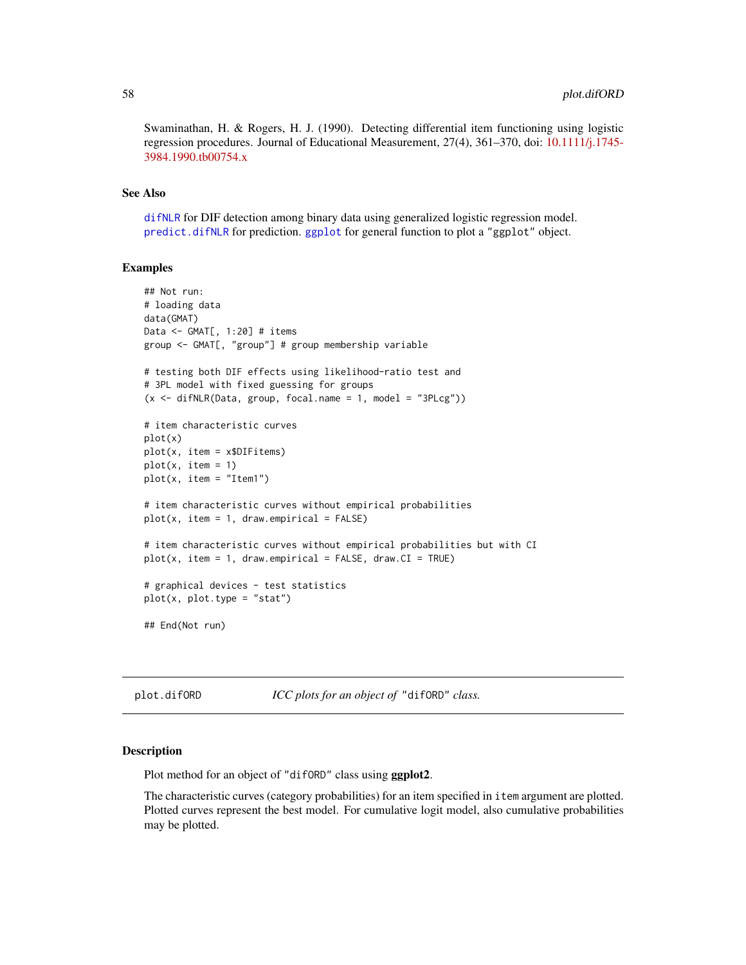<span id="page-57-0"></span>Swaminathan, H. & Rogers, H. J. (1990). Detecting differential item functioning using logistic regression procedures. Journal of Educational Measurement, 27(4), 361–370, doi: [10.1111/j.1745-](https://doi.org/10.1111/j.1745-3984.1990.tb00754.x) [3984.1990.tb00754.x](https://doi.org/10.1111/j.1745-3984.1990.tb00754.x)

# See Also

[difNLR](#page-12-1) for DIF detection among binary data using generalized logistic regression model. [predict.difNLR](#page-60-1) for prediction. [ggplot](#page-0-0) for general function to plot a "ggplot" object.

# Examples

```
## Not run:
# loading data
data(GMAT)
Data \leq GMAT[, 1:20] # items
group <- GMAT[, "group"] # group membership variable
# testing both DIF effects using likelihood-ratio test and
# 3PL model with fixed guessing for groups
(x \le -\text{diffNLR}(Data, group, focal.name = 1, model = "3PLcg"))# item characteristic curves
plot(x)
plot(x, item = x$DIFitems)
plot(x, item = 1)plot(x, item = "Item1")
# item characteristic curves without empirical probabilities
plot(x, item = 1, draw.empirical = FALSE)# item characteristic curves without empirical probabilities but with CI
plot(x, item = 1, draw.empirical = FALSE, draw.CI = TRUE)# graphical devices - test statistics
plot(x, plot_type = "stat")## End(Not run)
```
<span id="page-57-1"></span>plot.difORD *ICC plots for an object of* "difORD" *class.*

# **Description**

Plot method for an object of "difORD" class using **ggplot2**.

The characteristic curves (category probabilities) for an item specified in item argument are plotted. Plotted curves represent the best model. For cumulative logit model, also cumulative probabilities may be plotted.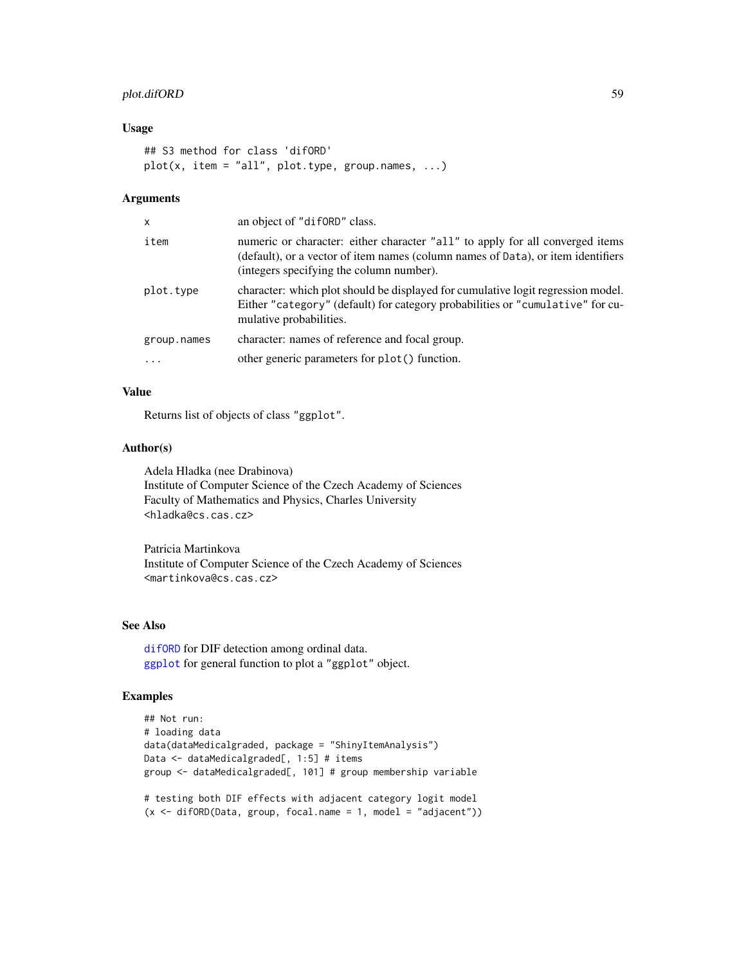# <span id="page-58-0"></span>plot.difORD 59

#### Usage

```
## S3 method for class 'difORD'
plot(x, item = "all", plot.type, group.names, ...)
```
#### Arguments

| x           | an object of "diformorphic class.                                                                                                                                                                             |
|-------------|---------------------------------------------------------------------------------------------------------------------------------------------------------------------------------------------------------------|
| item        | numeric or character: either character "all" to apply for all converged items<br>(default), or a vector of item names (column names of Data), or item identifiers<br>(integers specifying the column number). |
| plot.type   | character: which plot should be displayed for cumulative logit regression model.<br>Either "category" (default) for category probabilities or "cumulative" for cu-<br>mulative probabilities.                 |
| group.names | character: names of reference and focal group.                                                                                                                                                                |
|             | other generic parameters for plot() function.                                                                                                                                                                 |

#### Value

Returns list of objects of class "ggplot".

# Author(s)

Adela Hladka (nee Drabinova) Institute of Computer Science of the Czech Academy of Sciences Faculty of Mathematics and Physics, Charles University <hladka@cs.cas.cz>

Patricia Martinkova Institute of Computer Science of the Czech Academy of Sciences <martinkova@cs.cas.cz>

# See Also

[difORD](#page-18-1) for DIF detection among ordinal data. [ggplot](#page-0-0) for general function to plot a "ggplot" object.

# Examples

```
## Not run:
# loading data
data(dataMedicalgraded, package = "ShinyItemAnalysis")
Data <- dataMedicalgraded[, 1:5] # items
group <- dataMedicalgraded[, 101] # group membership variable
# testing both DIF effects with adjacent category logit model
(x \le -\text{ difORD}(Data, group, focal.name = 1, model = "adjacent"))
```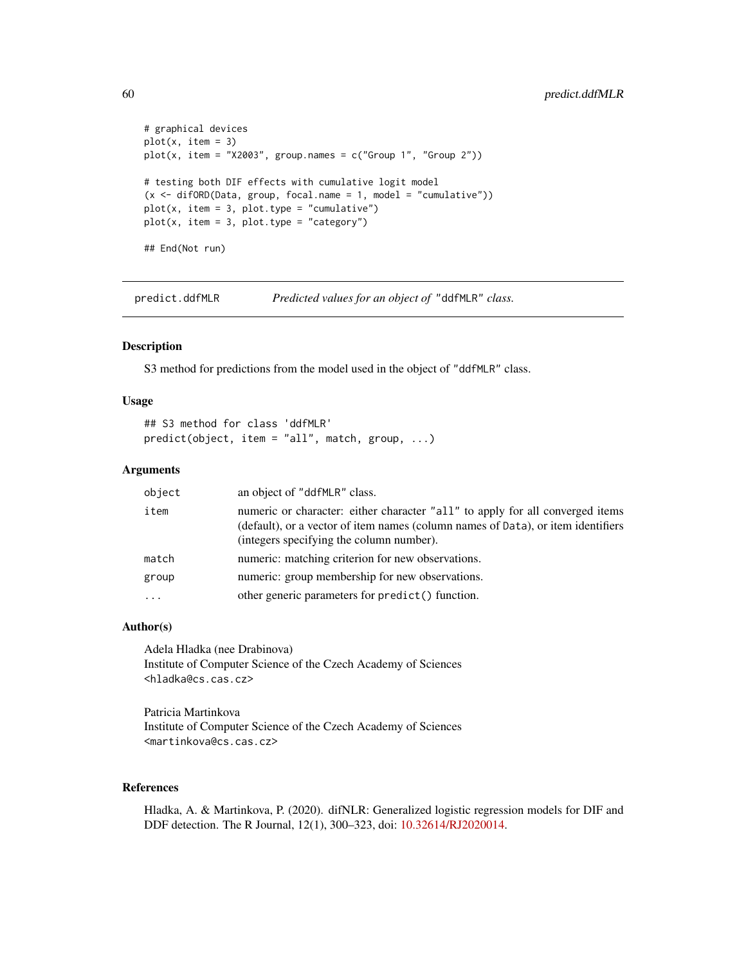```
# graphical devices
plot(x, item = 3)plot(x, item = "X2003", group.name = c("Group 1", "Group 2"))# testing both DIF effects with cumulative logit model
(x \le -\text{ difORD}(Data, group, focal.name = 1, model = "cumulative"))plot(x, item = 3, plot_type = "cumulative")plot(x, item = 3, plot_type = "category")## End(Not run)
```
predict.ddfMLR *Predicted values for an object of* "ddfMLR" *class.*

#### Description

S3 method for predictions from the model used in the object of "ddfMLR" class.

# Usage

```
## S3 method for class 'ddfMLR'
predict(object, item = "all", match, group, ...)
```
# Arguments

| object | an object of "ddfMLR" class.                                                                                                                                                                                  |
|--------|---------------------------------------------------------------------------------------------------------------------------------------------------------------------------------------------------------------|
| item   | numeric or character: either character "all" to apply for all converged items<br>(default), or a vector of item names (column names of Data), or item identifiers<br>(integers specifying the column number). |
| match  | numeric: matching criterion for new observations.                                                                                                                                                             |
| group  | numeric: group membership for new observations.                                                                                                                                                               |
|        | other generic parameters for predict() function.                                                                                                                                                              |

#### Author(s)

Adela Hladka (nee Drabinova) Institute of Computer Science of the Czech Academy of Sciences <hladka@cs.cas.cz>

Patricia Martinkova Institute of Computer Science of the Czech Academy of Sciences <martinkova@cs.cas.cz>

#### References

Hladka, A. & Martinkova, P. (2020). difNLR: Generalized logistic regression models for DIF and DDF detection. The R Journal, 12(1), 300–323, doi: [10.32614/RJ2020014.](https://doi.org/10.32614/RJ-2020-014)

<span id="page-59-0"></span>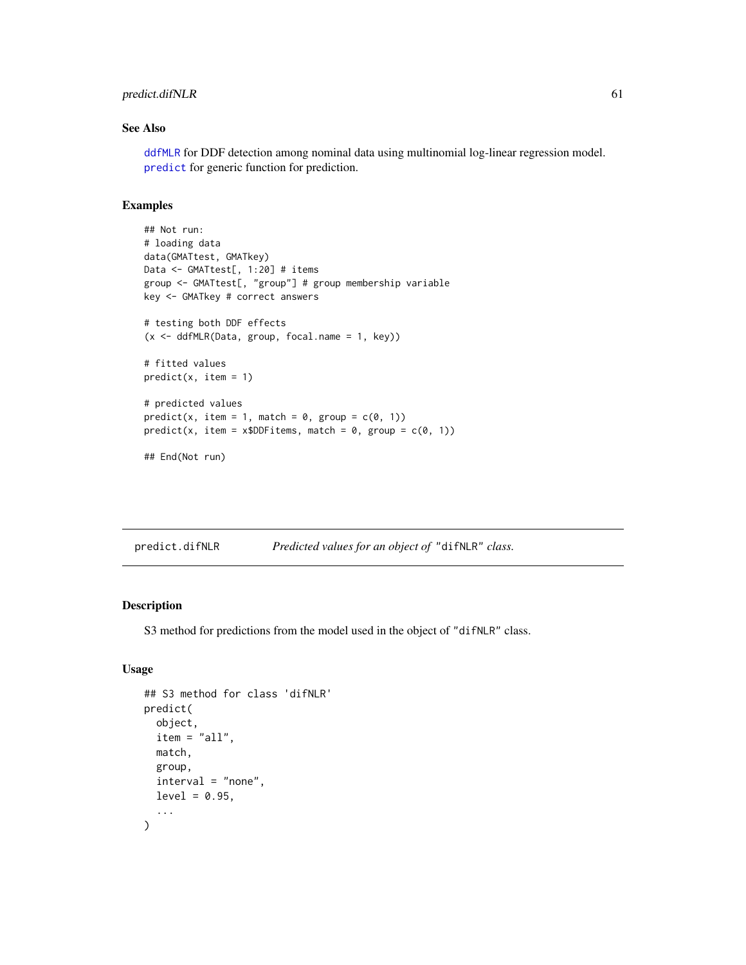# <span id="page-60-0"></span>predict.difNLR 61

# See Also

[ddfMLR](#page-8-1) for DDF detection among nominal data using multinomial log-linear regression model. [predict](#page-0-0) for generic function for prediction.

#### Examples

```
## Not run:
# loading data
data(GMATtest, GMATkey)
Data <- GMATtest[, 1:20] # items
group <- GMATtest[, "group"] # group membership variable
key <- GMATkey # correct answers
# testing both DDF effects
(x \leq -\text{ddfMLR}(Data, group, focal.name = 1, key))# fitted values
predict(x, item = 1)# predicted values
predict(x, item = 1, match = 0, group = c(0, 1))
predict(x, item = x$DDFitems, match = 0, group = c(0, 1))
## End(Not run)
```
<span id="page-60-1"></span>

| predict.difNLR |  | Predicted values for an object of "difNLR" class. |
|----------------|--|---------------------------------------------------|
|----------------|--|---------------------------------------------------|

# Description

S3 method for predictions from the model used in the object of "difNLR" class.

#### Usage

```
## S3 method for class 'difNLR'
predict(
 object,
  item = "all",match,
 group,
 interval = "none",level = 0.95,...
)
```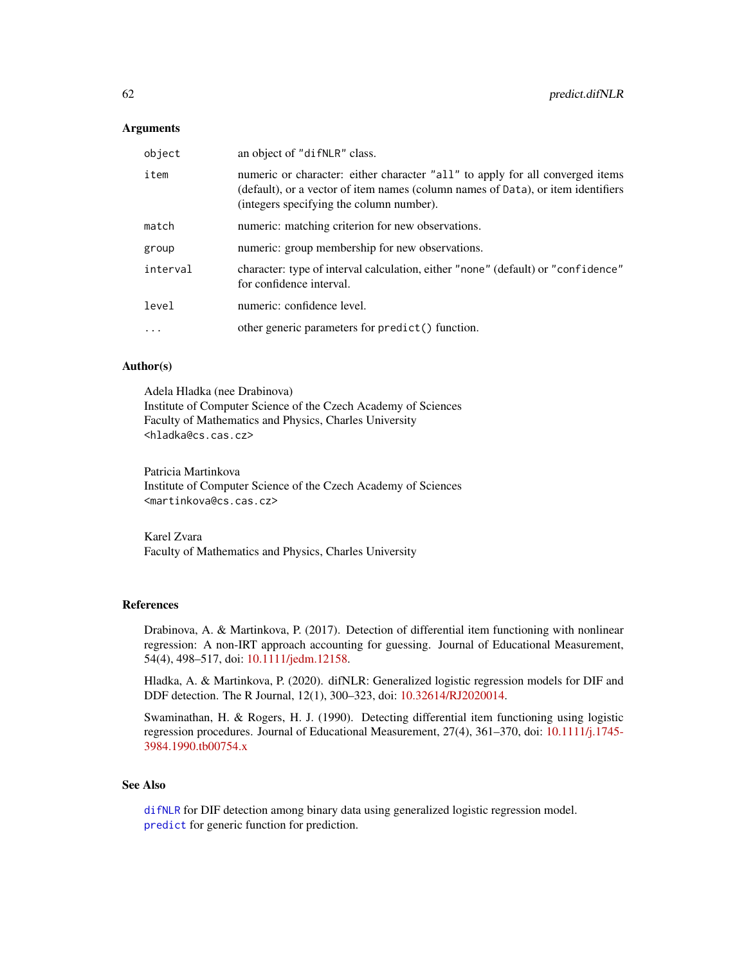#### <span id="page-61-0"></span>Arguments

| object   | an object of "difNLR" class.                                                                                                                                                                                  |
|----------|---------------------------------------------------------------------------------------------------------------------------------------------------------------------------------------------------------------|
| item     | numeric or character: either character "all" to apply for all converged items<br>(default), or a vector of item names (column names of Data), or item identifiers<br>(integers specifying the column number). |
| match    | numeric: matching criterion for new observations.                                                                                                                                                             |
| group    | numeric: group membership for new observations.                                                                                                                                                               |
| interval | character: type of interval calculation, either "none" (default) or "confidence"<br>for confidence interval.                                                                                                  |
| level    | numeric: confidence level.                                                                                                                                                                                    |
| $\cdots$ | other generic parameters for predict() function.                                                                                                                                                              |

#### Author(s)

Adela Hladka (nee Drabinova) Institute of Computer Science of the Czech Academy of Sciences Faculty of Mathematics and Physics, Charles University <hladka@cs.cas.cz>

Patricia Martinkova Institute of Computer Science of the Czech Academy of Sciences <martinkova@cs.cas.cz>

Karel Zvara Faculty of Mathematics and Physics, Charles University

#### References

Drabinova, A. & Martinkova, P. (2017). Detection of differential item functioning with nonlinear regression: A non-IRT approach accounting for guessing. Journal of Educational Measurement, 54(4), 498–517, doi: [10.1111/jedm.12158.](https://doi.org/10.1111/jedm.12158)

Hladka, A. & Martinkova, P. (2020). difNLR: Generalized logistic regression models for DIF and DDF detection. The R Journal, 12(1), 300–323, doi: [10.32614/RJ2020014.](https://doi.org/10.32614/RJ-2020-014)

Swaminathan, H. & Rogers, H. J. (1990). Detecting differential item functioning using logistic regression procedures. Journal of Educational Measurement, 27(4), 361–370, doi: [10.1111/j.1745-](https://doi.org/10.1111/j.1745-3984.1990.tb00754.x) [3984.1990.tb00754.x](https://doi.org/10.1111/j.1745-3984.1990.tb00754.x)

# See Also

[difNLR](#page-12-1) for DIF detection among binary data using generalized logistic regression model. [predict](#page-0-0) for generic function for prediction.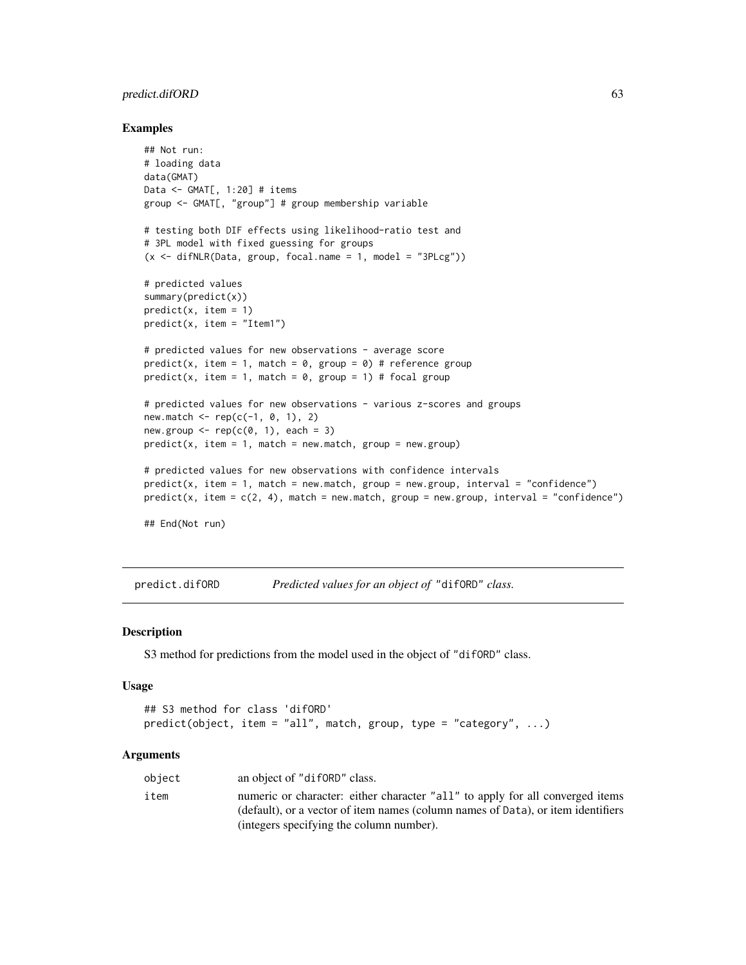# <span id="page-62-0"></span>predict.difORD 63

#### Examples

```
## Not run:
# loading data
data(GMAT)
Data \leq GMAT[, 1:20] # items
group <- GMAT[, "group"] # group membership variable
# testing both DIF effects using likelihood-ratio test and
# 3PL model with fixed guessing for groups
(x \leq -\text{diffNLR}(Data, group, focal.name = 1, model = "3PLcg"))# predicted values
summary(predict(x))
predict(x, item = 1)predict(x, item = "Item1")
# predicted values for new observations - average score
predict(x, item = 1, match = 0, group = 0) # reference group
predict(x, item = 1, match = 0, group = 1) # focal group
# predicted values for new observations - various z-scores and groups
new match < - rep(c(-1, 0, 1), 2)new.group \leq rep(c(0, 1), each = 3)
predict(x, item = 1, match = new match, group = new.group)# predicted values for new observations with confidence intervals
predict(x, item = 1, match = new.match, group = new.group, interval = "confidence")predict(x, item = c(2, 4), match = new.match, group = new.group, interval = "confidence")## End(Not run)
```
<span id="page-62-1"></span>predict.difORD *Predicted values for an object of* "difORD" *class.*

#### Description

S3 method for predictions from the model used in the object of "difORD" class.

#### Usage

```
## S3 method for class 'difORD'
predict(object, item = "all", match, group, type = "category", ...)
```
#### Arguments

| object | an object of "diformore" class.                                                                                                                                   |
|--------|-------------------------------------------------------------------------------------------------------------------------------------------------------------------|
| item   | numeric or character: either character "all" to apply for all converged items<br>(default), or a vector of item names (column names of Data), or item identifiers |
|        | (integers specifying the column number).                                                                                                                          |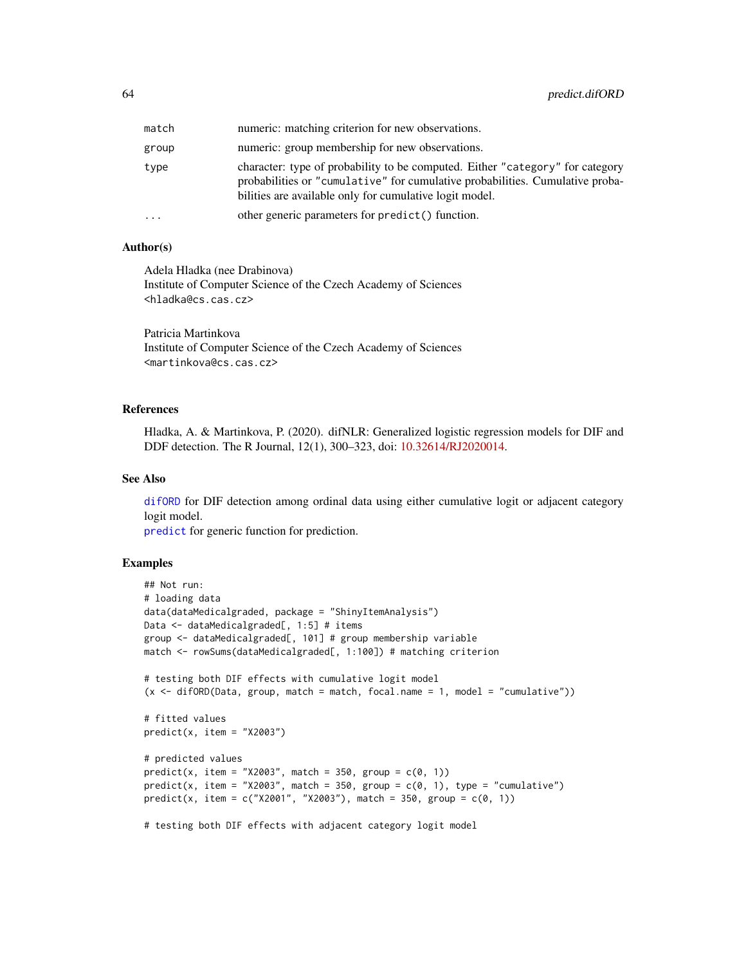<span id="page-63-0"></span>

| match | numeric: matching criterion for new observations.                                                                                                                                                                         |
|-------|---------------------------------------------------------------------------------------------------------------------------------------------------------------------------------------------------------------------------|
| group | numeric: group membership for new observations.                                                                                                                                                                           |
| type  | character: type of probability to be computed. Either "category" for category<br>probabilities or "cumulative" for cumulative probabilities. Cumulative proba-<br>bilities are available only for cumulative logit model. |
| .     | other generic parameters for predict() function.                                                                                                                                                                          |

#### Author(s)

Adela Hladka (nee Drabinova) Institute of Computer Science of the Czech Academy of Sciences <hladka@cs.cas.cz>

Patricia Martinkova Institute of Computer Science of the Czech Academy of Sciences <martinkova@cs.cas.cz>

# References

Hladka, A. & Martinkova, P. (2020). difNLR: Generalized logistic regression models for DIF and DDF detection. The R Journal, 12(1), 300–323, doi: [10.32614/RJ2020014.](https://doi.org/10.32614/RJ-2020-014)

#### See Also

[difORD](#page-18-1) for DIF detection among ordinal data using either cumulative logit or adjacent category logit model.

[predict](#page-0-0) for generic function for prediction.

#### Examples

```
## Not run:
# loading data
data(dataMedicalgraded, package = "ShinyItemAnalysis")
Data <- dataMedicalgraded[, 1:5] # items
group <- dataMedicalgraded[, 101] # group membership variable
match <- rowSums(dataMedicalgraded[, 1:100]) # matching criterion
# testing both DIF effects with cumulative logit model
(x \le -\text{ difORD(Data, group, match = match, focal.name = 1, model = "cumulative"))# fitted values
predict(x, item = "X2003")
# predicted values
predict(x, item = "X2003", match = 350, group = c(0, 1))predict(x, item = "X2003", match = 350, group = c(0, 1), type = "cumulative")predict(x, item = c("X2001", "X2003"), match = 350, group = c(0, 1))# testing both DIF effects with adjacent category logit model
```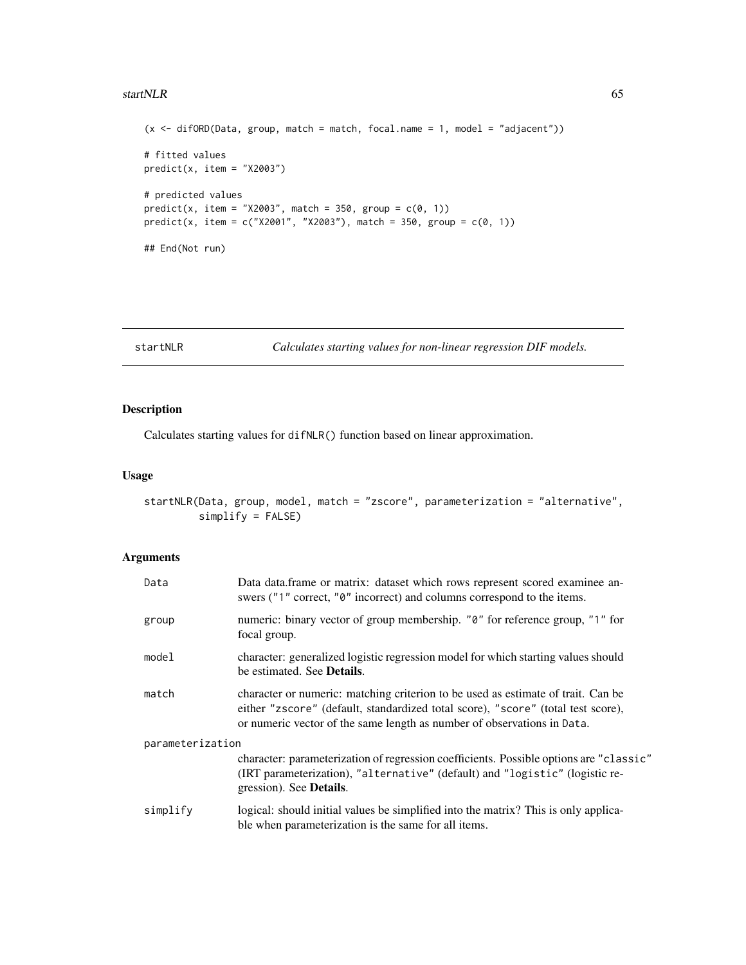#### <span id="page-64-0"></span>startNLR  $\qquad \qquad 65$

```
(x \leq -\text{ difORD}(Data, group, match = match, focal.name = 1, model = "adjacent"))# fitted values
predict(x, item = "X2003")# predicted values
predict(x, item = "X2003", match = 350, group = c(\theta, 1))
predict(x, item = c("X2001", "X2003"), match = 350, group = c(0, 1))
## End(Not run)
```
<span id="page-64-1"></span>startNLR *Calculates starting values for non-linear regression DIF models.*

# Description

Calculates starting values for difNLR() function based on linear approximation.

## Usage

```
startNLR(Data, group, model, match = "zscore", parameterization = "alternative",
         simplify = FALSE)
```
# Arguments

| Data             | Data data.frame or matrix: dataset which rows represent scored examinee an-<br>swers ("1" correct, "0" incorrect) and columns correspond to the items.                                                                                          |
|------------------|-------------------------------------------------------------------------------------------------------------------------------------------------------------------------------------------------------------------------------------------------|
| group            | numeric: binary vector of group membership. "0" for reference group, "1" for<br>focal group.                                                                                                                                                    |
| model            | character: generalized logistic regression model for which starting values should<br>be estimated. See <b>Details</b> .                                                                                                                         |
| match            | character or numeric: matching criterion to be used as estimate of trait. Can be<br>either "zscore" (default, standardized total score), "score" (total test score),<br>or numeric vector of the same length as number of observations in Data. |
| parameterization |                                                                                                                                                                                                                                                 |
|                  | character: parameterization of regression coefficients. Possible options are "classic"<br>(IRT parameterization), "alternative" (default) and "logistic" (logistic re-<br>gression). See <b>Details</b> .                                       |
| simplify         | logical: should initial values be simplified into the matrix? This is only applica-<br>ble when parameterization is the same for all items.                                                                                                     |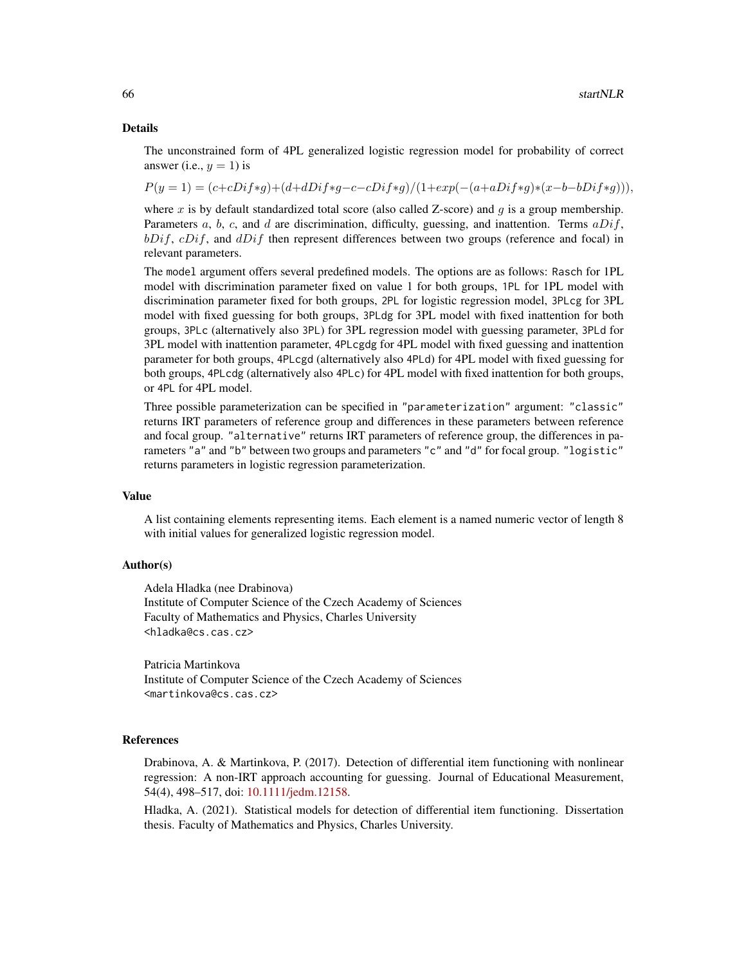#### Details

The unconstrained form of 4PL generalized logistic regression model for probability of correct answer (i.e.,  $y = 1$ ) is

 $P(y = 1) = (c + cDif * g) + (d + dDif * g - c - cDif * g)/(1 + exp(-(a + aDif * g) * (x - b - bDif * g))),$ 

where  $x$  is by default standardized total score (also called Z-score) and  $q$  is a group membership. Parameters a, b, c, and d are discrimination, difficulty, guessing, and inattention. Terms  $aDif$ ,  $bDiff$ ,  $cDiff$ , and  $dDiff$  then represent differences between two groups (reference and focal) in relevant parameters.

The model argument offers several predefined models. The options are as follows: Rasch for 1PL model with discrimination parameter fixed on value 1 for both groups, 1PL for 1PL model with discrimination parameter fixed for both groups, 2PL for logistic regression model, 3PLcg for 3PL model with fixed guessing for both groups, 3PLdg for 3PL model with fixed inattention for both groups, 3PLc (alternatively also 3PL) for 3PL regression model with guessing parameter, 3PLd for 3PL model with inattention parameter, 4PLcgdg for 4PL model with fixed guessing and inattention parameter for both groups, 4PLcgd (alternatively also 4PLd) for 4PL model with fixed guessing for both groups, 4PLcdg (alternatively also 4PLc) for 4PL model with fixed inattention for both groups, or 4PL for 4PL model.

Three possible parameterization can be specified in "parameterization" argument: "classic" returns IRT parameters of reference group and differences in these parameters between reference and focal group. "alternative" returns IRT parameters of reference group, the differences in parameters "a" and "b" between two groups and parameters "c" and "d" for focal group. "logistic" returns parameters in logistic regression parameterization.

# Value

A list containing elements representing items. Each element is a named numeric vector of length 8 with initial values for generalized logistic regression model.

#### Author(s)

Adela Hladka (nee Drabinova) Institute of Computer Science of the Czech Academy of Sciences Faculty of Mathematics and Physics, Charles University <hladka@cs.cas.cz>

Patricia Martinkova Institute of Computer Science of the Czech Academy of Sciences <martinkova@cs.cas.cz>

#### References

Drabinova, A. & Martinkova, P. (2017). Detection of differential item functioning with nonlinear regression: A non-IRT approach accounting for guessing. Journal of Educational Measurement, 54(4), 498–517, doi: [10.1111/jedm.12158.](https://doi.org/10.1111/jedm.12158)

Hladka, A. (2021). Statistical models for detection of differential item functioning. Dissertation thesis. Faculty of Mathematics and Physics, Charles University.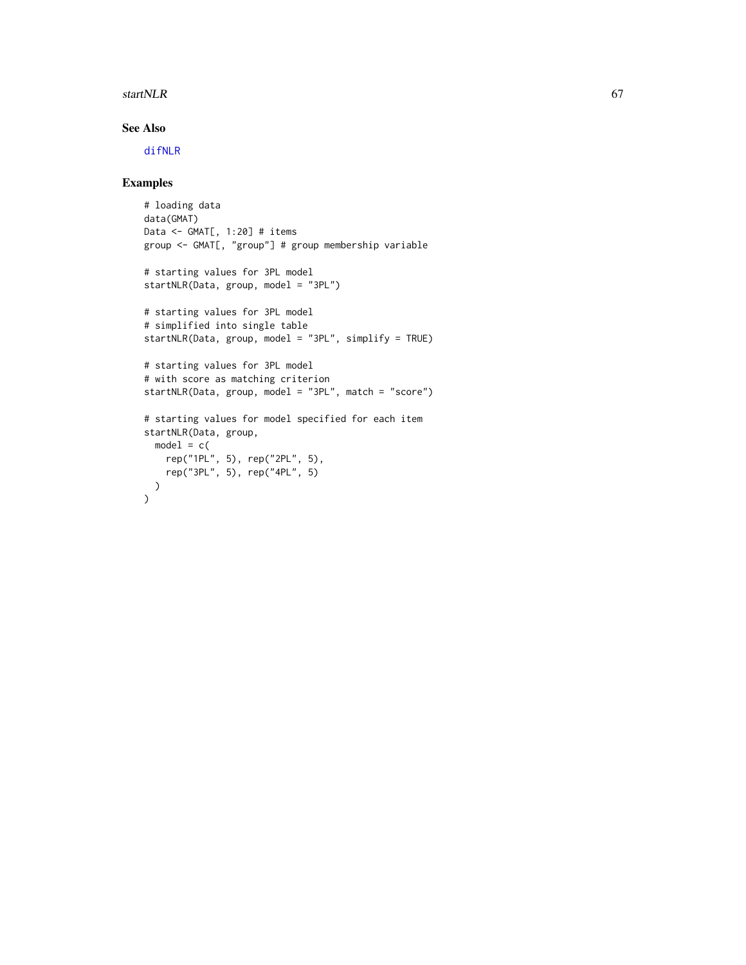#### <span id="page-66-0"></span>startNLR 67

# See Also

[difNLR](#page-12-1)

# Examples

```
# loading data
data(GMAT)
Data <- GMAT[, 1:20] # items
group <- GMAT[, "group"] # group membership variable
# starting values for 3PL model
startNLR(Data, group, model = "3PL")
# starting values for 3PL model
# simplified into single table
startNLR(Data, group, model = "3PL", simplify = TRUE)
# starting values for 3PL model
# with score as matching criterion
startNLR(Data, group, model = "3PL", match = "score")
# starting values for model specified for each item
startNLR(Data, group,
 model = c(rep("1PL", 5), rep("2PL", 5),
   rep("3PL", 5), rep("4PL", 5)
 )
\mathcal{L}
```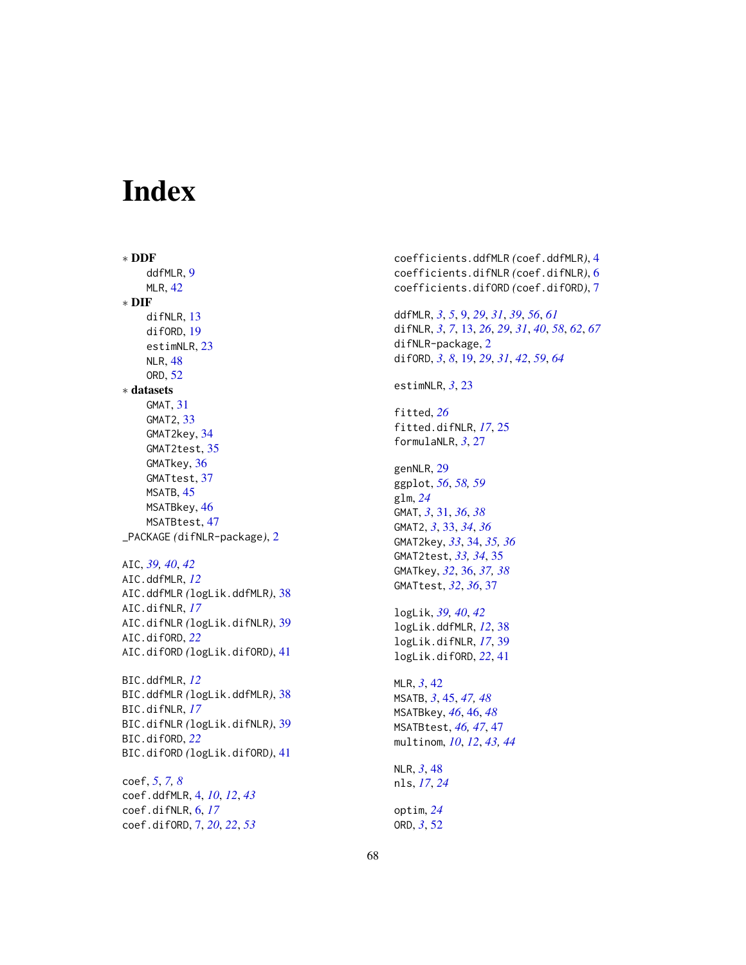# <span id="page-67-0"></span>Index

∗ DDF ddfMLR, [9](#page-8-0) MLR, [42](#page-41-0) ∗ DIF difNLR, [13](#page-12-0) difORD, [19](#page-18-0) estimNLR, [23](#page-22-0) NLR, [48](#page-47-0) ORD, [52](#page-51-0) ∗ datasets GMAT, [31](#page-30-0) GMAT2, [33](#page-32-0) GMAT2key, [34](#page-33-0) GMAT2test, [35](#page-34-0) GMATkey, [36](#page-35-0) GMATtest, [37](#page-36-0) MSATB, [45](#page-44-0) MSATBkey, [46](#page-45-0) MSATBtest, [47](#page-46-0) \_PACKAGE *(*difNLR-package*)*, [2](#page-1-0) AIC, *[39,](#page-38-0) [40](#page-39-0)*, *[42](#page-41-0)* AIC.ddfMLR, *[12](#page-11-0)* AIC.ddfMLR *(*logLik.ddfMLR*)*, [38](#page-37-0) AIC.difNLR, *[17](#page-16-0)* AIC.difNLR *(*logLik.difNLR*)*, [39](#page-38-0) AIC.difORD, *[22](#page-21-0)* AIC.difORD *(*logLik.difORD*)*, [41](#page-40-0) BIC.ddfMLR, *[12](#page-11-0)* BIC.ddfMLR *(*logLik.ddfMLR*)*, [38](#page-37-0) BIC.difNLR, *[17](#page-16-0)* BIC.difNLR *(*logLik.difNLR*)*, [39](#page-38-0) BIC.difORD, *[22](#page-21-0)* BIC.difORD *(*logLik.difORD*)*, [41](#page-40-0) coef, *[5](#page-4-0)*, *[7,](#page-6-0) [8](#page-7-0)* coef.ddfMLR, [4,](#page-3-0) *[10](#page-9-0)*, *[12](#page-11-0)*, *[43](#page-42-0)* coef.difNLR, [6,](#page-5-0) *[17](#page-16-0)*

coef.difORD, [7,](#page-6-0) *[20](#page-19-0)*, *[22](#page-21-0)*, *[53](#page-52-0)*

coefficients.ddfMLR *(*coef.ddfMLR*)*, [4](#page-3-0) coefficients.difNLR *(*coef.difNLR*)*, [6](#page-5-0) coefficients.difORD *(*coef.difORD*)*, [7](#page-6-0)

ddfMLR, *[3](#page-2-0)*, *[5](#page-4-0)*, [9,](#page-8-0) *[29](#page-28-0)*, *[31](#page-30-0)*, *[39](#page-38-0)*, *[56](#page-55-0)*, *[61](#page-60-0)* difNLR, *[3](#page-2-0)*, *[7](#page-6-0)*, [13,](#page-12-0) *[26](#page-25-0)*, *[29](#page-28-0)*, *[31](#page-30-0)*, *[40](#page-39-0)*, *[58](#page-57-0)*, *[62](#page-61-0)*, *[67](#page-66-0)* difNLR-package, [2](#page-1-0) difORD, *[3](#page-2-0)*, *[8](#page-7-0)*, [19,](#page-18-0) *[29](#page-28-0)*, *[31](#page-30-0)*, *[42](#page-41-0)*, *[59](#page-58-0)*, *[64](#page-63-0)*

estimNLR, *[3](#page-2-0)*, [23](#page-22-0)

fitted, *[26](#page-25-0)* fitted.difNLR, *[17](#page-16-0)*, [25](#page-24-0) formulaNLR, *[3](#page-2-0)*, [27](#page-26-0)

genNLR, [29](#page-28-0) ggplot, *[56](#page-55-0)*, *[58,](#page-57-0) [59](#page-58-0)* glm, *[24](#page-23-0)* GMAT, *[3](#page-2-0)*, [31,](#page-30-0) *[36](#page-35-0)*, *[38](#page-37-0)* GMAT2, *[3](#page-2-0)*, [33,](#page-32-0) *[34](#page-33-0)*, *[36](#page-35-0)* GMAT2key, *[33](#page-32-0)*, [34,](#page-33-0) *[35,](#page-34-0) [36](#page-35-0)* GMAT2test, *[33,](#page-32-0) [34](#page-33-0)*, [35](#page-34-0) GMATkey, *[32](#page-31-0)*, [36,](#page-35-0) *[37,](#page-36-0) [38](#page-37-0)* GMATtest, *[32](#page-31-0)*, *[36](#page-35-0)*, [37](#page-36-0)

logLik, *[39,](#page-38-0) [40](#page-39-0)*, *[42](#page-41-0)* logLik.ddfMLR, *[12](#page-11-0)*, [38](#page-37-0) logLik.difNLR, *[17](#page-16-0)*, [39](#page-38-0) logLik.difORD, *[22](#page-21-0)*, [41](#page-40-0)

MLR, *[3](#page-2-0)*, [42](#page-41-0) MSATB, *[3](#page-2-0)*, [45,](#page-44-0) *[47,](#page-46-0) [48](#page-47-0)* MSATBkey, *[46](#page-45-0)*, [46,](#page-45-0) *[48](#page-47-0)* MSATBtest, *[46,](#page-45-0) [47](#page-46-0)*, [47](#page-46-0) multinom, *[10](#page-9-0)*, *[12](#page-11-0)*, *[43,](#page-42-0) [44](#page-43-0)*

NLR, *[3](#page-2-0)*, [48](#page-47-0) nls, *[17](#page-16-0)*, *[24](#page-23-0)*

optim, *[24](#page-23-0)* ORD, *[3](#page-2-0)*, [52](#page-51-0)